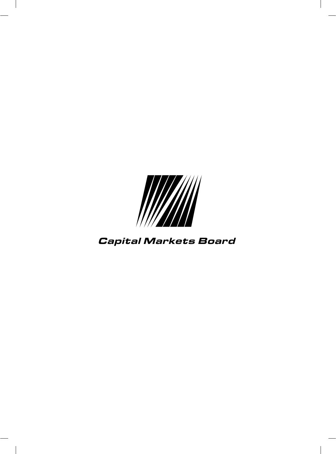

# Capital Markets Board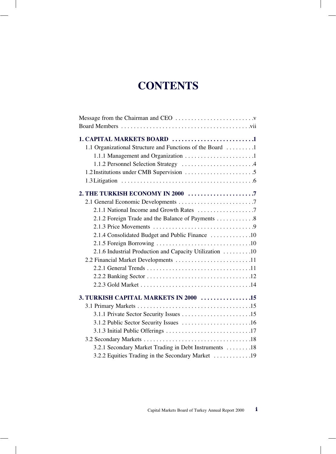# **CONTENTS**

 $\overline{\phantom{a}}$ 

| 1. CAPITAL MARKETS BOARD 1<br>1.1 Organizational Structure and Functions of the Board 1<br>1.1.1 Management and Organization 1 |
|--------------------------------------------------------------------------------------------------------------------------------|
|                                                                                                                                |
|                                                                                                                                |
|                                                                                                                                |
|                                                                                                                                |
| 2.1.2 Foreign Trade and the Balance of Payments 8                                                                              |
|                                                                                                                                |
| 2.1.4 Consolidated Budget and Public Finance 10                                                                                |
|                                                                                                                                |
| 2.1.6 Industrial Production and Capacity Utilization 10                                                                        |
| 2.2 Financial Market Developments 11                                                                                           |
|                                                                                                                                |
|                                                                                                                                |
|                                                                                                                                |
| 3. TURKISH CAPITAL MARKETS IN 2000  15                                                                                         |
|                                                                                                                                |
|                                                                                                                                |
|                                                                                                                                |
|                                                                                                                                |
|                                                                                                                                |
| 3.2.1 Secondary Market Trading in Debt Instruments 18                                                                          |
| 3.2.2 Equities Trading in the Secondary Market 19                                                                              |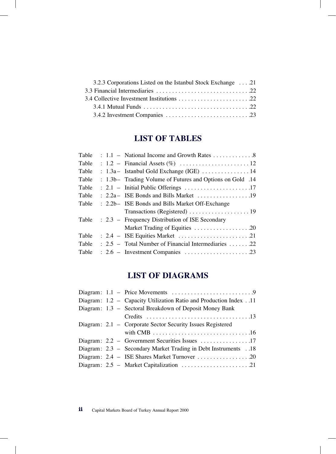| 3.2.3 Corporations Listed on the Istanbul Stock Exchange  21 |
|--------------------------------------------------------------|
|                                                              |
|                                                              |
|                                                              |
|                                                              |

 $\overline{\phantom{a}}$ 

## **LIST OF TABLES**

| Table | $: 1.1 - National Income$ and Growth Rates 8                                                          |
|-------|-------------------------------------------------------------------------------------------------------|
| Table |                                                                                                       |
| Table | $: 1.3a-$ Istanbul Gold Exchange (IGE) $ \dots  \dots 14$                                             |
| Table | : 1.3b – Trading Volume of Futures and Options on Gold .14                                            |
| Table |                                                                                                       |
| Table |                                                                                                       |
| Table | : 2.2b- ISE Bonds and Bills Market Off-Exchange                                                       |
|       |                                                                                                       |
| Table | : 2.3 – Frequency Distribution of ISE Secondary                                                       |
|       | Market Trading of Equities 20                                                                         |
| Table | $: 2.4 - \text{ISE}$ Equities Market $\ldots \ldots \ldots \ldots \ldots \ldots \ldots \ldots \ldots$ |
| Table | $: 2.5$ – Total Number of Financial Intermediaries  22                                                |
| Table |                                                                                                       |

## **LIST OF DIAGRAMS**

|  | Diagram: 1.2 – Capacity Utilization Ratio and Production Index11                    |
|--|-------------------------------------------------------------------------------------|
|  | Diagram: 1.3 – Sectoral Breakdown of Deposit Money Bank                             |
|  |                                                                                     |
|  | Diagram: 2.1 – Corporate Sector Security Issues Registered                          |
|  | with CMB $\ldots \ldots \ldots \ldots \ldots \ldots \ldots \ldots \ldots \ldots 16$ |
|  | Diagram: 2.2 - Government Securities Issues 17                                      |
|  | Diagram: 2.3 - Secondary Market Trading in Debt Instruments18                       |
|  |                                                                                     |
|  |                                                                                     |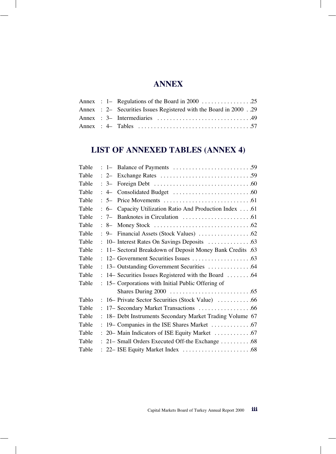## **ANNEX**

 $\overline{\phantom{a}}$ 

|  | Annex : 2- Securities Issues Registered with the Board in 2000. 29 |
|--|--------------------------------------------------------------------|
|  |                                                                    |
|  |                                                                    |

## **LIST OF ANNEXED TABLES (ANNEX 4)**

| Table | $\cdot$ 1-                                                                                       |
|-------|--------------------------------------------------------------------------------------------------|
| Table | $: 2-$                                                                                           |
| Table | $: 3-$                                                                                           |
| Table | $: 4-$                                                                                           |
| Table | $5 - 5$                                                                                          |
| Table | Capacity Utilization Ratio And Production Index 61<br>$: 6-$                                     |
| Table | $\cdot$ 7                                                                                        |
| Table | : 8—                                                                                             |
| Table | $Q_{-}$                                                                                          |
| Table | $\bullet$                                                                                        |
| Table | : 11 – Sectoral Breakdown of Deposit Money Bank Credits .63                                      |
| Table |                                                                                                  |
| Table | $\ddot{\cdot}$                                                                                   |
| Table |                                                                                                  |
| Table | 15– Corporations with Initial Public Offering of<br>$\ddot{\cdot}$                               |
|       |                                                                                                  |
| Tablo | $: 16$ – Private Sector Securities (Stock Value) $ \dots . 66$                                   |
| Table |                                                                                                  |
| Table | 18– Debt Instruments Secondary Market Trading Volume 67                                          |
| Table |                                                                                                  |
| Table | ۰.                                                                                               |
| Table | : 21– Small Orders Executed Off-the Exchange 68                                                  |
| Table | $: 22-$ ISE Equity Market Index $\ldots \ldots \ldots \ldots \ldots \ldots \ldots \ldots \ldots$ |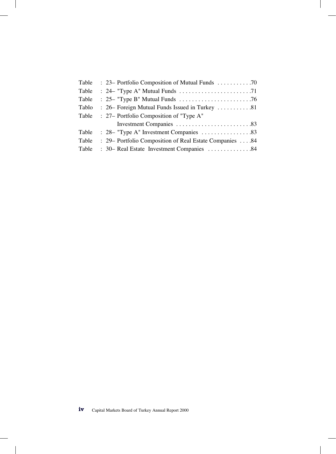| Table |                                                                                  |
|-------|----------------------------------------------------------------------------------|
| Table |                                                                                  |
| Table |                                                                                  |
| Tablo | : 26 Foreign Mutual Funds Issued in Turkey 81                                    |
| Table | : 27– Portfolio Composition of "Type A"                                          |
|       |                                                                                  |
| Table | $: 28$ – "Type A" Investment Companies $\dots \dots \dots \dots \dots \dots$ .83 |
| Table | : 29– Portfolio Composition of Real Estate Companies 84                          |
| Table | : 30– Real Estate Investment Companies 84                                        |

 $\overline{\phantom{a}}$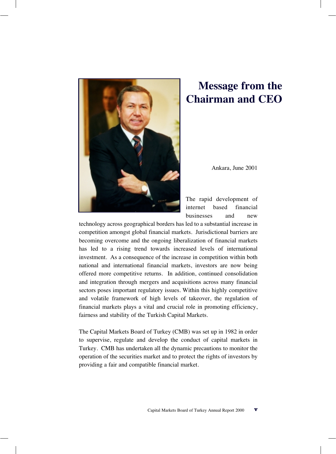

## **Message from the Chairman and CEO**

Ankara, June 2001

The rapid development of internet based financial businesses and new

technology across geographical borders has led to a substantial increase in competition amongst global financial markets. Jurisdictional barriers are becoming overcome and the ongoing liberalization of financial markets has led to a rising trend towards increased levels of international investment. As a consequence of the increase in competition within both national and international financial markets, investors are now being offered more competitive returns. In addition, continued consolidation and integration through mergers and acquisitions across many financial sectors poses important regulatory issues. Within this highly competitive and volatile framework of high levels of takeover, the regulation of financial markets plays a vital and crucial role in promoting efficiency, fairness and stability of the Turkish Capital Markets.

The Capital Markets Board of Turkey (CMB) was set up in 1982 in order to supervise, regulate and develop the conduct of capital markets in Turkey. CMB has undertaken all the dynamic precautions to monitor the operation of the securities market and to protect the rights of investors by providing a fair and compatible financial market.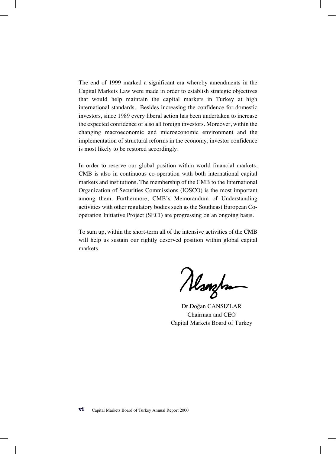The end of 1999 marked a significant era whereby amendments in the Capital Markets Law were made in order to establish strategic objectives that would help maintain the capital markets in Turkey at high international standards. Besides increasing the confidence for domestic investors, since 1989 every liberal action has been undertaken to increase the expected confidence of also all foreign investors. Moreover, within the changing macroeconomic and microeconomic environment and the implementation of structural reforms in the economy, investor confidence is most likely to be restored accordingly.

In order to reserve our global position within world financial markets, CMB is also in continuous co-operation with both international capital markets and institutions. The membership of the CMB to the International Organization of Securities Commissions (IOSCO) is the most important among them. Furthermore, CMB's Memorandum of Understanding activities with other regulatory bodies such as the Southeast European Cooperation Initiative Project (SECI) are progressing on an ongoing basis.

To sum up, within the short-term all of the intensive activities of the CMB will help us sustain our rightly deserved position within global capital markets.

Neagh

Dr.Doğan CANSIZLAR Chairman and CEO Capital Markets Board of Turkey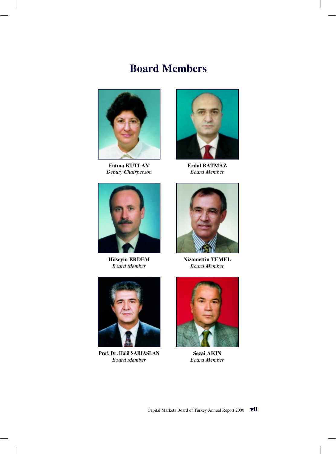## **Board Members**



**Fatma KUTLAY** *Deputy Chairperson*



**Hüseyin ERDEM** *Board Member*



**Erdal BATMAZ** *Board Member*



**Nizamettin TEMEL** *Board Member*



**Prof. Dr. Halil SARIASLAN** *Board Member*



**Sezai AKIN** *Board Member*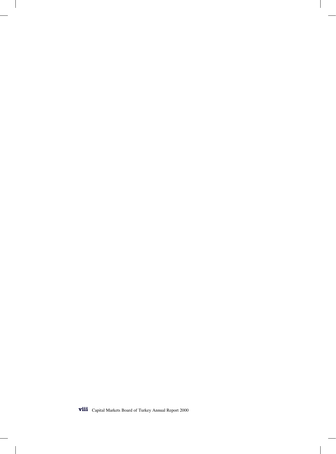**viii** Capital Markets Board of Turkey Annual Report 2000

 $\overline{\phantom{a}}$ 

 $\overline{\phantom{a}}$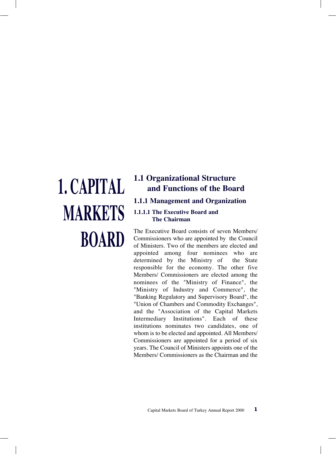# **1. CAPITAL MARKETS BOARD**

## **1.1 Organizational Structure and Functions of the Board 1.1.1 Management and Organization**

## **1.1.1.1 The Executive Board and The Chairman**

The Executive Board consists of seven Members/ Commissioners who are appointed by the Council of Ministers. Two of the members are elected and appointed among four nominees who are determined by the Ministry of the State responsible for the economy. The other five Members/ Commissioners are elected among the nominees of the "Ministry of Finance", the "Ministry of Industry and Commerce", the "Banking Regulatory and Supervisory Board", the "Union of Chambers and Commodity Exchanges", and the "Association of the Capital Markets Intermediary Institutions". Each of these institutions nominates two candidates, one of whom is to be elected and appointed. All Members/ Commissioners are appointed for a period of six years. The Council of Ministers appoints one of the Members/ Commissioners as the Chairman and the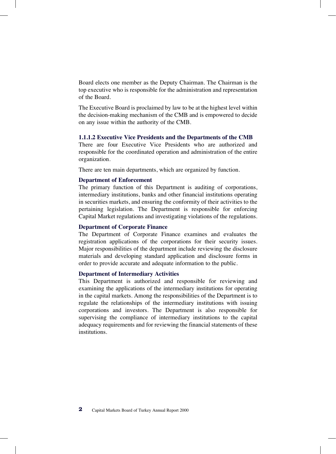Board elects one member as the Deputy Chairman. The Chairman is the top executive who is responsible for the administration and representation of the Board.

The Executive Board is proclaimed by law to be at the highest level within the decision-making mechanism of the CMB and is empowered to decide on any issue within the authority of the CMB.

#### **1.1.1.2 Executive Vice Presidents and the Departments of the CMB**

There are four Executive Vice Presidents who are authorized and responsible for the coordinated operation and administration of the entire organization.

There are ten main departments, which are organized by function.

#### **Department of Enforcement**

The primary function of this Department is auditing of corporations, intermediary institutions, banks and other financial institutions operating in securities markets, and ensuring the conformity of their activities to the pertaining legislation. The Department is responsible for enforcing Capital Market regulations and investigating violations of the regulations.

#### **Department of Corporate Finance**

The Department of Corporate Finance examines and evaluates the registration applications of the corporations for their security issues. Major responsibilities of the department include reviewing the disclosure materials and developing standard application and disclosure forms in order to provide accurate and adequate information to the public.

### **Department of Intermediary Activities**

This Department is authorized and responsible for reviewing and examining the applications of the intermediary institutions for operating in the capital markets. Among the responsibilities of the Department is to regulate the relationships of the intermediary institutions with issuing corporations and investors. The Department is also responsible for supervising the compliance of intermediary institutions to the capital adequacy requirements and for reviewing the financial statements of these institutions.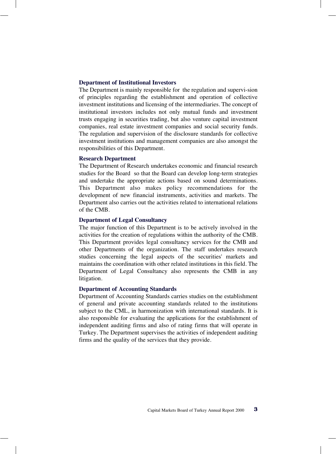#### **Department of Institutional Investors**

The Department is mainly responsible for the regulation and supervi-sion of principles regarding the establishment and operation of collective investment institutions and licensing of the intermediaries. The concept of institutional investors includes not only mutual funds and investment trusts engaging in securities trading, but also venture capital investment companies, real estate investment companies and social security funds. The regulation and supervision of the disclosure standards for collective investment institutions and management companies are also amongst the responsibilities of this Department.

#### **Research Department**

The Department of Research undertakes economic and financial research studies for the Board so that the Board can develop long-term strategies and undertake the appropriate actions based on sound determinations. This Department also makes policy recommendations for the development of new financial instruments, activities and markets. The Department also carries out the activities related to international relations of the CMB.

#### **Department of Legal Consultancy**

The major function of this Department is to be actively involved in the activities for the creation of regulations within the authority of the CMB. This Department provides legal consultancy services for the CMB and other Departments of the organization. The staff undertakes research studies concerning the legal aspects of the securities' markets and maintains the coordination with other related institutions in this field. The Department of Legal Consultancy also represents the CMB in any litigation.

#### **Department of Accounting Standards**

Department of Accounting Standards carries studies on the establishment of general and private accounting standards related to the institutions subject to the CML, in harmonization with international standards. It is also responsible for evaluating the applications for the establishment of independent auditing firms and also of rating firms that will operate in Turkey. The Department supervises the activities of independent auditing firms and the quality of the services that they provide.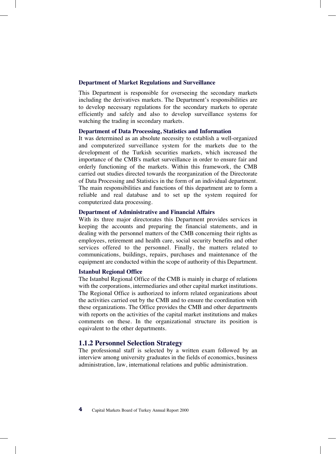#### **Department of Market Regulations and Surveillance**

This Department is responsible for overseeing the secondary markets including the derivatives markets. The Department's responsibilities are to develop necessary regulations for the secondary markets to operate efficiently and safely and also to develop surveillance systems for watching the trading in secondary markets.

#### **Department of Data Processing, Statistics and Information**

It was determined as an absolute necessity to establish a well-organized and computerized surveillance system for the markets due to the development of the Turkish securities markets, which increased the importance of the CMB's market surveillance in order to ensure fair and orderly functioning of the markets. Within this framework, the CMB carried out studies directed towards the reorganization of the Directorate of Data Processing and Statistics in the form of an individual department. The main responsibilities and functions of this department are to form a reliable and real database and to set up the system required for computerized data processing.

## **Department of Administrative and Financial Affairs**

With its three major directorates this Department provides services in keeping the accounts and preparing the financial statements, and in dealing with the personnel matters of the CMB concerning their rights as employees, retirement and health care, social security benefits and other services offered to the personnel. Finally, the matters related to communications, buildings, repairs, purchases and maintenance of the equipment are conducted within the scope of authority of this Department.

#### **Istanbul Regional Office**

The Istanbul Regional Office of the CMB is mainly in charge of relations with the corporations, intermediaries and other capital market institutions. The Regional Office is authorized to inform related organizations about the activities carried out by the CMB and to ensure the coordination with these organizations. The Office provides the CMB and other departments with reports on the activities of the capital market institutions and makes comments on these. In the organizational structure its position is equivalent to the other departments.

## **1.1.2 Personnel Selection Strategy**

The professional staff is selected by a written exam followed by an interview among university graduates in the fields of economics, business administration, law, international relations and public administration.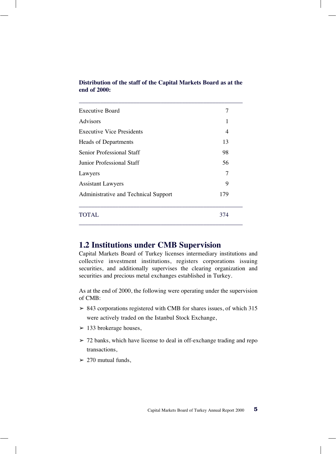## **Distribution of the staff of the Capital Markets Board as at the end of 2000:**

| <b>Executive Board</b>               | 7   |
|--------------------------------------|-----|
| <b>Advisors</b>                      |     |
| <b>Executive Vice Presidents</b>     | 4   |
| <b>Heads of Departments</b>          | 13  |
| <b>Senior Professional Staff</b>     | 98  |
| <b>Junior Professional Staff</b>     | 56  |
| Lawyers                              | 7   |
| <b>Assistant Lawyers</b>             | 9   |
| Administrative and Technical Support | 179 |
| <b>TOTAL</b>                         | 374 |
|                                      |     |

## **1.2 Institutions under CMB Supervision**

Capital Markets Board of Turkey licenses intermediary institutions and collective investment institutions, registers corporations issuing securities, and additionally supervises the clearing organization and securities and precious metal exchanges established in Turkey.

As at the end of 2000, the following were operating under the supervision of CMB:

- $> 843$  corporations registered with CMB for shares issues, of which 315 were actively traded on the Istanbul Stock Exchange,
- $>$  133 brokerage houses,
- $>$  72 banks, which have license to deal in off-exchange trading and repo transactions,
- $>$  270 mutual funds,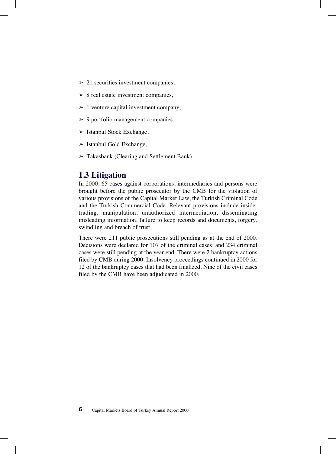- $>$  21 securities investment companies,
- $> 8$  real estate investment companies,
- $\geq 1$  venture capital investment company,
- $\geq 9$  portfolio management companies,
- ➢ Istanbul Stock Exchange,
- $\triangleright$  Istanbul Gold Exchange,
- ➢ Takasbank (Clearing and Settlement Bank).

## **1.3 Litigation**

In 2000, 65 cases against corporations, intermediaries and persons were brought before the public prosecutor by the CMB for the violation of various provisions of the Capital Market Law, the Turkish Criminal Code and the Turkish Commercial Code. Relevant provisions include insider trading, manipulation, unauthorized intermediation, disseminating misleading information, failure to keep records and documents, forgery, swindling and breach of trust.

There were 211 public prosecutions still pending as at the end of 2000. Decisions were declared for 107 of the criminal cases, and 234 criminal cases were still pending at the year end. There were 2 bankruptcy actions filed by CMB during 2000. Insolvency proceedings continued in 2000 for 12 of the bankruptcy cases that had been finalized. Nine of the civil cases filed by the CMB have been adjudicated in 2000.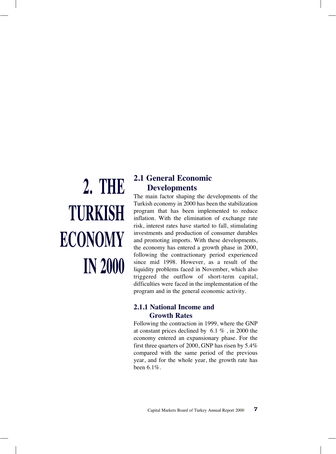# **2. THE TURKISH ECONOMY IN 2000**

## **2.1 General Economic Developments**

The main factor shaping the developments of the Turkish economy in 2000 has been the stabilization program that has been implemented to reduce inflation. With the elimination of exchange rate risk, interest rates have started to fall, stimulating investments and production of consumer durables and promoting imports. With these developments, the economy has entered a growth phase in 2000, following the contractionary period experienced since mid 1998. However, as a result of the liquidity problems faced in November, which also triggered the outflow of short-term capital, difficulties were faced in the implementation of the program and in the general economic activity.

## **2.1.1 National Income and Growth Rates**

Following the contraction in 1999, where the GNP at constant prices declined by 6.1 % , in 2000 the economy entered an expansionary phase. For the first three quarters of 2000, GNP has risen by 5.4% compared with the same period of the previous year, and for the whole year, the growth rate has been 6.1%.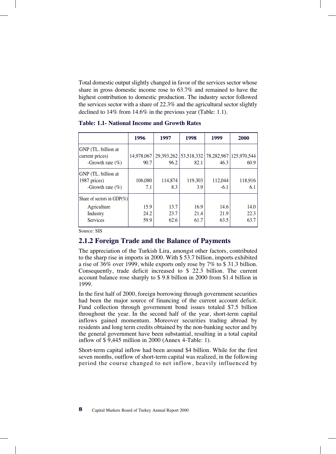Total domestic output slightly changed in favor of the services sector whose share in gross domestic income rose to 63.7% and remained to have the highest contribution to domestic production. The industry sector followed the services sector with a share of 22.3% and the agricultural sector slightly declined to 14% from 14.6% in the previous year (Table: 1.1).

|                                                             | 1996                 | 1997                 | 1998                      | 1999                 | 2000                         |
|-------------------------------------------------------------|----------------------|----------------------|---------------------------|----------------------|------------------------------|
| GNP (TL. billion at<br>current prices)                      | 14,978,067           |                      | 29, 393, 262 53, 518, 332 |                      | 78, 282, 967   125, 970, 544 |
| -Growth rate $(\% )$                                        | 90.7                 | 96.2                 | 82.1                      | 46.3                 | 60.9                         |
| GNP (TL. billion at<br>1987 prices)<br>-Growth rate $(\% )$ | 106,080<br>7.1       | 114,874<br>8.3       | 119,303<br>3.9            | 112,044<br>$-6.1$    | 118,916<br>6.1               |
| Share of sectors in GDP $(\%)$                              |                      |                      |                           |                      |                              |
| Agriculture<br>Industry<br>Services                         | 15.9<br>24.2<br>59.9 | 13.7<br>23.7<br>62.6 | 16.9<br>21.4<br>61.7      | 14.6<br>21.9<br>63.5 | 14.0<br>22.3<br>63.7         |

**Table: 1.1- National Income and Growth Rates**

Source: SIS

## **2.1.2 Foreign Trade and the Balance of Payments**

The appreciation of the Turkish Lira, amongst other factors, contributed to the sharp rise in imports in 2000. With \$ 53.7 billion, imports exhibited a rise of 36% over 1999, while exports only rose by 7% to \$ 31.3 billion. Consequently, trade deficit increased to \$ 22.3 billion. The current account balance rose sharply to \$ 9.8 billion in 2000 from \$1.4 billion in 1999.

In the first half of 2000, foreign borrowing through government securities had been the major source of financing of the current account deficit. Fund collection through government bond issues totaled \$7.5 billion throughout the year. In the second half of the year, short-term capital inflows gained momentum. Moreover securities trading abroad by residents and long term credits obtained by the non-banking sector and by the general government have been substantial, resulting in a total capital inflow of \$ 9,445 million in 2000 (Annex 4-Table: 1).

Short-term capital inflow had been around \$4 billion. While for the first seven months, outflow of short-term capital was realized, in the following period the course changed to net inflow, heavily influenced by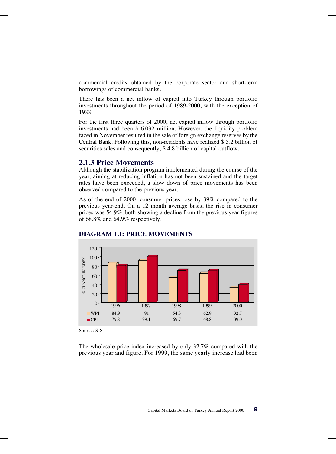commercial credits obtained by the corporate sector and short-term borrowings of commercial banks.

There has been a net inflow of capital into Turkey through portfolio investments throughout the period of 1989-2000, with the exception of 1988.

For the first three quarters of 2000, net capital inflow through portfolio investments had been \$ 6,032 million. However, the liquidity problem faced in November resulted in the sale of foreign exchange reserves by the Central Bank. Following this, non-residents have realized \$ 5.2 billion of securities sales and consequently, \$ 4.8 billion of capital outflow.

## **2.1.3 Price Movements**

Although the stabilization program implemented during the course of the year, aiming at reducing inflation has not been sustained and the target rates have been exceeded, a slow down of price movements has been observed compared to the previous year.

As of the end of 2000, consumer prices rose by 39% compared to the previous year-end. On a 12 month average basis, the rise in consumer prices was 54.9%, both showing a decline from the previous year figures of 68.8% and 64.9% respectively.



## **DIAGRAM 1.1: PRICE MOVEMENTS**

Source: SIS

The wholesale price index increased by only 32.7% compared with the previous year and figure. For 1999, the same yearly increase had been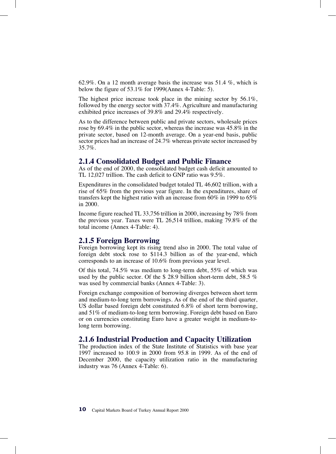62.9%. On a 12 month average basis the increase was 51.4 %, which is below the figure of 53.1% for 1999(Annex 4-Table: 5).

The highest price increase took place in the mining sector by 56.1%, followed by the energy sector with 37.4%. Agriculture and manufacturing exhibited price increases of 39.8% and 29.4% respectively.

As to the difference between public and private sectors, wholesale prices rose by 69.4% in the public sector, whereas the increase was 45.8% in the private sector, based on 12-month average. On a year-end basis, public sector prices had an increase of 24.7% whereas private sector increased by 35.7%.

### **2.1.4 Consolidated Budget and Public Finance**

As of the end of 2000, the consolidated budget cash deficit amounted to TL 12,027 trillion. The cash deficit to GNP ratio was 9.5%.

Expenditures in the consolidated budget totaled TL 46,602 trillion, with a rise of 65% from the previous year figure. In the expenditures, share of transfers kept the highest ratio with an increase from 60% in 1999 to 65% in 2000.

Income figure reached TL 33,756 trillion in 2000, increasing by 78% from the previous year. Taxes were TL 26,514 trillion, making 79.8% of the total income (Annex 4-Table: 4).

## **2.1.5 Foreign Borrowing**

Foreign borrowing kept its rising trend also in 2000. The total value of foreign debt stock rose to \$114.3 billion as of the year-end, which corresponds to an increase of 10.6% from previous year level.

Of this total, 74.5% was medium to long-term debt, 55% of which was used by the public sector. Of the \$ 28.9 billion short-term debt, 58.5 % was used by commercial banks (Annex 4-Table: 3).

Foreign exchange composition of borrowing diverges between short term and medium-to-long term borrowings. As of the end of the third quarter, US dollar based foreign debt constituted 6.8% of short term borrowing, and 51% of medium-to-long term borrowing. Foreign debt based on Euro or on currencies constituting Euro have a greater weight in medium-tolong term borrowing.

## **2.1.6 Industrial Production and Capacity Utilization**

The production index of the State Institute of Statistics with base year 1997 increased to 100.9 in 2000 from 95.8 in 1999. As of the end of December 2000, the capacity utilization ratio in the manufacturing industry was 76 (Annex 4-Table: 6).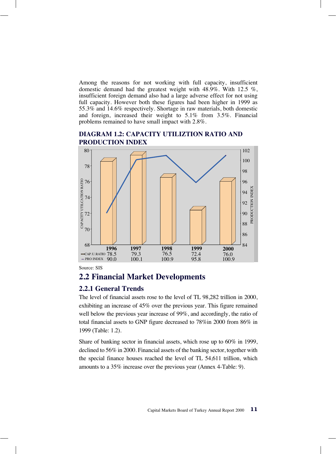Among the reasons for not working with full capacity, insufficient domestic demand had the greatest weight with  $48.9\%$ . With  $12.5\%$ , insufficient foreign demand also had a large adverse effect for not using full capacity. However both these figures had been higher in 1999 as 55.3% and 14.6% respectively. Shortage in raw materials, both domestic and foreign, increased their weight to 5.1% from 3.5%. Financial problems remained to have small impact with 2.8%.

## **DIAGRAM 1.2: CAPACITY UTILIZTION RATIO AND PRODUCTION INDEX**



Source: SIS

## **2.2 Financial Market Developments**

## **2.2.1 General Trends**

The level of financial assets rose to the level of TL 98,282 trillion in 2000, exhibiting an increase of 45% over the previous year. This figure remained well below the previous year increase of 99%, and accordingly, the ratio of total financial assets to GNP figure decreased to 78%in 2000 from 86% in 1999 (Table: 1.2).

Share of banking sector in financial assets, which rose up to 60% in 1999, declined to 56% in 2000. Financial assets of the banking sector, together with the special finance houses reached the level of TL 54,611 trillion, which amounts to a 35% increase over the previous year (Annex 4-Table: 9).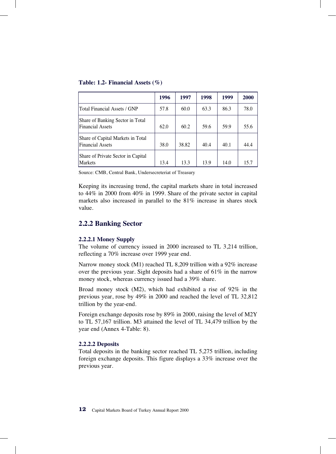|                                                              | 1996 | 1997  | 1998 | 1999 | 2000 |
|--------------------------------------------------------------|------|-------|------|------|------|
| Total Financial Assets / GNP                                 | 57.8 | 60.0  | 63.3 | 86.3 | 78.0 |
| Share of Banking Sector in Total<br><b>Financial Assets</b>  | 62.0 | 60.2  | 59.6 | 59.9 | 55.6 |
| Share of Capital Markets in Total<br><b>Financial Assets</b> | 38.0 | 38.82 | 40.4 | 40.1 | 44.4 |
| Share of Private Sector in Capital<br>Markets                | 13.4 | 13.3  | 13.9 | 14.0 | 15.7 |

#### **Table: 1.2- Financial Assets (%)**

Source: CMB, Central Bank, Undersecreteriat of Treasury

Keeping its increasing trend, the capital markets share in total increased to 44% in 2000 from 40% in 1999. Share of the private sector in capital markets also increased in parallel to the 81% increase in shares stock value.

## **2.2.2 Banking Sector**

#### **2.2.2.1 Money Supply**

The volume of currency issued in 2000 increased to TL 3,214 trillion, reflecting a 70% increase over 1999 year end.

Narrow money stock (M1) reached TL 8,209 trillion with a 92% increase over the previous year. Sight deposits had a share of 61% in the narrow money stock, whereas currency issued had a 39% share.

Broad money stock (M2), which had exhibited a rise of 92% in the previous year, rose by 49% in 2000 and reached the level of TL 32,812 trillion by the year-end.

Foreign exchange deposits rose by 89% in 2000, raising the level of M2Y to TL 57,167 trillion. M3 attained the level of TL 34,479 trillion by the year end (Annex 4-Table: 8).

### **2.2.2.2 Deposits**

Total deposits in the banking sector reached TL 5,275 trillion, including foreign exchange deposits. This figure displays a 33% increase over the previous year.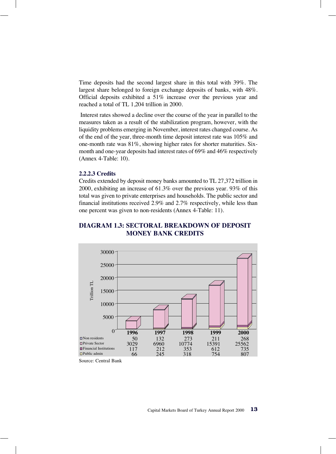Time deposits had the second largest share in this total with 39%. The largest share belonged to foreign exchange deposits of banks, with 48%. Official deposits exhibited a 51% increase over the previous year and reached a total of TL 1,204 trillion in 2000.

Interest rates showed a decline over the course of the year in parallel to the measures taken as a result of the stabilization program, however, with the liquidity problems emerging in November, interest rates changed course. As of the end of the year, three-month time deposit interest rate was 105% and one-month rate was 81%, showing higher rates for shorter maturities. Sixmonth and one-year deposits had interest rates of 69% and 46% respectively (Annex 4-Table: 10).

#### **2.2.2.3 Credits**

Credits extended by deposit money banks amounted to TL 27,372 trillion in 2000, exhibiting an increase of 61.3% over the previous year. 93% of this total was given to private enterprises and households. The public sector and financial institutions received 2.9% and 2.7% respectively, while less than one percent was given to non-residents (Annex 4-Table: 11).

## **DIAGRAM 1.3: SECTORAL BREAKDOWN OF DEPOSIT MONEY BANK CREDITS**



Source: Central Bank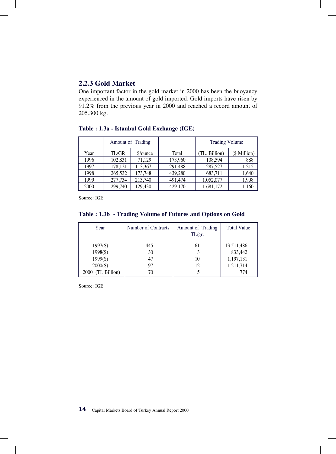## **2.2.3 Gold Market**

One important factor in the gold market in 2000 has been the buoyancy experienced in the amount of gold imported. Gold imports have risen by 91.2% from the previous year in 2000 and reached a record amount of 205,300 kg.

## **Table : 1.3a - Istanbul Gold Exchange (IGE)**

|      | Amount of Trading |          |         | <b>Trading Volume</b> |              |  |
|------|-------------------|----------|---------|-----------------------|--------------|--|
| Year | TL/GR             | \$/ounce | Total   | (TL. Billion)         | (\$ Million) |  |
| 1996 | 102,831           | 71,129   | 173,960 | 108,594               | 888          |  |
| 1997 | 178,121           | 113,367  | 291,488 | 287,527               | 1,215        |  |
| 1998 | 265,532           | 173,748  | 439,280 | 683,711               | 1,640        |  |
| 1999 | 277,734           | 213,740  | 491,474 | 1,052,077             | 1,908        |  |
| 2000 | 299,740           | 129,430  | 429,170 | 1,681,172             | 1,160        |  |

Source: IGE

| Year                                                                         | Number of Contracts         | Amount of Trading<br>TL/gr. | <b>Total Value</b>                                     |
|------------------------------------------------------------------------------|-----------------------------|-----------------------------|--------------------------------------------------------|
| $1997($ \$)<br>$1998($ \$)<br>$1999($ \$)<br>$2000(\$)$<br>2000 (TL Billion) | 445<br>30<br>47<br>97<br>70 | 61<br>10<br>12              | 13,511,486<br>833,442<br>1,197,131<br>1,211,714<br>774 |

Source: IGE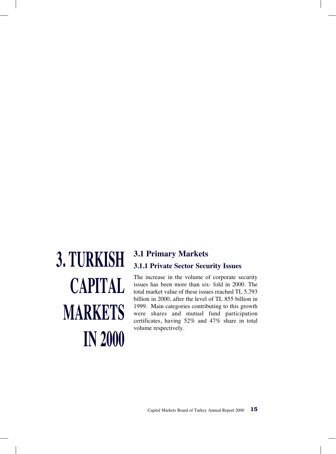# **3. TURKISH CAPITAL MARKETS IN 2000**

## **3.1 Primary Markets**

## **3.1.1 Private Sector Security Issues**

The increase in the volume of corporate security issues has been more than six- fold in 2000. The total market value of these issues reached TL 5,793 billion in 2000, after the level of TL 855 billion in 1999. Main categories contributing to this growth were shares and mutual fund participation certificates, having 52% and 47% share in total volume respectively.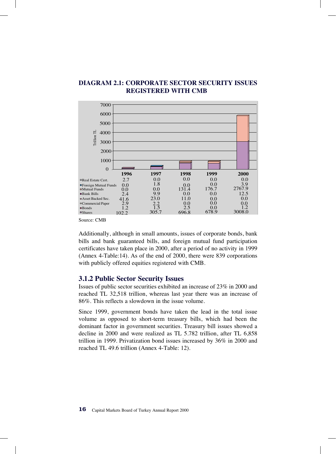## **DIAGRAM 2.1: CORPORATE SECTOR SECURITY ISSUES REGISTERED WITH CMB**



Source: CMB

Additionally, although in small amounts, issues of corporate bonds, bank bills and bank guaranteed bills, and foreign mutual fund participation certificates have taken place in 2000, after a period of no activity in 1999 (Annex 4-Table:14). As of the end of 2000, there were 839 corporations with publicly offered equities registered with CMB.

## **3.1.2 Public Sector Security Issues**

Issues of public sector securities exhibited an increase of 23% in 2000 and reached TL 32,518 trillion, whereas last year there was an increase of 86%. This reflects a slowdown in the issue volume.

Since 1999, government bonds have taken the lead in the total issue volume as opposed to short-term treasury bills, which had been the dominant factor in government securities. Treasury bill issues showed a decline in 2000 and were realized as TL 5.782 trillion, after TL 6,858 trillion in 1999. Privatization bond issues increased by 36% in 2000 and reached TL 49.6 trillion (Annex 4-Table: 12).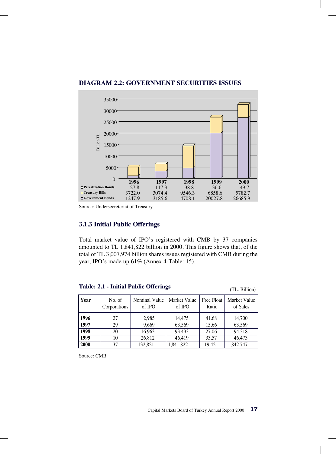

### **DIAGRAM 2.2: GOVERNMENT SECURITIES ISSUES**

Source: Undersecreteriat of Treasury

## **3.1.3 Initial Public Offerings**

Total market value of IPO's registered with CMB by 37 companies amounted to TL 1,841,822 billion in 2000. This figure shows that, of the total of TL 3,007,974 billion shares issues registered with CMB during the year, IPO's made up 61% (Annex 4-Table: 15).

**Table: 2.1 - Initial Public Offerings**

(TL. Billion)

| Year | No. of<br>Corporations | Nominal Value<br>of IPO | Market Value<br>of IPO | Free Float<br>Ratio | Market Value<br>of Sales |
|------|------------------------|-------------------------|------------------------|---------------------|--------------------------|
| 1996 | 27                     | 2,985                   | 14,475                 | 41.68               | 14,700                   |
| 1997 | 29                     | 9.669                   | 63.569                 | 15.66               | 63,569                   |
| 1998 | 20                     | 16,963                  | 93,433                 | 27.06               | 94,318                   |
| 1999 | 10                     | 26,812                  | 46,419                 | 33.57               | 46,473                   |
| 2000 | 37                     | 132,821                 | 1,841,822              | 19.42               | 1,842,747                |

Source: CMB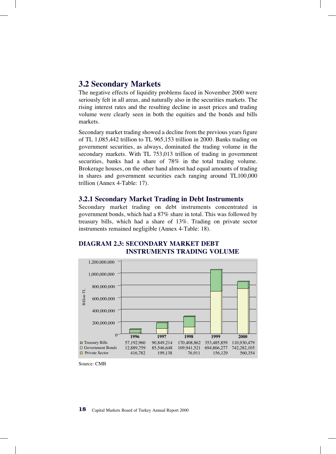## **3.2 Secondary Markets**

The negative effects of liquidity problems faced in November 2000 were seriously felt in all areas, and naturally also in the securities markets. The rising interest rates and the resulting decline in asset prices and trading volume were clearly seen in both the equities and the bonds and bills markets.

Secondary market trading showed a decline from the previous years figure of TL 1,085,442 trillion to TL 965,153 trillion in 2000. Banks trading on government securities, as always, dominated the trading volume in the secondary markets. With TL 753,013 trillion of trading in government securities, banks had a share of 78% in the total trading volume. Brokerage houses, on the other hand almost had equal amounts of trading in shares and government securities each ranging around TL100,000 trillion (Annex 4-Table: 17).

## **3.2.1 Secondary Market Trading in Debt Instruments**

Secondary market trading on debt instruments concentrated in government bonds, which had a 87% share in total. This was followed by treasury bills, which had a share of 13%. Trading on private sector instruments remained negligible (Annex 4-Table: 18).

## **DIAGRAM 2.3: SECONDARY MARKET DEBT INSTRUMENTS TRADING VOLUME**



Source: CMB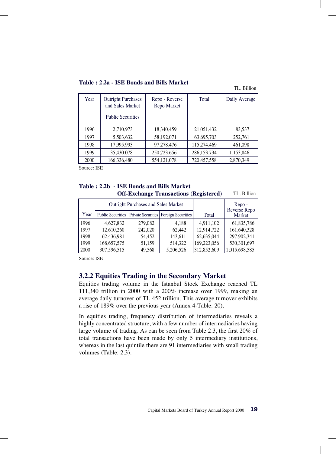| Table: 2.2a - ISE Bonds and Bills Market |  |  |  |  |  |
|------------------------------------------|--|--|--|--|--|
|------------------------------------------|--|--|--|--|--|

| TL. Billion |  |
|-------------|--|
|             |  |

| Year | <b>Outright Purchases</b><br>and Sales Market<br><b>Public Securities</b> | Repo - Reverse<br>Repo Market | Total         | Daily Average |
|------|---------------------------------------------------------------------------|-------------------------------|---------------|---------------|
| 1996 | 2,710,973                                                                 | 18,340,459                    | 21,051,432    | 83,537        |
| 1997 | 5,503,632                                                                 | 58,192,071                    | 63,695,703    | 252,761       |
| 1998 | 17,995,993                                                                | 97,278,476                    | 115,274,469   | 461,098       |
| 1999 | 35,430,078                                                                | 250,723,656                   | 286, 153, 734 | 1,153,846     |
| 2000 | 166,336,480                                                               | 554,121,078                   | 720,457,558   | 2,870,349     |

Source: ISE

**Table : 2.2b - ISE Bonds and Bills Market Off-Exchange Transactions (Registered)** TL. Billion

|        | Outright Purchases and Sales Market |         |                                                             |             | Repo -<br>Reverse Repo |
|--------|-------------------------------------|---------|-------------------------------------------------------------|-------------|------------------------|
| Year   |                                     |         | Public Securities   Private Securities   Foreign Securities | Total       | Market                 |
| 1996   | 4,627,832                           | 279,082 | 4,188                                                       | 4,911,102   | 61,835,786             |
| 1997   | 12,610,260                          | 242,020 | 62.442                                                      | 12,914,722  | 161,640,328            |
| 1998   | 62,436,981                          | 54,452  | 143,611                                                     | 62,635,044  | 297,902,341            |
| 1999   | 168, 657, 575                       | 51,159  | 514,322                                                     | 169,223,056 | 530, 301, 697          |
| l 2000 | 307,596,515                         | 49,568  | 5,206,526                                                   | 312,852,609 | 1,015,698,585          |

Source: ISE

## **3.2.2 Equities Trading in the Secondary Market**

Equities trading volume in the Istanbul Stock Exchange reached TL 111,340 trillion in 2000 with a 200% increase over 1999, making an average daily turnover of TL 452 trillion. This average turnover exhibits a rise of 189% over the previous year (Annex 4-Table: 20).

In equities trading, frequency distribution of intermediaries reveals a highly concentrated structure, with a few number of intermediaries having large volume of trading. As can be seen from Table 2.3, the first 20% of total transactions have been made by only 5 intermediary institutions, whereas in the last quintile there are 91 intermediaries with small trading volumes (Table: 2.3).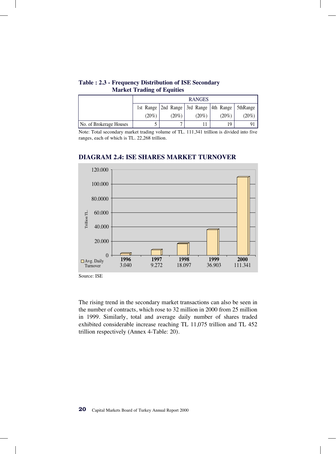|                                   | Table : 2.3 - Frequency Distribution of ISE Secondary |  |  |  |  |
|-----------------------------------|-------------------------------------------------------|--|--|--|--|
| <b>Market Trading of Equities</b> |                                                       |  |  |  |  |
|                                   |                                                       |  |  |  |  |

|                         | <b>RANGES</b> |                                                             |          |          |          |  |
|-------------------------|---------------|-------------------------------------------------------------|----------|----------|----------|--|
|                         |               | 1st Range   2nd Range   3rd Range   4th Range  <br>5thRange |          |          |          |  |
|                         | $(20\%)$      | $(20\%)$                                                    | $(20\%)$ | $(20\%)$ | $(20\%)$ |  |
| No. of Brokerage Houses |               |                                                             |          | 10       |          |  |

Note: Total secondary market trading volume of TL. 111,341 trillion is divided into five ranges, each of which is TL. 22,268 trillion.



## **DIAGRAM 2.4: ISE SHARES MARKET TURNOVER**

Source: ISE

The rising trend in the secondary market transactions can also be seen in the number of contracts, which rose to 32 million in 2000 from 25 million in 1999. Similarly, total and average daily number of shares traded exhibited considerable increase reaching TL 11,075 trillion and TL 452 trillion respectively (Annex 4-Table: 20).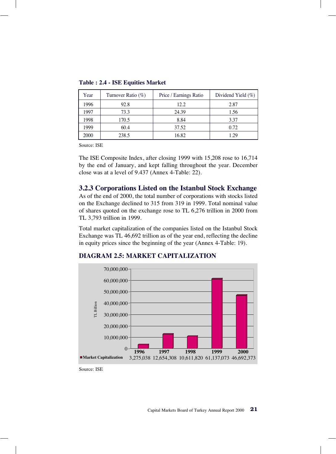| Year | Turnover Ratio $(\%)$ | Price / Earnings Ratio | Dividend Yield (%) |
|------|-----------------------|------------------------|--------------------|
| 1996 | 92.8                  | 12.2                   | 2.87               |
| 1997 | 73.3                  | 24.39                  | 1.56               |
| 1998 | 170.5                 | 8.84                   | 3.37               |
| 1999 | 60.4                  | 37.52                  | 0.72               |
| 2000 | 238.5                 | 16.82                  | 1.29               |

**Table : 2.4 - ISE Equities Market**

Source: ISE

The ISE Composite Index, after closing 1999 with 15,208 rose to 16,714 by the end of January, and kept falling throughout the year. December close was at a level of 9.437 (Annex 4-Table: 22).

## **3.2.3 Corporations Listed on the Istanbul Stock Exchange**

As of the end of 2000, the total number of corporations with stocks listed on the Exchange declined to 315 from 319 in 1999. Total nominal value of shares quoted on the exchange rose to TL 6,276 trillion in 2000 from TL 3,793 trillion in 1999.

Total market capitalization of the companies listed on the Istanbul Stock Exchange was TL 46,692 trillion as of the year end, reflecting the decline in equity prices since the beginning of the year (Annex 4-Table: 19).

## 70,000,000 60,000,000 50,000,000 40,000,000 TL Billion TL Billion 30,000,000 20,000,000 10,000,000  $0<sup>1</sup>$ **1996 1997 1998 1999 2000 Market Capitalization** 3,275,038 12,654,308 10,611,820 61,137,073 46,692,373

## **DIAGRAM 2.5: MARKET CAPITALIZATION**

Source: ISE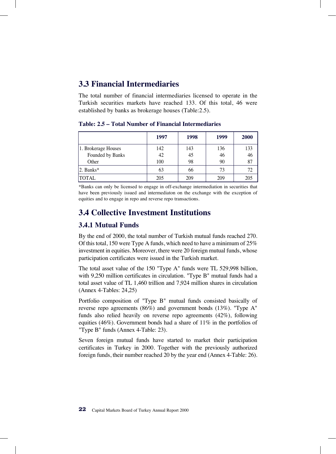## **3.3 Financial Intermediaries**

The total number of financial intermediaries licensed to operate in the Turkish securities markets have reached 133. Of this total, 46 were established by banks as brokerage houses (Table:2.5).

|                     | 1997 | 1998 | 1999 | 2000 |
|---------------------|------|------|------|------|
| 1. Brokerage Houses | 142  | 143  | 136  | 133  |
| Founded by Banks    | 42   | 45   | 46   | 46   |
| Other               | 100  | 98   | 90   | 87   |
| $2.$ Banks*         | 63   | 66   | 73   | 72   |
| <b>TOTAL</b>        | 205  | 209  | 209  | 205  |

**Table: 2.5 – Total Number of Financial Intermediaries**

\*Banks can only be licensed to engage in off-exchange intermediation in securities that have been previously issued and intermediaton on the exchange with the exception of equities and to engage in repo and reverse repo transactions.

## **3.4 Collective Investment Institutions**

## **3.4.1 Mutual Funds**

By the end of 2000, the total number of Turkish mutual funds reached 270. Of this total, 150 were Type A funds, which need to have a minimum of 25% investment in equities. Moreover, there were 20 foreign mutual funds, whose participation certificates were issued in the Turkish market.

The total asset value of the 150 "Type A" funds were TL 529,998 billion, with 9,250 million certificates in circulation. "Type B" mutual funds had a total asset value of TL 1,460 trillion and 7,924 million shares in circulation (Annex 4-Tables: 24,25)

Portfolio composition of "Type B" mutual funds consisted basically of reverse repo agreements (86%) and government bonds (13%). "Type A" funds also relied heavily on reverse repo agreements (42%), following equities (46%). Government bonds had a share of 11% in the portfolios of "Type B" funds (Annex 4-Table: 23).

Seven foreign mutual funds have started to market their participation certificates in Turkey in 2000. Together with the previously authorized foreign funds, their number reached 20 by the year end (Annex 4-Table: 26).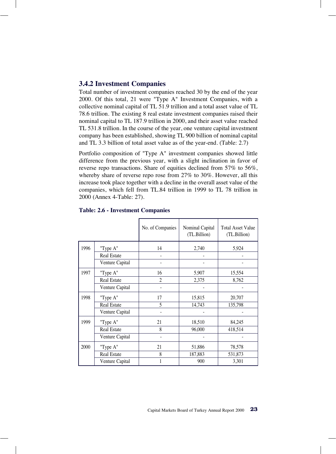## **3.4.2 Investment Companies**

Total number of investment companies reached 30 by the end of the year 2000. Of this total, 21 were "Type A" Investment Companies, with a collective nominal capital of TL 51.9 trillion and a total asset value of TL 78.6 trillion. The existing 8 real estate investment companies raised their nominal capital to TL 187.9 trillion in 2000, and their asset value reached TL 531.8 trillion. In the course of the year, one venture capital investment company has been established, showing TL 900 billion of nominal capital and TL 3.3 billion of total asset value as of the year-end. (Table: 2.7)

Portfolio composition of "Type A" investment companies showed little difference from the previous year, with a slight inclination in favor of reverse repo transactions. Share of equities declined from 57% to 56%, whereby share of reverse repo rose from 27% to 30%. However, all this increase took place together with a decline in the overall asset value of the companies, which fell from TL.84 trillion in 1999 to TL 78 trillion in 2000 (Annex 4-Table: 27).

|      |                    | No. of Companies | Nominal Capital<br>(TL.Billion) | <b>Total Asset Value</b><br>(TL.Billion) |
|------|--------------------|------------------|---------------------------------|------------------------------------------|
| 1996 | "Type A"           | 14               | 2,740                           | 5,924                                    |
|      | <b>Real Estate</b> |                  |                                 |                                          |
|      | Venture Capital    |                  |                                 |                                          |
| 1997 | "Type A"           | 16               | 5,907                           | 15,554                                   |
|      | <b>Real Estate</b> | $\overline{c}$   | 2,375                           | 8,762                                    |
|      | Venture Capital    |                  |                                 |                                          |
| 1998 | "Type A"           | 17               | 15,815                          | 20,707                                   |
|      | <b>Real Estate</b> | 5                | 14,743                          | 135,798                                  |
|      | Venture Capital    |                  |                                 |                                          |
| 1999 | "Type A"           | 21               | 18,510                          | 84,245                                   |
|      | <b>Real Estate</b> | 8                | 96,000                          | 418,514                                  |
|      | Venture Capital    |                  |                                 |                                          |
| 2000 | "Type A"           | 21               | 51,886                          | 78,578                                   |
|      | <b>Real Estate</b> | 8                | 187,883                         | 531,873                                  |
|      | Venture Capital    |                  | 900                             | 3,301                                    |

### **Table: 2.6 - Investment Companies**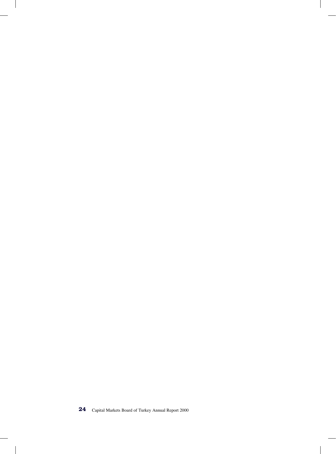24 Capital Markets Board of Turkey Annual Report 2000

 $\overline{\phantom{a}}$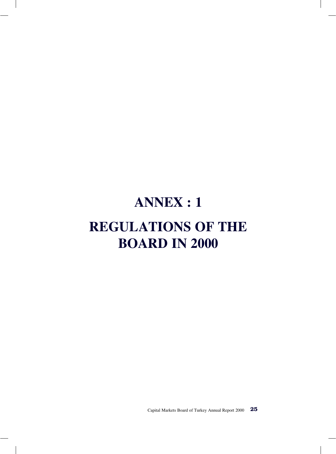# **ANNEX : 1**

# **REGULATIONS OF THE BOARD IN 2000**

Capital Markets Board of Turkey Annual Report 2000 25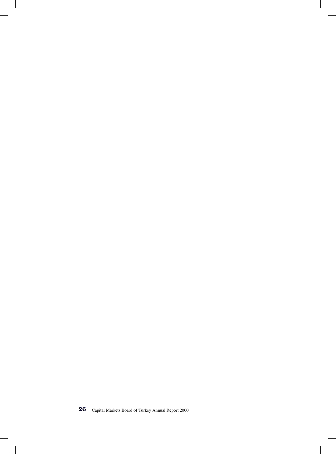26 Capital Markets Board of Turkey Annual Report 2000

 $\overline{\phantom{a}}$ 

 $\overline{\phantom{a}}$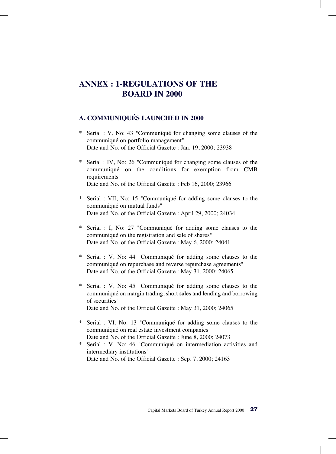## **ANNEX : 1-REGULATIONS OF THE BOARD IN 2000**

## **A. COMMUNIQUÉS LAUNCHED IN 2000**

- \* Serial : V, No: 43 "Communiqué for changing some clauses of the communiqué on portfolio management" Date and No. of the Official Gazette : Jan. 19, 2000; 23938
- \* Serial : IV, No: 26 "Communiqué for changing some clauses of the communiqué on the conditions for exemption from CMB requirements" Date and No. of the Official Gazette : Feb 16, 2000; 23966
- \* Serial : VII, No: 15 "Communiqué for adding some clauses to the communiqué on mutual funds" Date and No. of the Official Gazette : April 29, 2000; 24034
- \* Serial : I, No: 27 "Communiqué for adding some clauses to the communiqué on the registration and sale of shares" Date and No. of the Official Gazette : May 6, 2000; 24041
- \* Serial : V, No: 44 "Communiqué for adding some clauses to the communiqué on repurchase and reverse repurchase agreements" Date and No. of the Official Gazette : May 31, 2000; 24065
- \* Serial : V, No: 45 "Communiqué for adding some clauses to the communiqué on margin trading, short sales and lending and borrowing of securities" Date and No. of the Official Gazette : May 31, 2000; 24065
- \* Serial : VI, No: 13 "Communiqué for adding some clauses to the communiqué on real estate investment companies" Date and No. of the Official Gazette : June 8, 2000; 24073
- Serial : V, No: 46 "Communiqué on intermediation activities and intermediary institutions" Date and No. of the Official Gazette : Sep. 7, 2000; 24163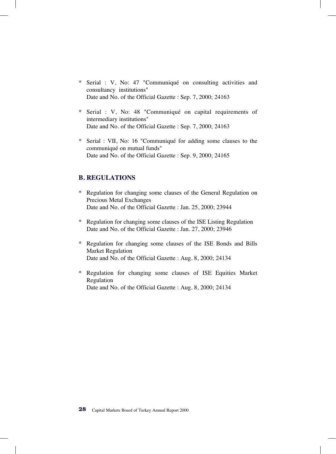- \* Serial : V, No: 47 "Communiqué on consulting activities and consultancy institutions" Date and No. of the Official Gazette : Sep. 7, 2000; 24163
- \* Serial : V, No: 48 "Communiqué on capital requirements of intermediary institutions" Date and No. of the Official Gazette : Sep. 7, 2000; 24163
- \* Serial : VII, No: 16 "Communiqué for adding some clauses to the communiqué on mutual funds" Date and No. of the Official Gazette : Sep. 9, 2000; 24165

## **B. REGULATIONS**

- \* Regulation for changing some clauses of the General Regulation on Precious Metal Exchanges Date and No. of the Official Gazette : Jan. 25, 2000; 23944
- \* Regulation for changing some clauses of the ISE Listing Regulation Date and No. of the Official Gazette : Jan. 27, 2000; 23946
- \* Regulation for changing some clauses of the ISE Bonds and Bills Market Regulation Date and No. of the Official Gazette : Aug. 8, 2000; 24134
- \* Regulation for changing some clauses of ISE Equities Market Regulation Date and No. of the Official Gazette : Aug. 8, 2000; 24134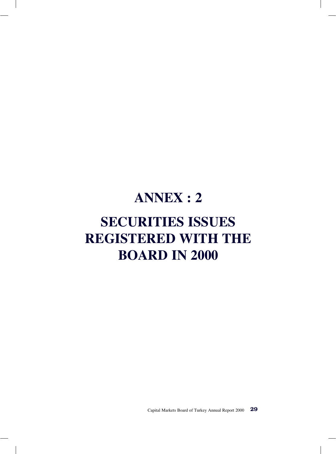## **ANNEX : 2**

## **SECURITIES ISSUES REGISTERED WITH THE BOARD IN 2000**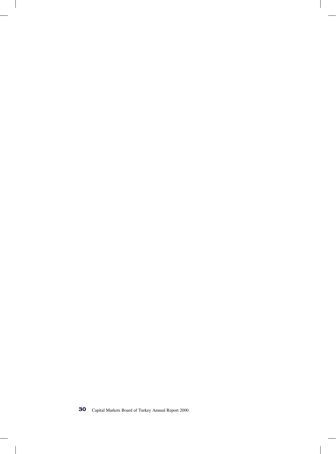30 Capital Markets Board of Turkey Annual Report 2000

 $\overline{\phantom{a}}$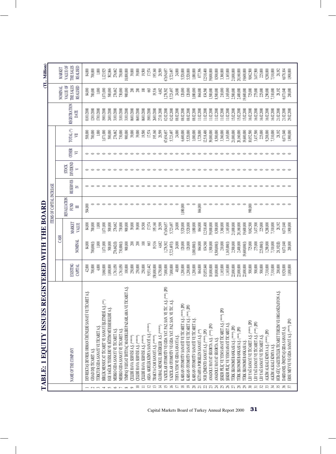|                          | REGISTERED WITH THE BOARD<br><b>ABLE: 1 EOUITY ISSUES</b>                                                                                                |                     |                 |             |                                  |                      |                    |                   |                                  |                      |                              | (TL. Million)                |
|--------------------------|----------------------------------------------------------------------------------------------------------------------------------------------------------|---------------------|-----------------|-------------|----------------------------------|----------------------|--------------------|-------------------|----------------------------------|----------------------|------------------------------|------------------------------|
|                          |                                                                                                                                                          |                     |                 |             | <b>ITEMS OF CAPITAL INCREASE</b> |                      |                    |                   |                                  |                      |                              |                              |
|                          |                                                                                                                                                          |                     | CASH            |             |                                  |                      |                    |                   |                                  |                      | <b>NOMINAL</b>               | <b>MARKET</b>                |
|                          |                                                                                                                                                          |                     |                 |             | REVALUATION                      |                      | <b>STOCK</b>       |                   |                                  |                      | VALUE OF                     | <b>VALUE OF</b>              |
|                          | NAME OF THE COMPANY                                                                                                                                      | EXISTING<br>CAPITAL | <b>NOMINAL</b>  | MARKET      | END<br>⊟                         | <b>RESERVES</b><br>≥ | DIVIDEND<br>$\geq$ | <b>OTHER</b><br>⋝ | TOTAL <sup>(*)</sup><br>$\equiv$ | REGISTRATION<br>DATE | THE SALES<br><b>REALISED</b> | <b>THE SALES</b><br>REALISED |
|                          |                                                                                                                                                          |                     |                 | VALUE       |                                  |                      |                    |                   |                                  |                      |                              |                              |
|                          | DEVREKTAS DEVREK ORMAN ÜRÜNLERİ SANAYİ VE TİCARET A.Ş                                                                                                    | $42,000$            | 84,000          | 84,000      | 504,000                          |                      |                    |                   | 588,000                          | 01/01/2000           | 84,000                       | 84,000                       |
| $\sim$                   | GÍSAD DIS TÍCARET A.S.                                                                                                                                   | 700,000             | 1000000         | 700,000     |                                  |                      |                    |                   | 700,000                          | 2/01/2000            | 700,000                      | 700,000                      |
|                          | TÜRKTUR GIDA SANAYİ VE TİCARET A.Ş.                                                                                                                      | 4.000               | 1000            | 1000        |                                  |                      |                    |                   | 1000                             | 17/01/2000           | $1000\,$                     | 1000                         |
| $\overline{\phantom{a}}$ | BÎRLÎK MENSUCAT TÎCARET VE SANAYÎ ÎŞLETMESÎ A,Ş. (**)<br>EGE SAĞLIK TESÎSLERÎ VE EĞÎTÎM MÜESSESELERÎ A,Ş.<br>BİRLİK MENSUCAT TİCARET VE SANAYİ İSLETMESİ | 3,060,000           | 1,071,000       | 0001700     |                                  |                      |                    |                   | 0001700                          | 19/01/2000           | 1,071,000                    | 1,123,925                    |
|                          |                                                                                                                                                          | 1,000,000           | 500,000         | 500,000     |                                  |                      |                    |                   | 500,000                          | 24/01/2000           | 500,000                      | 502,866                      |
| $5.65$                   | MERKO GIDA SANAYI VE TİCARET AŞ                                                                                                                          | 1,761,050           | 276,662(ll)     | 276,662     |                                  |                      |                    |                   | 276,662                          | 31/01/2000           | 276,662                      | 276,662                      |
|                          | MERKO GIDA SANAYİ VE TİCARET A.Ş                                                                                                                         | 1,761,050           | 730,000(1)      | 730,000     |                                  |                      |                    |                   | 730,000                          | 31/01/2000           | 730,000                      | 730,000                      |
|                          | A VE TICARET A.S.<br>YÌMPAȘ YOZGAT İHTİYAÇ MADDELERİ PAZARLAMA                                                                                           | $100,000$           | 900,000         | 000,000     |                                  |                      |                    |                   | 900,000                          | 31/01/2000           | 000,000                      | 18,000,000                   |
|                          | <b>CELEBİ HAVA SERVISI A.Ş.</b> (*****                                                                                                                   | $250,\!000$         |                 | 39,000      |                                  |                      |                    |                   | 39,000                           | 06/01/2000           |                              | 39,000                       |
|                          | CELEBİ HAVA SERVİSİ AŞ. (*****)                                                                                                                          | $250,\!000$         | g               | 39,000      |                                  |                      |                    |                   | 39,000                           | 06/01/2000           |                              | 39,000                       |
|                          | CELEBİ HAVA SERVİSİ A.Ş. (*****)                                                                                                                         | $250,\!000$         | ≊               | 19,500      |                                  |                      |                    |                   | 19,500                           | 06/01/2000           | ≊                            | 19500                        |
|                          | AKSA AKRİLİK KİMYA SANAYİ A.Ş. (*****)                                                                                                                   | 9,931,442           | \$3             | 17,574      |                                  |                      |                    |                   | 17,574                           | 19/01/2000           | $\mathcal{S}$                | 17,574                       |
|                          | <b>TRAKYA CAM SANAYİ A.Ş.</b> (*****)                                                                                                                    | 150,000,000         | 19,516          | 195,160     |                                  |                      |                    |                   | 195,160                          | 26/01/2000           | 19,516                       | 195,160                      |
|                          | GLOBAL MENKUL DEĞERLER A.S. (****)                                                                                                                       | 8,750,000           | 4,682           | 20,599      |                                  |                      |                    |                   | 20,599                           | 27.01.2000           | 4,682                        | 20,599                       |
|                          | TIC.A.Ş. <sup>(***)</sup> , IPO<br>YAZICILAR OTOMOTİV VE GIDA YAT. PAZ. SAN. VE                                                                          | 7,000,000           | 1,276,502       | 67,654,657  |                                  |                      |                    |                   | 67,654,657                       | 02.02.2000           | 1,276,502                    | 67,654,657                   |
|                          | TIC.A.Ş.<br>YAZICILAR OTOMOTİV VE GIDA YAT. PAZ. SAN. VE                                                                                                 | 7,000,000           | 5,723,497(l)    | 5,723,497   |                                  |                      |                    |                   | 5,723,497                        | 02.02.2000           | 5,723,497                    | 5,723,497                    |
|                          | TOSYA YEM VE GIDA SANAYİ A.Ş.                                                                                                                            | 48,000              | 24,000          | $24,\!000$  |                                  |                      |                    |                   | $24,000$                         | 08.02.2000           | 24,000                       | 24,000                       |
|                          | $\mathbb{R}$<br>KARSAN OTOMOTİV SANAYİİ VE TİCARET A.Ş. (****)                                                                                           | 1,200,000           | $120,\!000$     | 5,520,000   | 1,080,000                        |                      |                    |                   | 6,600,000                        | 08.02.2000           | 120,000                      | 5,520,000                    |
|                          | $\mathbb{R}$<br>KARSAN OTOMOTİV SANAYİİ VE TİCARET A.Ş. (***)                                                                                            | 1,200,000           | $120\,000$      | 5,520,000   |                                  |                      |                    |                   | 5,520,000                        | 08.02.2000           | 120,000                      | 5,520,000                    |
|                          | KARSAN OTOMOTİV SANAYİİ VE TİCARET A.Ş                                                                                                                   | 1,200,000           | 1,080,000(1)    | 1,080,000   |                                  |                      |                    |                   | 1,080,000                        | 08.02.2000           | 1,080,000                    | 1,080,000                    |
|                          | KÜTAHYA PORSELEN SANAYI A.Ş. (**)                                                                                                                        | 864,000             | 864,000         | 864,000     | 864,000                          |                      |                    |                   | 1,728,000                        | 11.02.2000           | 864,000                      | 877,396                      |
|                          | NUH ÇİMENTO SANAYİ A.Ş. (****), IPO                                                                                                                      | 15,855,840          | 834,560         | 12,518,400  |                                  |                      |                    |                   | 12,518,400                       | 11.02.2000           | 834,560                      | 12,518,400                   |
|                          | ANADOLU HAYAT SİGORTA A.Ş. $(***)$ , IPO                                                                                                                 | 10,000,000          | 1,500,000       | 89,000,000  |                                  |                      |                    |                   | 39,000,000                       | 11.02.2000           | 1,500,000                    | 39,000,000                   |
|                          | ANADOLU HAYAT SIGORTA A.S                                                                                                                                | 10,000,000          | 8,500,000(l)    | 8,500,000   |                                  |                      |                    |                   | 8,500,000                        | 11.02.2000           | 8,500,000                    | 8,500,000                    |
|                          | ŞEKER PİLİÇ VE YEM SANAYİ TİCARET A.Ş. (****) ,IPO                                                                                                       | 1,165,000           | 210,000         | 3,360,000   |                                  |                      |                    |                   | 3,360,000                        | 11.02.2000           | 210,000                      | 3,360,000                    |
|                          | SEKER PİLİÇ VE YEM SANAYİ TİCARET A.Ş                                                                                                                    | 1,165,000           | 1,165,000(l)    | 1,165,000   |                                  |                      |                    |                   | 1,165,000                        | 11.02.2000           | 1,165,000                    | 1,165,000                    |
|                          | TÜRK EKONOMİ BANKASI A.Ş. (****) ,IPO                                                                                                                    | 22,000,000          | 2,500,000       | 21,000,000  |                                  |                      |                    |                   | 21,000,000                       | 15,02,2000           | 2,500,000                    | 21,000,000                   |
|                          | TÜRK EKONOMI BANKASI A,Ş. (***) ,IPO                                                                                                                     | 22,000,000          | 2,400,000       | 20,160,000  |                                  |                      |                    |                   | 20,160,000                       | 15,02,2000           | 2,400,000                    | 20,160,000                   |
|                          | TÜRK EKONOMÎ BANKASI A.Ş                                                                                                                                 | 22,000,000          | 19,600,000(l)   | 19,600,000  |                                  |                      |                    |                   | 19,600,000                       | 15,02,2000           | 19,600,000                   | 19,600,000                   |
|                          | LIO YAĞ SANAYI VE TİCARET A.S. (****) .PO                                                                                                                | 500,000             | 725,000         | 9,062,500   | 990,000                          |                      |                    |                   | 10,052,500                       | 16.02.2000           | 725,000                      | 9,062,500                    |
|                          | LÍO YAĞ SANAYİ VE TİCARET A.Ş. $\left(^{***}\right)$ ,<br>IPO                                                                                            | $500,\!000$         | 275,000         | 3,437,500   |                                  |                      |                    |                   | 3,437,500                        | 16.02.2000           | 275,000                      | 3,437,500                    |
|                          | LÍO YAĞ SANAYİ VE TİCARET A.Ş                                                                                                                            | $500,000$           | 225,000(l)      | $225\,000$  |                                  |                      |                    |                   | $225,000$                        | 16.02.2000           | 225,000                      | 225,000                      |
|                          | ALKİM ALKALI KİMYA A.Ş. (****) ,IPO                                                                                                                      | 1310,000            | 1,290,000       | 9,288,000   |                                  |                      |                    |                   | 9,288,000                        | 16.02.2000           | 1,290,000                    | 9,288,000                    |
|                          | ALKÍM ALKALÍ KÍMYA A.S.                                                                                                                                  | 7,310,000           | 7,310,000       | 7,310,000   |                                  |                      |                    |                   | 7,310,000                        | 16.02.2000           | 1310,000                     | 7,310,000                    |
|                          | HÜR-GÜÇ GAZETECİLİK TİCARET TURİZM VE ORGANİZASYON A.Ş.                                                                                                  | $200,\!000$         | 28,192(II)      | 28,192      |                                  |                      |                    |                   | 28,192                           | 21.02.2000           | 28,192                       | 28,192                       |
|                          | DARDANEL ÖNENTAŞ GIDA SANAYÎ A.Ş.                                                                                                                        | 8,928,000           | <b>04011040</b> | 040,170,040 |                                  |                      |                    |                   | 6,071,040                        | 21.02.2000           | 6,071,040                    | 6,078,104                    |
|                          | ERSU MEYVE VE GIDA SANAYI A.Ş. (****) ,IPO                                                                                                               | 1,000,000           | $200,000$       | 000,000     |                                  |                      |                    |                   | 000,000                          | 29.02.2000           | 200,000                      | 1,900,000                    |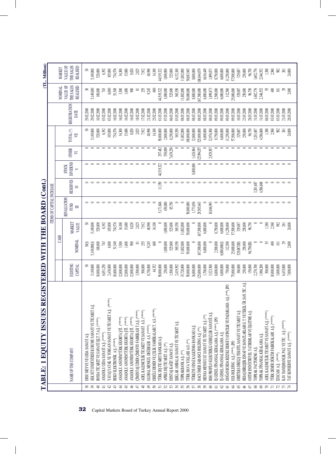| $\vdash$                                          | REGISTERED<br>ISSUE<br>ABLE: 1 EQUITY                                  |                            | WITH                  |                        | THE BOARD (Cont.          |                        |                           |                   |                                 |                             |                                     | (TL. Million)                |
|---------------------------------------------------|------------------------------------------------------------------------|----------------------------|-----------------------|------------------------|---------------------------|------------------------|---------------------------|-------------------|---------------------------------|-----------------------------|-------------------------------------|------------------------------|
|                                                   |                                                                        |                            |                       |                        | ITEMS OF CAPITAL INCREASE |                        |                           |                   |                                 |                             |                                     |                              |
|                                                   |                                                                        |                            | CASH                  |                        |                           |                        |                           |                   |                                 |                             | <b>NOMINAL</b>                      | <b>MARKET</b>                |
|                                                   |                                                                        |                            |                       |                        | REVALUATION               |                        | <b>STOCK</b>              |                   |                                 |                             | VALUE OF                            | VALUE OF                     |
|                                                   | NAME OF THE COMPANY                                                    | <b>EXISTING</b><br>CAPITAL | <b>NOMINAL</b>        | MARKET<br><b>VALUE</b> | <b>FUND</b><br>目          | <b>RESERVES</b><br>≧   | <b>DIVIDEND</b><br>$\geq$ | <b>OTHER</b><br>⋝ | TOTAL $(\hspace{0.1em}^*)$<br>買 | <b>REGISTRATION</b><br>DATE | <b>THE SALES</b><br><b>REALISED</b> | THE SALES<br><b>REALISED</b> |
|                                                   | ERSU MEYVE VE GIDA SANAYÍ A.Ş.                                         |                            | W                     |                        |                           |                        |                           |                   |                                 | 29.02.2000                  |                                     |                              |
| 282                                               | Ŀ.<br>SEK SÜT ENDÜSTRISI KURUMU SANAYI VE TİCARET                      | 5,149,000                  | 2149,0000             | 5.149,000              |                           |                        |                           |                   | 5,149,000                       | 29.02.2000                  | 5,149,000                           | 5,149,000                    |
| $\Rightarrow$                                     | BOSSA TİCARET VE SANAYİ İŞLT. T.A.Ş. (*****)                           | 18,000,000                 | $100,000$             | 520,000                |                           |                        | $\overline{\phantom{0}}$  |                   | 520,000                         | 10.02.2000                  | 100,000                             | 520,000                      |
| $\rightleftarrows$                                | ANADOLU GIDA SANAYI A.S. (*****                                        | 6,851,250                  | 743                   | 6,392                  |                           |                        |                           |                   | 6,392                           | 03.02.2000                  | FГ                                  | 6,392                        |
|                                                   | $S_{\cdot}$ (****)<br>YATAS YATAK VE YORGAN SANAYI VE TİCARET A.       | 2,430,000                  | 6,000                 | 105,000                |                           |                        |                           |                   | 105,000                         | 03.02.2000                  | 6,000                               | 105,000                      |
| 3 3 3 4 5 5 5 6 6 7 8 7 8 7 8 9 9 9 9 9 9 9 9 9 9 | BEKO ELEKTRONÍK A.Ş. (*****)                                           | 10,600,000                 | 51,549                | 134,576                |                           |                        |                           |                   | 134,576                         | 16.02.2000                  | 51,549                              | 134,576                      |
|                                                   | ANADOLU ANONIM TÜRK SİGORTA ŞTİ. (*****)                               | 12,000,000                 | 3,500                 | 34,300                 |                           |                        |                           |                   | 34,300                          | 16.02.2000                  | 3,500                               | 34,300                       |
|                                                   | ANADOLU ANONIM TÜRK SİGORTA ŞTİ. (*****)                               | 12,000,000                 | 1,600                 | 15,680                 |                           |                        |                           |                   | 15,680                          | 16.02.2000                  | 1,600                               | 15,680                       |
|                                                   | ANADOLU ANONIM TÜRK SİGORTA ŞTİ. (*****)                               | 12,000,000                 | $\Im$                 | 8,820                  |                           |                        |                           |                   | 8,820                           | 16.02.2000                  | $\boldsymbol{\%}$                   | 8,820                        |
|                                                   | CÍMENTAS ÍZMÍR CÍMENTO FABRÍKASI T.A.S. (*****)                        | $3,\!500,\!000$            | $\approx$             | 2,025                  |                           |                        |                           |                   | 2,025                           | 18.02.2000                  |                                     | 2,025                        |
|                                                   | ADEL KALEMCİLİK TİCARET VE SANAYİ A.S. (*****)                         | $500,\!000$                | 255                   | 7,912                  |                           |                        |                           |                   | 7,912                           | 17.02.2000                  | 25                                  | 7,912                        |
|                                                   | GLOBAL MENKUL DEGERLER A.S. (*****                                     | 8,750,000                  | 9245                  | 48,998                 |                           |                        |                           |                   | 48,998                          | 21.02.2000                  | 9,245                               | 48,998                       |
|                                                   | EREĞLİ DEMİR VE ÇELİK FABRİKALARI T. A.S. (*****)                      | 44,352                     | $\otimes$             | 14,100                 |                           |                        |                           |                   | 14,100                          | 25.02.2000                  | $\otimes$                           | 14,100                       |
|                                                   | TÜRK DIŞ TİCARET BANKASI A.Ş.                                          | 50,000,000                 |                       |                        | 5,171,846                 | 11,350                 | 44,519,322                | 297,482           | 50,000,000                      | 01.032000                   | 44,519,322                          | 44,519,322                   |
|                                                   | APEKS DIŞ TİCARET A.Ş. (**)                                            | $250,\!000$                | 1,000,000             | 1,000,000              | 450,000                   |                        |                           | 550,000           | 2,000,000                       | 07.03.2000                  | 1,000,000                           | 1,000,000                    |
|                                                   | DENTAŞ KAĞIT SANAYI A.Ş.                                               | 1,500,000                  | 525,000               | 525,000                | 85,750                    |                        |                           | 7,639,250         | 8,250,000                       | 06.03.2000                  | 525,000                             | 525,000                      |
|                                                   | ISIKLAR AMBALAJ SANAYÎ VE TÎCARET A.Ş.                                 | 2,419,592                  | 365,550               | 365,50                 |                           |                        |                           |                   | 365,550                         | 03.03.2000                  | 365,530                             | 6,132,100                    |
|                                                   | TOPRAKBANK A.Ş. (**)                                                   | 33,720,000                 | 11,802,000            | 11,802,000             |                           |                        |                           |                   | 11,802,000                      | 08.03.2000                  | 11,802,000                          | 11,802,000                   |
|                                                   | <b>ÜRK HAVA YOLLARI A.O.</b> (**)                                      | 50,000,000                 | 50,000,000            | 50,000,000             | 50,000,000                |                        |                           |                   | 100,000,000                     | 08.03.2000                  | 50,000,000                          | 50,083,945                   |
|                                                   | TÜRKİYE SINAİ KALKINMA BANKASI A.Ş.                                    | 16,000,000                 |                       |                        | 1,773,036                 |                        | 8,800,000                 | 1,426,964         | 12,000,000                      | 08.03.2000                  | 8,800,000                           | 8,800,000                    |
|                                                   | HACI ÖMER SABANCI HOLDÍNG A.Ş. (**)                                    | 125,000,000                | 167,500,000           | 167,500,000            | 29,505,643                |                        |                           | 27994357          | 325,000,000                     | 08.03.2000                  | 67,500,000                          | 168,044,079                  |
|                                                   | MENSA MENSUCAT SANAYÎ VE TÎCARET A.S. (**)                             | 1,700,000                  | 6,800,000             | 6,800,000              |                           |                        |                           |                   | 6,800,000                       | 08.03.2000                  | 6,800,000                           | 6,816,449                    |
|                                                   | BSH PROFILO ELEKTRIKLI GEREÇLER SANAYIİ A.Ş.                           | 3,523,500                  |                       |                        | 10,046,993                |                        |                           | 2,929,507         | 12,976,500                      | 08.03.2000                  | 1,899,873                           | 1,899,873                    |
|                                                   | IŞ GENEL FİNANSAL KİRALAMA A.Ş. (****), IPO                            | 6,000,000                  | 2,500,000             | 8,750,000              |                           |                        |                           |                   | 8,750,000                       | 09.03.2000                  | 2,500,000                           | 8,750,000                    |
|                                                   | IŞ GENEL FİNANSAL KİRALAMA A.Ş                                         | 6,000,000                  | (1000, 000, 60)       | 6,000,000              |                           |                        |                           |                   | 6,000,000                       | 09.03.2000                  | 6,000,000                           | 6,000,000                    |
|                                                   | DOĞAN BURDA RİZZOLİ DERGİ YAYINCILIK VE PAZARLAMA A.Ş. (***) ,IPO      | 750,000                    | 112,500               | 11,250,000             |                           |                        |                           |                   | 11,250,000                      | 09.03.2000                  | 112,500                             | 11,250,000                   |
|                                                   | EGS HOLDING A.S. (****) ,IPO                                           | 75,000,000                 | 25,000,000            | 57,500,000             |                           |                        |                           |                   | 57,500,000                      | 09.03.2000                  | 25,000,000                          | 57,500,000                   |
|                                                   | DİRİTEKS DİRİLİŞ TEKSTİL SANAYİ VE TİCARET A.Ş                         | 360,000                    | 329,087(III)          | 329,087                |                           |                        |                           |                   | 329,087                         | 10.03.2000                  | 329,087                             | 329,087                      |
|                                                   | BESAŞ BİRLEŞİK ESNAF VE SANATLARLARI G. T. VE TEKEL ÜR. SAN. TİC. A.Ş. | 250,000                    | 250,000               | 250,000                |                           |                        |                           |                   | 250,000                         | 23.03.2000                  | 250,000                             | 250,000                      |
| 885888                                            | OSTÍM ENDÜSTRÍYEL YATIRIMLAR VE ÍSLETME A.Ş                            | 150,000                    | 96,750(III)           | 96,750                 |                           |                        |                           |                   | 96,750                          | 28.03.2000                  | 96,750                              | 96,750                       |
|                                                   | TOPRAK FACTORING AS                                                    | 2,270,700                  |                       |                        |                           | 3,201,687<br>4,586,868 |                           |                   | 3,201,687                       | 31.03.2000                  | ,602,776                            | 1,602,776                    |
|                                                   | TOPRAK FİNANSAL KİRALAMA A.Ş.                                          | 1,960,200                  |                       |                        |                           |                        |                           |                   | 4,586,868                       | 31.03.2000                  | 2,346,552                           | 2,346,552                    |
|                                                   | ADEL KALEMCİLİK TİCARET VE SANAYİ A.S. (*****)                         | 500,000                    |                       | 1,388                  |                           |                        | $\Rightarrow$             |                   | 1,388                           | 08.03.2000                  |                                     | 1,388                        |
|                                                   | TÜRK DEMİR DÖKÜM FABRİKALARI A.Ş. (*****)                              | (0,000,000)                |                       | 2,560                  |                           |                        |                           |                   | 2,560                           | 03.03.2000                  |                                     | 2,560                        |
| F R R                                             | ZOCAM A.S. (*****)                                                     | 3,000,000                  | $x \geqslant \Xi$ $x$ | 982                    |                           |                        |                           |                   | 982                             | 03.03.2000                  |                                     |                              |
|                                                   | KAV DANIŞMANLIK PAZ. VE TİC. A.Ş. (*****)                              | $6,435,\!000$              |                       | 261                    |                           |                        | $\Rightarrow$             |                   |                                 | 21.03.2000                  | ងទី្ទងខ្ញ                           |                              |
| 혼                                                 | TAT KONSERVE SANAYİ A.Ş. (*****)                                       | 7,000,000                  | 2,000                 | 24,000                 |                           |                        |                           |                   | 24,000                          | 28.03.2000                  |                                     | 000                          |
|                                                   |                                                                        |                            |                       |                        |                           |                        |                           |                   |                                 |                             |                                     |                              |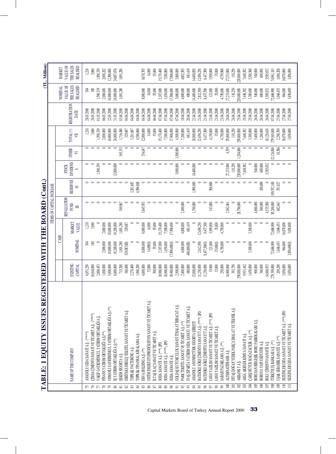|                         | REGISTERED WITH THE BOARD (Cont.<br>TABLE: 1 EQUITY ISSUES                            |                         |                          |                        |                           |                             |                                 |              |                                    |                          |                              | (TL. Million)                |
|-------------------------|---------------------------------------------------------------------------------------|-------------------------|--------------------------|------------------------|---------------------------|-----------------------------|---------------------------------|--------------|------------------------------------|--------------------------|------------------------------|------------------------------|
|                         |                                                                                       |                         |                          |                        | ITEMS OF CAPITAL INCREASE |                             |                                 |              |                                    |                          |                              |                              |
|                         |                                                                                       |                         | CASH                     |                        |                           |                             |                                 |              |                                    |                          | <b>NOMINAL</b>               | <b>MARKET</b>                |
|                         |                                                                                       |                         |                          |                        | REVALUATION               |                             | <b>DIVIDEND</b><br><b>STOCK</b> | <b>OTHER</b> | $\text{TCIAL} \left( ^{*} \right)$ | <b>REGISTRATION</b>      | <b>VALUE OF</b>              | <b>VALUE OF</b>              |
|                         | NAME OF THE COMPANY                                                                   | EXISTING<br>CAPITAL     | NOMINAL                  | MARKET<br><b>VALUE</b> | END<br>$\equiv$           | <b>RESERVES</b><br>$\simeq$ | $\geq$                          | ⋝            | $\equiv$                           | DATE                     | THE SALES<br><b>REALISED</b> | THE SALES<br><b>REALISED</b> |
|                         | ANADOLU GIDA SANAYİ A.S. (*****)                                                      | 6,851,250               | 304                      | 1,218                  |                           |                             |                                 |              | 1218                               | 28.03.2000               | ≋                            | 1,218                        |
| 75                      | CIMSA CIMENTO SANAYI VE TICARET A.S. (*****)                                          | 6,848,000               | $\mathbb{R}$             | 3,060                  |                           |                             |                                 |              | 3,060                              | 28.03.2000               | $\Xi$                        | 3,060                        |
|                         | VAKIF GAYRÍMENKUL YATIRIM ORTAKLIĞI A.Ş.                                              | 2,000,453               |                          |                        |                           |                             | 1,500,339                       |              | 1,500,339                          | 01.03.2000               | 1,500,339                    | 1,500,339                    |
|                         | FİNANS YATIRIM ORTAKLIĞI A.Ş.(**)                                                     | 000,000,1               | 2,000,000                | 2,000,000              |                           |                             |                                 |              | 2,000,000                          | 06.03.2000               | 2,000,000                    | 2,000,282                    |
|                         | OSMANLI GAYRİMENKUL YATIRIM ORTAKLIĞI A.Ş.(**)                                        | $5,\!000,\!000$         | 000,000,01               | 0,000,000              |                           |                             |                                 |              | 10,000,000                         | 22.03.2000               | 10,000,000                   | 12,500,000                   |
|                         | İŞ YATIRIM ORTAKLIĞI A.Ş.(**)                                                         | 6,000,000               | 10,200,000               | 000,000,000            |                           |                             | 13,800,000                      |              | 24,000,000                         | 31.03.2000               | 24,000,000                   | 24,007,676                   |
|                         | SEKER SIGORTA A.S.                                                                    | 715,200                 | 1,001,280                | 1,001,280              | 549,867                   |                             |                                 | 165,333      | 1,716,480                          | 000210300                | 1,001,280                    | 1,001,280                    |
|                         | DİRİTEKS DİRİLİŞ TEKSTİL SANAYİ VE TİCARET A.Ş.<br>TOPRAK FACTORING A.Ş               | 360,000<br>2,270,400    | 329,087(III)             | 329,087                |                           | 3,201,687                   |                                 |              | 329,087<br>3,201,687               | 04.04.2000<br>04.04.2000 |                              |                              |
|                         | TOPRAK FİNANSAL KİRALAMA A.Ş.                                                         | 1,960,200               |                          |                        |                           | 4,586,868                   |                                 |              | 4,586,868                          | 04.04.2000               |                              |                              |
|                         | DEVA HOLDING A.S. (**)                                                                | 4,000,000               | 8,000,000                | 8,000,000              | 3,845,953                 |                             |                                 | 154,047      | 12,000,000                         | 04.04.2000               | 8,000,000                    | 8,078,705                    |
|                         | OSTÍM ENERJÍ OTOPRODŮKSÍYON SANAYÍ VE TÍCARET A.S.                                    | $32,\!000$              | 14,000(I)                | 14,000                 |                           |                             |                                 |              | 14,000                             | 04.04.2000               | 14,000                       | 14,000                       |
|                         | İLTAŞ İLAÇ SANAYİ VE TİCARET A.Ş.                                                     | $500,\!000$             | 55,000                   | 55,000                 |                           |                             |                                 |              | 55,000                             | 06.04.2000               | 55,000                       | 55,000                       |
|                         | SODA SANAYII A.Ş. (***) ,IPO                                                          | 18,960,000              | 2,107,000                | 15,170,400             |                           |                             |                                 |              | 15,170,400                         | 07.04.2000               | 2,107,000                    | 15,170,400                   |
|                         | SODA SANAYİİ A.Ş. (****) .IPO                                                         | 18,960,000              | 1,054,000                | 7,588,800              |                           |                             |                                 |              | 7,588,800                          | 07.04.2000               | 1,054,000                    | 7,588,800                    |
|                         | SODA SANAYII A.Ş.                                                                     | 18,960,000              | 17,906,000(I)            | 17,906,000             |                           |                             |                                 |              | 17,906,000                         | 07.04.2000               | 17,906,000                   | 17,906,000                   |
|                         | Á.S.<br>GOLDAŞ KUYUMCULUK SANAYİ İTHALAT İHRACAT                                      | 2,500,000               |                          |                        |                           |                             | 3,000,000                       | $1,500,000$  | 4,500,000                          | 07.04.2000               | 3,000,000                    | 3,000,000                    |
|                         | PARK TEKSTİL SANAYİ VE TİCARET A.Ş. (**)                                              | 2,400,000               | 4,800,000                | 4,800,000              | 2,400,000                 |                             |                                 |              | 7,200,000                          | 18.042000                | 4,800,000                    | 4,802,505                    |
|                         | Á\$.<br>IYAS ISPARTA YATIRIM GIDA SANAYİ VE TİCARET                                   | $480,000$               | 480,000(III)             | 681,419                |                           |                             |                                 |              | 681,419                            | 20.04.2000               | 480,000                      | 681,419                      |
|                         | ANADOLU ANONIM TÜRK SIGORTA ŞİRKETİ                                                   | 12,000,000              |                          |                        | 1,700,000                 | 1,900,000                   | 14,400,000                      |              | 18,000,000                         | 21.04.2000               | 14,400,000                   | 14,400,000                   |
|                         | BATISÖKE SÖKE ÇİMENTO SANAYİ T.A.Ş. (****) ,IPO                                       | 11,250,000              | 2,812,500                | 12,656,250             |                           |                             |                                 |              | 12,656,250                         | 21.04.2000               | 2,812,500                    | 12,656,250                   |
|                         | BATISÖKE SÖKE ÇİMENTO SANAYİ T.A.Ş.                                                   | 11,250,000              | 8,437,500(I)             | 8,437,500              |                           |                             |                                 |              | 8,437,500                          | 21.04.2000               | 8,437,500                    | 8,437,500                    |
|                         | LOGO YAZILIM SANAYİ VE TİCARET A.Ş. (***) ,IPO<br>LOGO YAZILIM SANAYİ VE TİCARET A.Ş. | $35,\!000$<br>35,000    | $121,\!000$<br>35,000(I) | 3,509,000<br>35,000    | 143,000                   | 506,000                     |                                 |              | 4,158,000<br>35,000                | 21.04.2000<br>21.04.2000 | $121,\!000$<br>35,000        | 3,509,000<br>35,000          |
|                         | SABAH PAZARLAMA A.Ş. (**)                                                             | $250,\!000$             | 4,750,000                | 4,750,000              |                           |                             |                                 |              | 4,750,000                          | 21.04.2000               | 4,750,000                    | 4,759,908                    |
| $\geq$                  | ALTERNATIFBANK A.S.                                                                   | 14,900,000              |                          |                        | 2,562,461                 |                             | 27,233,000                      | 4539         | 29,800,000                         | 24.04.2000               | 27,233,000                   | 27,233,000                   |
| $\Xi$                   | DÍTAS DOĞAN YEDEK PARÇA İMALAT VE TEKNİK A.Ş.                                         | 393,750                 |                          |                        |                           |                             | 110,250                         |              | 110,250                            | 24.04.2000               | 110,250                      | 110,250                      |
| $\overline{\Xi}$        | AKBANK T.A.Ş.                                                                         | 250,000,000             |                          |                        | 28,796,000                |                             | 220,000,000                     | 1,204,000    | 250,000,000                        | 25.04.2000               | 20,000,000                   | 20,000,000                   |
| $\overline{\mathbb{E}}$ | AKSA AKRİLİK KİMYA SANAYİ A.Ş.                                                        | 9,931,442               |                          |                        |                           |                             | 7,448,582                       |              | 7,448,582                          | 25.04.2000               | 7,448,582                    | 7,448,582                    |
| ਭੁ                      | CARSI BÜYÜK MAĞAZACILIK A.S. (**)                                                     | 1,650,000               | 3,300,000                | 3,300,000              |                           |                             |                                 |              | 3,300,000                          | 25.04.2000               | 3,300,000                    | 3,300,560                    |
| $\overline{\mathbb{E}}$ | BORUSAN BİRLEŞİK BORU FABRİKALARI A.Ş.                                                | $000,000$               |                          |                        | 4,860,000                 |                             | 540,000                         |              | 5,400,000                          | 26.04.2000               | 540,000                      | 540,000                      |
| ভূ<br>$\overline{\Xi}$  | BOROVA YAPI ENDÜSTRİ A.Ş.<br><b>BOLU ÇİMENTO SANAYİİ A.Ş.</b>                         | $360,000$<br>14,666,933 |                          |                        | 560,000<br>6,535,586      | 100,000                     | 3,585,032<br>$600,000$          |              | 1,260,000<br>10,120,618            | 26.04.2000<br>26.04.2000 | 3,585,032<br>600,000         | 600,000<br>3,585,032         |
| $\overline{\mathbb{g}}$ | TÜRKİYE İŞ BANKASI A.Ş. (**)                                                          | 279,399,000             | 72,686,900               | 72,686,900             | 85,200,000                | 109,552,100                 |                                 | 12,126,000   | 279,565,000                        | 07.04.2000               | 72,686,900                   | 74,961,183                   |
| $\overline{\mathbb{B}}$ | UŞAK SERAMİK SANAYİİ A.Ş. (**)                                                        | $209,290$               | 1,046,453                | 1,046,453              | 682,643                   | 551,027                     |                                 | 10,586       | 2,290,709                          | 27.04.2000               | 1,046,453                    | 1,068,208                    |
| $\equiv$                | SEZGİNLER GIDA SANAYİ VE TİCARET A.Ş. (***),IPO                                       | 3,856,000               | 964,000                  | 16,870,000             |                           |                             |                                 |              | 16,870,000                         | 27.04.2000               | 964,000                      | 16,870,000                   |
| Ξ                       | SEZGİNLER GIDA SANAYİ VE TİCARET A.Ş.                                                 | 3,856,000               | 3,856,000(I)             | 3,856,000              |                           |                             |                                 |              | 3,856,000                          | 27.04.2000               | 3,856,000                    | 3,856,000                    |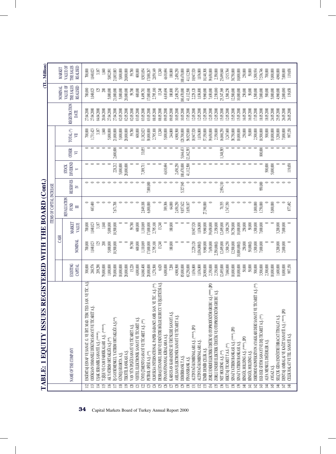|                          | <b>REGISTERED</b><br><b>TABLE: 1 EQUITY ISSUE</b>                      |                 | WITH           |            | THE BOARD (Cont.          |                 |                 |                          |                             |                     |                | (TL. Million)    |
|--------------------------|------------------------------------------------------------------------|-----------------|----------------|------------|---------------------------|-----------------|-----------------|--------------------------|-----------------------------|---------------------|----------------|------------------|
|                          |                                                                        |                 |                |            | ITEMS OF CAPITAL INCREASE |                 |                 |                          |                             |                     |                |                  |
|                          |                                                                        |                 | CASH           |            |                           |                 |                 |                          |                             |                     | <b>NOMINAL</b> | <b>MARKET</b>    |
|                          |                                                                        |                 |                |            | REVALUATION               |                 | <b>STOCK</b>    |                          |                             |                     | VALUE OF       | <b>VALUE OF</b>  |
|                          | NAME OF THE COMPANY                                                    | <b>EXISTING</b> |                | MARKET     | EUND                      | <b>RESERVES</b> | DIVIDEND        | <b>OTHER</b>             | TOTAL $(\text{\texttt{*}})$ | <b>REGISTRATION</b> | THE SALES      | <b>THE SALES</b> |
|                          |                                                                        | CAPITAL         | <b>NOMINAL</b> | VALUE      | Ħ                         | ≧               | $\geq$          | ⋝                        | $\equiv$                    | DATE                | REALISED       | <b>REALISED</b>  |
| $\Xi$                    | TED. SAN. VE TIC. A.S.<br>ESGÍMTAS ESNAF VE SANAT. G. VE İHT. MAD. TEM | 300,000         | $700,000$      | $700,000$  |                           |                 |                 |                          | 700,000                     | 27.04.2000          | $700,000$      | 700,000          |
| $\Xi$                    | ΑŚ.<br>ODÖKSAN OSMANELİ DÖKÜM SANAYİ VE TİCARET                        | 268,576         | 1,048,023      | 1,048,023  | 683,400                   |                 |                 | $\circ$ $\circ$          | 1,731,423                   | 27.04.2000          | 048,023        | 1,048,023        |
| $\overline{14}$          | UŞAK SERAMİK SANAYİİ A.Ş. (*****)                                      | 209,290         |                | 3,187      |                           |                 |                 | $\circ$                  | 3,187                       | 04.04.2000          |                | 3,187            |
| $\overline{15}$          | T SISE VE CAM FABRIKALARI A.S. (*****)                                 | 79,000,000      | $\approx$      | 1,840      |                           |                 |                 |                          | 1,840                       | 20.04.2000          |                | 1.840            |
| $\vert$ if               | AK YATIRIM ORTAKLIĞI A.Ş.(**)                                          | 1,000,000       | 5,000,000      | 5,000,000  |                           |                 |                 |                          | 5,000,000                   | 27.04.2000          | 5,000,000      | 5,002,891        |
| Ξ                        | İŞ GAYRİMENKUL YATIRIM ORTAKLIĞI A.Ş.(**)                              | 70,000,000      | 000000000      | 0,500,000  | 7,671,788                 |                 | 228,212         | 2,600,000                | 21,000,000                  | 27.04.2000          | 21,000,000     | 21,003,883       |
| $\overline{118}$         | GÜNEŞ SIGORTA A.Ş.                                                     | 10,000,000      |                |            |                           |                 | $5,\!000,\!000$ |                          | 5,000,000                   | 02.05.2000          | 5,000,000      | 5,000,000        |
| $\overline{19}$          | TEKSTİL BANKASI A.Ş.                                                   | 20,000,000      |                |            |                           |                 | 20,000,000      |                          | 20,000,000                  | 02.05.2000          | 20,000,000     | 20,000,000       |
| হ                        | VAN YÜN İPLİĞİ SANAYİ VE TİCARET A.S.                                  | 15,220          | 59,780         | 59,780     |                           |                 |                 | $\overline{\phantom{0}}$ | 59,780                      | 02.052000           | 59,780         | 59,780           |
| $\overline{2}$           | VESTEL ELEKTRONIK SANAYI VE TICARET A.Ş.                               | 4,000,000       | 600,000        | 600,000    |                           |                 |                 | $\circ$                  | 600,000                     | 03.05.2000          | 600,000        | 600,000          |
| $\overline{z}$           | ÜNYE ÇİMENTO SANAYİ VE TİCARET A.Ş. (**)                               | 14,060,408      | 1,110,069      | 1,110,069  | 2,849,188                 |                 | 7,389,711       | 33,055                   | 11,382,023                  | 03.05.2000          | 8,499,781      | 8,503,054        |
| $\overline{z}$           | PETROL OFISI A.S. (**)                                                 | 20,000,000      | 7,000,000      | 7,000,000  | 6,000,000                 | 7,000,000       |                 |                          | 30,000,000                  | 03.05.2000          | 7,000,000      | 7,088,267        |
| ষ                        | OLMUKSA INTERNATIONAL PAPER-SABANCI AMB. SAN. VE TÍC. A.S. (**)        | 1,270,500       | 2,795,100      | 2,795,100  |                           |                 |                 |                          | 2,795,100                   | 08.05.2000          | 2.795,100      | 2,859,149        |
| $\overline{\mathbb{Z}}$  | DESBAȘ ÎSTANBUL DERI VE ENDÜSTRI BÖLGE KURUCU VE IȘLETICISI A.S.       | $6,620$         | 13,240         | 13240      |                           |                 |                 |                          | 13,240                      | 08.05.2000          | 13,240         | 13,240           |
| শ্ৰ                      | FİNANS FİNANSAL KİRALAMA A.Ş.                                          | 6,000,000       |                |            | 389,306                   |                 | 4,610,694       |                          | 5,000,000                   | 09.05.2000          | 4,610,694      | 4,610,694        |
| $\mathcal{L}$            | KARSUSAN KARADENİZ SU ÜRÜNLERİ SANAYİ A.Ş.                             | 7,200           | $180,800$      | $180,800$  | 64,000                    |                 |                 |                          | $244,\!800$                 | 09.05.2000          | 180,800        | 180,800          |
| $\overline{\mathbb{E}}$  | ASELSAN ELEKTRONIK SANAYI VE TİCARET A.Ş.                              | 4,900,500       |                |            | 2,450,250                 |                 | 2,450,250       |                          | 4,900,500                   | 10.05.2000          | 2,450,250      | 2,450,250        |
| হা                       | DEMIRBANK T.A.Ş.                                                       | 85,000,000      |                |            | 9,857,622                 | 5,327,945       | 100,470,000     | 5,044,433                | 20,700,000                  | 10.052000           | 00,470,000     | 00,470,000       |
| $\overline{\mathcal{S}}$ | FİNANSBANK A.S.                                                        | 63,250,000      |                |            | 3,650,107                 |                 | 41,112,500      | 12,162,393               | 56,925,000                  | 17.05.2000          | 41,112,500     | 41,112,500       |
| $\Xi$                    | ALTINYAĞ KOMBİNALARI A.Ş. (****) ,IPO                                  | 1,036,800       | 2,229,120      | 8,947,520  |                           |                 |                 |                          | 18,947,520                  | 12.05.2000          | 2,229,120      | 18,947,520       |
| $\overline{z}$           | ALTINYAĞ KOMBİNALARI A.Ş.                                              | 1,036,800       | 1,036,800(I)   | 1,036,800  |                           |                 |                 |                          | 1,036,800                   | 12.05.2000          | 1,036,800      | 1,036,800        |
| $\overline{3}$           | <b>İZMİR DEMİR ÇELİK A.Ş.</b>                                          | 24,900,000      | 9,960,000      | 9,960,000  | 27,390,000                |                 |                 |                          | 37,350,000                  | 12.05.2000          | 9,960,000      | 805,041,01       |
| ਲ੍                       | GRUBU A.Ş. (****) .FO<br>ZORLU ENERJÍ ELEKTRÍK ÜDEÜÍK VE OTOPRODŮKTÖR  | 2,350,000       | 7,650,000      | 9,650,000  |                           |                 |                 |                          | 39,650,000                  | 2.05.2000           | 7,650,000      | 39,650,000       |
| $\overline{\mathbb{E}}$  | ZORLU ENERJÍ ELEKTRÍK ÜDEÜÍK VE OTOPRODŮKTÖR GRUBU A.Ş.                | 2,350,000       | 2,350,000(I)   | 2,350,000  |                           |                 |                 |                          | 2,350,000                   | 12.05.2000          | 2,350,000      | 2,350,000        |
| $\overline{36}$          | NET HOLDING A.S. (**)                                                  | 12,495,000      | 12,495,000     | 2,495,000  | 70,355                    | 2,954,310       |                 | 1,348,585                | 16,868,250                  | 15.05.2000          | 25,347,369     | 25,499,840       |
| $\overline{57}$          | HEKTAŞ TİCARET TAS. (**)                                               | 7,060,000       | 1,500,250      | 1,500,250  | 1,747,350                 |                 |                 |                          | 3,247,600                   | 2.052000            | 1,500,250      | 1,515,764        |
| $\overline{38}$          | SINAİ YATIRIM BANKASI A.Ş. $\left(^{***}\right)$ ,<br>IPO              | 10,000,000      | 12,500,000     | 38,750,000 |                           |                 |                 |                          | 38,750,000                  | 15.05.2000          | 12,500,000     | 38,750,000       |
| $\overline{\mathscr{L}}$ | SINAİ YATIRIM BANKASI A.Ş                                              | 10,000,000      | 0.0000000      | 0,000,000  |                           |                 |                 |                          | 10,000,000                  | 15.05.2000          | 10,000,000     | 10,000,000       |
| ₽                        | BINGÖL HOLDING A.Ş. (****) ,IPO                                        | 50,000          | 250,000        | 250,000    |                           |                 |                 | $\circ$                  | 250,000                     | 16.052000           | 250,000        | 250,000          |
| $\equiv$                 | <b>BÍNGÖL HOLDÍNG A.S.</b>                                             | $30,\!000$      | 50,000(I)      | $50\,000$  |                           |                 |                 | $\qquad \qquad \circ$    | $50,000$                    | 16.05.2000          | 50,000         | 50,000           |
| 로                        | VE TICARET A.Ş. (**)<br>DERÍMOD KONFEKSÍYON AYAKKABI DERÍ SANAYÍ       | $500,000$       | 500,000        | 00000      | 000,000,1                 |                 |                 |                          | 2,500,000                   | 17.052000           | 500,000        | 1,500,934        |
| $\Xi$                    | EGS EGE GİYİM SANAYİ VE DIŞ TİCARET A.Ş. (**)                          | 3,500,000       | 7,000,000      | 7,000,000  | 1,750,000                 | 950,000         |                 | 800,000                  | 10,500,000                  | 18.05.2000          | 000,000        | 1,536,746        |
| 匡                        | ALFA MENKUL DEĞERLER A.S.                                              | 2,300,000       |                |            |                           |                 | 500,000         |                          | 500,000                     | 18.05.2000          | 500,000        | 700,000          |
| 띺                        | AYGAZ A.Ş.                                                             | 0,000,000       |                |            | 5,000,000                 |                 | 5,000,000       |                          | 10,000,000                  | 24.05.2000          | 5,000,000      | 5,000,000        |
| 呈                        | SELÇUK GIDA ENDÜSTRİ İHRACAT İTHALAT A.Ş.                              | 1,600,000       | 3,200,000      | 3,200,000  |                           |                 |                 |                          | 3,200,000                   | 25.05.2000          | 1,960,000      | 1,960,000        |
| 토                        | DENTAŞ AMBALAJ VE KAĞIT SANAYİİ A.Ş. (****) ,IPO                       | 8,000,000       | 2,000,000      | 7,000,000  |                           |                 |                 |                          | 7,000,000                   | 26.05.2000          | 2,000,000      | 7,000,000        |
| $\overline{\mathcal{Z}}$ | CELIK HALAT VE TEL SANAYIİ A.Ş.                                        | 997,150         |                |            | 877,492                   |                 | 119,658         |                          | 997,150                     | 26.05.2000          | 119,658        | 119,658          |
|                          |                                                                        |                 |                |            |                           |                 |                 |                          |                             |                     |                |                  |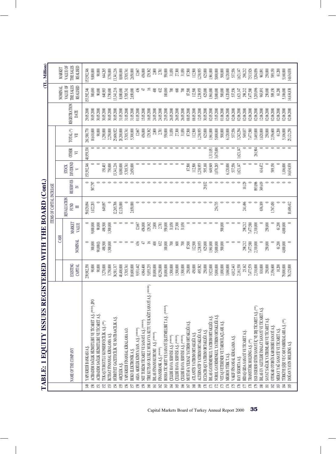|                        | REGISTERED<br><b>TABLE: 1 EQUITY ISSUES</b>                                                                                                              |                     | NTTH           |                        | THE BOARD (Cont.          |                      |                           |                                |                            |                          |                       | (TL. Million)              |
|------------------------|----------------------------------------------------------------------------------------------------------------------------------------------------------|---------------------|----------------|------------------------|---------------------------|----------------------|---------------------------|--------------------------------|----------------------------|--------------------------|-----------------------|----------------------------|
|                        |                                                                                                                                                          |                     |                |                        | ITEMS OF CAPITAL INCREASE |                      |                           |                                |                            |                          |                       |                            |
|                        |                                                                                                                                                          |                     | CASH           |                        |                           |                      |                           |                                |                            |                          | <b>NOMINAL</b>        | MARKET                     |
|                        |                                                                                                                                                          |                     |                |                        | <b>REVALUATION</b>        |                      | <b>STOCK</b>              |                                |                            |                          | VALUE OF              | VALUE OF                   |
|                        | NAME OF THE COMPANY                                                                                                                                      | EXISTING<br>CAPITAL | NOMINAL        | MARKET<br><b>VALUE</b> | <b>ENUR</b><br>$\equiv$   | <b>RESERVES</b><br>≧ | <b>DIVIDEND</b><br>$\geq$ | <b>OTHER</b><br>$\overline{z}$ | TOTAL $(^{*})$<br>$\equiv$ | REGISTRATION<br>DATE     | THE SALES<br>REALISED | <b>HESALES</b><br>REALISED |
| $\mathfrak{B}$         | YAPI KREDİ BANKASI A.Ş.                                                                                                                                  | 239,982,358         |                |                        | 59,029,094                |                      | 153,592,346               | 48,959,330                     | 261,580,770                | 29.05.2000               | 153,592,346           | 153,592,346                |
| 150                    | ACIBADEM SAĞLIK HİZMETLERİ VE TİCARET A.Ş. (****) ,IPO                                                                                                   | 90,000              | 300,000        | 000,000,               | 1,022,203                 | 587,797              |                           |                                | 10,610,000                 | 30.05.2000               | 300,000               | 9,000,000                  |
| $\overline{5}$         | ACIBADEM SAĞLIK HİZMETLERİ VE TİCARET A.Ş.                                                                                                               | 90,000              | 90,000(l)      | 90,000                 |                           |                      |                           |                                | 90,000                     | 30.05.2000               | 90,000                | 90,000                     |
| $\Sigma$ $\Sigma$      | TUKAS TURGUTLU KONSERVECILIK A.Ş. (**)                                                                                                                   | 3,270,000           | 490,500        | 490,500                | 649,097                   |                      | 150,403                   |                                | 1,290,000                  | 30.05.2000               | 640,903               | 644,265                    |
|                        | KTÍSAT FÍNANSAL KÍRALAMA A.S.                                                                                                                            | 3,750,000           | 500,000        | 500,000                |                           |                      | 750,000                   |                                | 2,250,000                  | 30.05.2000               | 3,750,000             | 3,750,000                  |
|                        | HÜRRİYET GAZETECİLIK VE MATBAACILIK A.Ş.                                                                                                                 | 36,581,317          |                |                        | 12,265,706                |                      | 13,341,216                |                                | 25,606,922                 | 30.05.2000               | 13341.216             | 13,341,216                 |
| 355368                 | ARCELIK A.Ş.                                                                                                                                             | 40,400,000          |                |                        | 12,120,000                |                      | 8,080,000                 |                                | 20,200,000                 | 31.05.2000               | 8,080,000             | 8,080,000                  |
|                        | YAPI KREDİ FİNANSAL KİRALAMA A.O.                                                                                                                        | 5,705,741           |                |                        |                           |                      | 5,705,741                 |                                | 5,705,741                  | 31.05.2000               | 5,705,741             | 5,705,741                  |
|                        | <b>BEKO ELEKTRONÍK A.Ş.</b>                                                                                                                              | 10,600,000          |                |                        | 2,650,000                 |                      | 2,650,000                 |                                | 5,300,000                  | 31.05.2000               | 2,650,000             | 2,650,000                  |
|                        | AKSA AKRİLİK KİMYA SAN. A.S. (*****)                                                                                                                     | 9,931,442           |                | 12,667                 |                           |                      |                           |                                | $12,667$                   | 01.05.2000               |                       | 12,667                     |
|                        | NET TURIZM TICARET VE SANAYI A.S. (*****)                                                                                                                | 4,964,400           |                | 456,000                |                           |                      |                           |                                | 456,000                    | 15.05.2000               |                       | 456,000                    |
|                        | TÍRE KUTSAN OLUKLU MUKAVVA KUTU VE KAĞIT SANAYİ A.Ş. (*****)                                                                                             | 5,855,235           |                | 129,362                |                           |                      |                           |                                | 29,362                     | 16.05.2000               |                       | 129,362                    |
| $\overline{161}$       | İHLAS FİNANS KURUMU A.Ş. (*****)                                                                                                                         | 10,000,000          | $\mathfrak{g}$ | $2,800$                |                           |                      |                           |                                | 2,800                      | 24.05.2000               | $\mathfrak{g}$        | 2,800                      |
| $\mathfrak{A}$         | FINANSBANK A.S. (*****)                                                                                                                                  | 63,250,000          | 632            | 2,781                  |                           |                      |                           |                                | 2,781                      | 24.05.2000               | 632                   | 2,781                      |
| 63                     | BOSSA TİCARET VE SANAYİ İŞLETMELERİ T.A.Ş. (*****)                                                                                                       | 18,000,000          | $100,000$      | 550,000                |                           |                      |                           |                                | 550,000                    | 25.05.2000               | $100,000$             | 550,000                    |
| 절                      | <b>ÇELEBİ HAVA SERVİSİ A.Ş.</b> (*****)                                                                                                                  | 1,500,000           | $\approx$      | 31,850                 |                           |                      |                           |                                | $31,\!850$                 | 26.05.2000               | $\approx$             | 31,850                     |
|                        | CELEBİ HAVA SERVİSİ A.Ş. (*****)                                                                                                                         | 500,000             | $\mathbb{S}^2$ | $27,\!300$ $31,\!850$  |                           |                      |                           |                                | 27,300                     | 26.05.2000               | $\otimes$             | $27,\!300$                 |
| $rac{65}{66}$          | <b>CELEBİ HAVA SERVİSİ A.Ş.</b> (*****)                                                                                                                  | 1,500,000           | $\approx$      |                        |                           |                      |                           |                                | 31,850                     | 26.05.2000               |                       | $31,850$<br>$87,500$       |
|                        | MUSTAFA YILMAZ YATIRIM ORTAKLIĞI A.Ş.                                                                                                                    | $250,\!000$         | 87,500         |                        |                           |                      | 005'                      |                                | 87,500                     | 08.05.2000               | 87,500                |                            |
| $168\,$                | ATLANTÍS YATIRIM ORTAKLIĞI A.Ş                                                                                                                           | 450,000             | 112,500        |                        |                           |                      | $112,500$                 |                                | $112,500$                  | 08.05.2000               | 112,500               | 112,500                    |
| $169$                  | ALTERNATIF YATIRIM ORTAKLIĞI A.Ş.                                                                                                                        | 495,582             | 238,955        |                        |                           |                      | 1,238,955                 |                                | 238,955                    | 12.05.2000               | 1238,955              | 238,955                    |
| $\approx$              | ECZACIBAȘI YATIRIM ORTAKLIĞI A.Ş                                                                                                                         | $250,\!000$         | $625\,000$     |                        |                           | 29,832               | 595,168                   |                                | $625,\!000$                | 30.05.2000               | 625,000               | $625,\!000$                |
| Ξ                      | İHLAS GAYRİMENKUL YATIRIM ORTAKLIĞI A.Ş.                                                                                                                 | 3,922,000           | 961,000        |                        |                           |                      | 640,040                   | 1,311,051                      | 961,000                    | 02.05.2000               | 961,000               | .961,000                   |
| EE                     | NUROL GAYRİMENKUL YATIRIM ORTAKLIĞI A.Ş.                                                                                                                 | 5,000,000           | 5,000,000      |                        | 254,735                   |                      | 070,265                   | 3,675,000                      | 5,000,000                  | 15.05.2000               | 5,000,000             | 5,000,000                  |
|                        | VETAŞ VETERİNER VE TARIM İLAÇLARI A.Ş.                                                                                                                   | 1,000,000           | 500,000        | 500,000                |                           |                      |                           |                                | 500,000                    | 01.06.2000               | 500,000               | 500,000                    |
| E E E                  | MIGROS TÜRK TAS.                                                                                                                                         | 3,060,000           |                |                        |                           |                      | 6,120,000                 |                                | 6,120,000                  | 02.06.2000               | 6,120,000             | 6,120,000                  |
|                        | VAKIF FİNANSAL KİRALAMA A.Ş.                                                                                                                             | 4,812,443           |                |                        |                           |                      | 537,556                   |                                | 537,556                    | 02.06.2000               | 537,556               | 537,556                    |
|                        | RAY SIGORTA A.S.                                                                                                                                         | 2,161,530           |                |                        |                           |                      | 1,621,147                 | 1,621,147                      | 3,242,294                  | 02.06.2000               | 1,621,147             | 1,621,147                  |
| 178                    | BİDAŞ GIDA SANAYİ VE TİCARET A.Ş.                                                                                                                        | 25,162              | 298,212        | 298,212                | 241,496                   | 10,129               |                           |                                | 549,837                    | 02.06.2000               | 298,212               | 298,212                    |
|                        | TRANSTÜRK HOLDÍNG A.Ş. (**)                                                                                                                              | 1,477,579           | 1477,580       | 1477,580               |                           |                      |                           |                                | 1,477,580                  | 02.06.2000               | 7,477,580             | 7,513,926                  |
|                        | EGS EGESER GÍYÍM SANAYÍ ÍÇ VE DIŞ TÍCARET A.Ş. (**)<br>ÎHLAS EV ALETLERÎ ÎMALAT SANAYÎ VE TÎCARET A.Ş.<br>EGS EGESER GİYİM SANAYİ İÇ VE DIŞ TİCARET A.Ş. | 2,310,000           | 2,310,000      | 2,310,000              |                           | 893,096              |                           | 261,904                        | 3,465,000                  | 02.06.2000               | 3,203,096             | 3,204,856                  |
| $\approx$              |                                                                                                                                                          | 810,000             |                |                        | 656,109                   | 349,419              | 614,472                   |                                | 1,620,000                  | 12.06.2000               | 963,891               | 963,891                    |
| $\Xi$                  | SAYAT SAĞLIK YATIRIMLARI VE TİCARET A.Ş.                                                                                                                 | $250,\!000$         | 250,000        | 250,000                |                           |                      |                           |                                | 250,000                    | 02.06.2000               | 250,000               | 250,000                    |
| 182                    | OTOKAR OTOBÜS KAROSERİ SANAYİ A.Ş.                                                                                                                       | 2,356,600           |                |                        | 1,767,450                 |                      | 589,150                   |                                | 2,356,600                  | 02.06.2000               | 589,150               | 589,150                    |
| $183\,$                | MERAY YAĞ SANAYİİ VE TİCARET A.S                                                                                                                         | 00,00               | 61,200         | 61,200                 |                           |                      |                           |                                | 61,200                     | 0002000                  | 61,200                | 61,200                     |
| 184<br>$\frac{185}{2}$ | TÜRKİYE ŞİŞE VE CAM FABRİKALARI A.Ş. (**)<br>DOĞAN YAYIN HOLDİNG A.Ş.                                                                                    | 79,000,000          | 1,000,000      | 1,000,000              |                           |                      | 1,106,000<br>14,634,838   |                                | 5,106,000                  | 02.06.2000<br>02.06.2000 | 5,106,000             | 5,168,000                  |
|                        |                                                                                                                                                          | 76,125,000          |                |                        | 10,486,412                |                      |                           |                                | 25,121,250                 |                          | 14,634,838            | 14,634,838                 |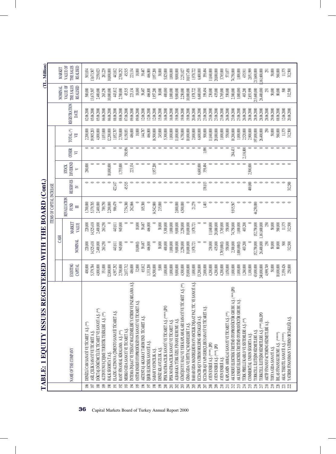|                     | S REGISTERED<br>TABLE: 1 EQUITY ISSUE                                    |                 |                |                                                  | WITH THE BOARD (Cont.)    |                 |                 |                |                     |              |                 | (TL. Million)       |
|---------------------|--------------------------------------------------------------------------|-----------------|----------------|--------------------------------------------------|---------------------------|-----------------|-----------------|----------------|---------------------|--------------|-----------------|---------------------|
|                     |                                                                          |                 |                |                                                  | ITEMS OF CAPITAL INCREASE |                 |                 |                |                     |              |                 |                     |
|                     |                                                                          |                 | CASH           |                                                  |                           |                 |                 |                |                     |              | <b>NOMINAL</b>  | <b>MARKET</b>       |
|                     |                                                                          |                 |                |                                                  | REVALUATION               |                 | <b>STOCK</b>    |                |                     |              | VALUE OF        | <b>VALUE OF</b>     |
|                     | NAME OF THE COMPANY                                                      | <b>EXISTING</b> |                | MARKET                                           | EUND                      | <b>RESERVES</b> | <b>DIVIDEND</b> | <b>OTHER</b>   | $\text{TCIAL}$ (*)  | REGISTRATION | THE SALES       | THE SALES           |
|                     |                                                                          | CAPITAL         | <b>NOMINAL</b> | <b>VALUE</b>                                     | 目                         | ≧               | $\geq$          | $\overline{ }$ | $\equiv$            | DATE         | <b>REALISED</b> | <b>REALISED</b>     |
| $\frac{8}{6}$<br>36 | DENİZLİ CAM SANAYİ VE TİCARET A.Ş. (**)                                  | 400,000         | 220,000        | 220,000                                          | 0000007.                  |                 | $280,\!000$     |                | 2,200,000           | 02.06.2000   | 500,000         | 503,834             |
| $\overline{187}$    | ASİL CELİK SANAYİ VE TİCARET A.S                                         | 5,379,784       | 14,525,418     | 4,525,418                                        | 5,379,785                 |                 |                 |                | 19,905,203          | 05.06.2000   | 1,673,507       | 13,673,507          |
| 188                 | DÖKTAŞ DÖKÜMCÜLÜK TİCARET VE SANAYİ A.Ş.                                 | 4,800,000       | 2,400,000      | 2,400,000                                        | 0000004                   |                 |                 |                | 4,800,000           | 05.06.2000   | 2,400,000       | 2,558,023           |
| 189                 | ALTINYUNUS ÇEŞME TURİSTİK TESİSLERİ A.Ş. (**)                            | $351,\!000$     | 263,250        | 263,250                                          | 789,750                   |                 |                 |                | 1,053,000           | 06.06.2000   | 263,250         | 281,229             |
| 190                 | HALK SIGORTATAS                                                          | 12,800,000      |                |                                                  | 2,200,000                 |                 | 10,000,000      |                | 12,200,000          | 06.06.2000   | 0,000,000       | 0000000             |
| $\overline{91}$     | ELAZIG ALTINOVA ÇÎMENTO SANAYÎİ TİCARET A.Ş                              | 4,597,292       | 443,811        | 443,811                                          | 986,479                   | 422,417         |                 |                | 1,852,707           | 08.06.2000   | 443,812         | 443,812             |
| 192                 | RANT FİNANSAL KİRALAMA A.Ş. (**)                                         | 2,700,000       | 945,000        | 945,000                                          |                           |                 | 1,755,000       |                | 2,700,000           | 08.06.2000   | 2,700,000       | 2,700,252           |
| 93.58               | MERKO GIDA SANAYİ VE TİCARET A.S.                                        | 2,037,712       |                |                                                  | 7,754,380                 | 45,515          |                 | 350,956        | 8,150,851           | 07.06.2000   | 45,515          | 45,515              |
|                     | <b>MVEPAZARLAMA A.Ş.</b><br>İNTEMA İNŞAAT VE TESİSAT MALZEMELERİ YATIRIN | 486,000         |                |                                                  | 262,866                   |                 | 223,134         |                | 486,000             | 09.06.2000   | 223,134         | 223,134             |
|                     | RET A.Ş.<br>OSTÍM ENERJÍ OTOPRODŮKSÍYON SANAYÍ VE TÍCA                   | $32,\!000$      | 18,000(I)      | 18,000                                           |                           |                 |                 |                | 18,000              | 09.06.2000   | 18,000          | 18,000              |
| 9658                | AKTENTAŞ AKSARAY TARIM END. TİCARET A.Ş.                                 | 65,812          | 39,487         | 39,487                                           | $105,300$                 |                 |                 |                | 144,787             | 12.06.2000   | 39,487          | 39,487              |
|                     | ÍSBÍR ELEKTRÍK SANAYÍÍ A.Ş.                                              | 1,333,200       | 466,800        | 466,800                                          |                           |                 |                 |                | 466,800             | 12.06.2000   | 466,800         | 466,800             |
|                     | SABAH YAYINCILIK A.S.                                                    | 16,500,000      |                |                                                  | 14,542,800                |                 | 1,957,200       |                | 16,500,000          | 12.06.2000   | 957,200         | 1,957,200           |
| 199                 | DENİZ KILAVUZLUK A.Ş.                                                    | $5,000$         | 30,000         | 30,000                                           | 215,000                   |                 |                 |                | 245,000             | 15.06.2000   | $30,\!000$      | 30,000              |
| $\approx$           | $\mathbb{R}$<br>IPEK MATBAACILIK SANAYI VE TİCARET A.Ş. (****)           | 1,000,000       | 400,000        | 5,300,000                                        |                           |                 |                 |                | 5,300,000           | 16.06.2000   | 400,000         | 5,825,000           |
| $\overline{20}$     | IPEK MATBAACILIK SANAYI VE TICARET A.Ş.                                  | 1,000,000       | $1,000,000$    | 1,000,000                                        |                           |                 |                 |                | 1,000,000           | 16.06.2000   | 1,000,000       | 1,000,000           |
| 88                  | ALBARAKA TÜRK ÖZEL FİNANS KURUMU A.S                                     | 000,000,0       | 9,000,000      | 9,000,000                                        | 2,000,000                 |                 |                 |                | 11,000,000          | 19.06.2000   | 9,000,000       | 000,000,00          |
|                     | VE TICARET A.S. (**)<br>GÜMÜŞSUYU HALI VE YER KAPLAMALARI SANAYİ         | 4,500,000       | 2,250,000      | 2,250,000                                        | 4,500,000                 |                 |                 |                | 6,750,000           | 19.06.2000   | 2,250,000       | 2,251,027           |
| $\approx$           | GÌMA GIDA VE İHTİYAC MADDELERİ T.A.S.                                    | 15,000,000      | 000,000,00     | 0,000,000                                        |                           |                 |                 |                | 10,000,000          | 19.06.2000   | 0,000,000       | 10,017,458          |
| 205                 | BAHAR GIDA MADDELERİ HAYVANCILIK İNŞAAT PAZ. TİC. VE SANAYİ A.Ş.         | 1,000,000       | 1,978,721      | 1,978,721                                        | $21,279$                  |                 |                 |                | $2,\!000,\!000$     | 20.06.2000   | 1,978,722       | 1,978,722           |
| 206                 | ECZACIBAȘI YATIRIM HOLDÍNG ORTAKLIĞI A.Ş.                                | 13,200,000      |                |                                                  |                           |                 | 6,600,000       |                | 6,600,000           | 23.06.2000   | 6,600,000       | 6,600,000           |
| 207                 | ECZACIBASI YAPI GEREÇLERİ SANAYİ VE TİCARET                              | 2,000,000       |                |                                                  | 1,403                     | 138,013         | 359.494         | 1,090          | 500,000             | 23.06.2000   | 359,494         | 359,494             |
| 208                 | AYEN ENERJİ A.Ş. (****) , IPO                                            | 4,200,000       | 230,000        | 11,040,000                                       |                           |                 |                 |                | 11,040,000          | 23.06.2000   | 230,000         | 11,040,000          |
| $209\,$             | AYEN ENERJİ A.Ş. (***) ,IPO                                              | 4,200,000       | 435,000        | 20,880,000                                       |                           |                 |                 |                | 20,880,000          | 23.06.2000   | 435,000         | 20,880,000          |
| 210                 | AYEN ENERJÍ A.S                                                          | 4,200,000       | 3,765,000(I)   | 3,765,000                                        |                           |                 |                 |                | 1,000,000           | 23.06.2000   | 3,765,000       | 3,765,000           |
| $\overline{z}$      | KAPLAMÍN AMBALAI SANAYÍ VE TÍCARET A.S. (**)                             | 1,050,000       | 550,000        | 550,000                                          |                           |                 |                 |                | 550,000             | 26.06.2000   | 550,000         | 573,877             |
| $212\,$             | AK ENERJÍ ELEKTRÍK ÜRETÍMÍ OTOPRODÜKTÖR GRUBU A.Ş. $(\ast\ast\ast)$ ,IPO | $1,000,000$     | 2,300,000      | 74,750,000                                       | 9,915,567                 |                 |                 | 284,433        | 10,200,000          | 23.06.2000   | 2,300,000       | 74,750,000          |
| 213                 | AK ENERJÍ ELEKTRÍK ÜRETÍMÍ OTOPRODÜKTÖR GRUBU A.Ş                        | 1,000,000       | 1,000,000(I)   | 1,000,000                                        |                           |                 |                 |                | 1,000,000           | 23.06.2000   | 1,000,000       | 1,000,000           |
| 214                 | TÜRK PİRELLİ KABLO VE SİSTEMLERİ A.Ş. (**)                               | 1,260,000       | 403,200        | 403,200                                          |                           |                 |                 | 2,116,800      | 2,520,000           | 26.06.2000   | 403,200         | 435,911             |
| 215                 | COMMERCIAL UNION SIGORTA A.Ş.                                            | 1,100,000       |                |                                                  |                           | 400,000         | 2,500,000       |                | 2,900,000           | 28.06.2000   | 2,851,999       | 2,851,999           |
| 216                 | TURKCELL İLETİŞİM HİZMETLERİ A.Ş.                                        | 43,000,000      | 152,750,000    | 152,750,000                                      | 44,250,000                |                 |                 |                | 000,000,791         | 28.06.2000   | 213,600,000     | 213,600,000         |
| 217                 | TURKCELL İLETİŞİM HİZMETLERİ A.S. (***) HA.IPO                           | 240,000,000     | 26,400,000     | ,161,600,000                                     |                           |                 |                 |                | 26,400,000          | 28.06.2000   | 26,400,000      | 161,600,000         |
| 218                 | AKTİF FİNANS FACTORING HİZMETLERİ A.Ş.                                   | 4,999,749       |                |                                                  |                           |                 |                 |                | $^{25}$             | 28.06.2000   |                 |                     |
| 219                 | TOSYA GIDA SANAYİ A.Ş.                                                   | $50,\!000$      | 50,000         | 50,000                                           |                           |                 |                 |                | 50,000              | 29.06.2000   | 50,000          | 50,000              |
| $220\,$             | İHLAS FİNANS KURUMU A.Ş. (*****)                                         | 10,000,000      | 80,000         | 560,000                                          |                           |                 |                 |                | 60,000              | 00029080     | 80,000          | 560,000             |
| 21<br>22            | AKAL TEKSTİL SANAYİİ A.Ş. (*****                                         | 2,359,426       |                | $\begin{array}{c} 11,375 \\ 312,500 \end{array}$ |                           |                 |                 |                | $11,375$<br>312,500 | 12.06.2000   |                 | $11,375$<br>312,500 |
|                     | YATIRIM FİNANSMAN YATIRIM ORTAKLIĞI A.Ş.                                 | $250,\!000$     | 312,500        |                                                  |                           | 312,500         |                 |                |                     | 20.06.2000   | 312,500         |                     |
|                     |                                                                          |                 |                |                                                  |                           |                 |                 |                |                     |              |                 |                     |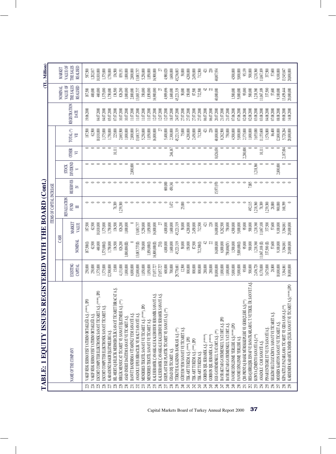|                              | REGISTERED<br><b>TABLE: 1 EQUITY ISSUES</b>                                                                             |                         | <b>HLLM</b>                |                         | THE BOARD (Cont.          |                      |                           |              |                          |                          |                              | (TL. Million)                       |
|------------------------------|-------------------------------------------------------------------------------------------------------------------------|-------------------------|----------------------------|-------------------------|---------------------------|----------------------|---------------------------|--------------|--------------------------|--------------------------|------------------------------|-------------------------------------|
|                              |                                                                                                                         |                         |                            |                         | ITEMS OF CAPITAL INCREASE |                      |                           |              |                          |                          |                              |                                     |
|                              |                                                                                                                         |                         | CASH                       |                         |                           |                      |                           |              |                          |                          | <b>NOMINAL</b>               | <b>MARKET</b>                       |
|                              |                                                                                                                         |                         |                            |                         | <b>REVALUATION</b>        |                      | STOCK                     | <b>OTHER</b> | $\text{TOTAL}$<br>$(^*)$ | <b>REGISTRATION</b>      | <b>VALUE OF</b>              | <b>VALUE OF</b>                     |
|                              | NAME OF THE COMPANY                                                                                                     | EXISTING<br>CAPITAL     | <b>NOMINAL</b>             | MARKET<br><b>VALUE</b>  | EUND<br>$\equiv$          | <b>RESERVES</b><br>≧ | <b>DIVIDEND</b><br>$\geq$ | ⋝            | 貝                        | DATE                     | <b>THE SALES</b><br>REALISED | <b>THE SALES</b><br><b>REALISED</b> |
|                              | ***), IPO<br>VAKIF RÍSK SERMAYESÍ YATIRIM ORTAKLIĞI A.Ş.                                                                | 250,000                 | 187,500(I)                 | 187,500                 |                           |                      |                           |              | 187,500                  | 19.06.2000               | 187,500                      | 587,500                             |
| នី ខ្ព                       | VAKIF RÍSK SERMAYESÍ YATIRIM ORTAKLIĞI A.Ş.                                                                             | $250,\!000$             | 62,500                     | $62,500$                |                           |                      |                           |              | 62,500                   |                          | 400,000                      | 1,202,817                           |
| 25                           | ESCORT COMPUTER ELEKTRONIK SANAYI TICARET                                                                               | 1375,000                | 460,000                    | 0,810,000               |                           |                      |                           |              | 10,810,000               | 04.07.2000               | 460,000                      | 10,810,000                          |
|                              | . A.Ş. (****), PO<br>. A.Ş.<br>ESCORT COMPUTER ELEKTRONIK SANAYI TICARET                                                | 1,375,000               | 1,375,000(I)               | 1,375,000               |                           |                      |                           |              | 1,375,000                | 04.07.2000               | 375,000                      | 1,375,000                           |
| 27                           | KARADENİZ BAKIR İSLETMELERİ A.S.                                                                                        | 12,500,000              | 1,750,000                  | 1.750,000               |                           |                      |                           |              | 1.750,000                | 05.072000                | .750,000                     | 1,750,000                           |
| $\frac{28}{229}$             | BİL-MERTAŞ BİLECIK MERMERCİLIK SANAYİ TİCARET İHRACAT A.Ş.                                                              | 15,000                  | 136,500                    | 136,500                 | 78,389                    |                      |                           | 10.111       | 225,000                  | 07.07.2000               | 136,500                      | 136,500                             |
|                              | A.S. (**)<br>BİRLİK MENSUCAT TİCARET VE SANAYİ İŞLETMESİ                                                                | 4,131,000               | 826,200                    | 826,200                 | 1,239,300                 |                      |                           |              | 2,065,500                | 10.072000                | 826,200                      | 839,151                             |
| 230<br>231                   | BANVİT BANDIRMA VİTAMİNLİ YEM SANAYİİ A.Ş.<br>ASAD ENERJÍ DAĞITIM SANAYÍ VE TÍCARET A.Ş.                                | 1,000,000<br>6,000,000  | III)000'000'1              | 000,000,1               |                           |                      | 2,800,000                 |              | 1,000,000<br>2,800,000   | 10.072000<br>11.072000   | 1,000,000<br>2,800,000       | 1,000,000<br>2,800,000              |
| 232                          | ANADOLU EFES BİRACILIK VE MALT SANAYİİ A.Ş.                                                                             | 12,000,000              | 13.083.737(II)             | 13.083.737              |                           |                      |                           |              | 13,083,737               | 11.072000                | 13,083,737                   | 13,083,737                          |
|                              | P(<br>MENDERES TEKSTİL SANAYİ VE TİCARET A.Ş. (****)                                                                    | 1,850,000               | 350,000                    | 5,250,000               |                           |                      |                           |              | 5,250,000                | 11.072000                | 350,000                      | 5,250,000                           |
| $\ddot{a} \ddot{a} \ddot{a}$ | MENDERES TEKSTİL SANAYİ VE TİCARET A.Ş.                                                                                 | 1,850,000               | 1,850,000(I)               | 1,850,000               |                           |                      |                           |              | 1,850,000                | 11.072000                | 1,850,000                    | 1,850,000                           |
|                              | SANAYİ A.Ş.<br>KALESERAMÍK ÇANAKKALE KALEBODUR SERAMÍK                                                                  | (7,057,727)             | 16,800,000(II)             | 16,800,000              |                           |                      |                           |              | 16,800,000               | 12.07.2000               | 16,900,000                   | 16,900,000                          |
| 353                          | SANAYİ A.Ş.<br>KALESERAMÍK ÇANAKKALE KALEBODUR SERAMÍK                                                                  | 17,057,727              |                            |                         |                           |                      |                           |              |                          | 12.07.2000               |                              |                                     |
|                              | EGEPLAST EGE PLASTIK TICARET VE SANAYI A.Ş. (*                                                                          | 600,000                 | 4,800,000                  | 4,800,000               |                           | 600,000              |                           |              | 5,400,000                | 12.07.2000               | 4,909,696                    | 4,980,020                           |
|                              | GİSAD DIŞ TİCARET A.Ş.                                                                                                  | $700,000$               | 1,600,000                  | 1,600,000               | 3,472                     | 450,361              |                           | 246,167      | 2,300,000                | 18.07.2000               | 1,600,000                    | 1,600,000                           |
| 239                          | TÜRKİYE KALKINMA BANKASI A.Ş. (**)                                                                                      | 29,778,681              | 45,221,319                 | 45,221,319              |                           |                      |                           |              | 45,221,319               | 24.07.2000               | 45,221,319                   | 45,236,003                          |
| ੜੇ ੜ                         | GÜRYEM YEM SANAYİ VE TİCARET A.Ş.                                                                                       | $12{,}500$              | 50,000                     | $50,\!000$              | 25,000                    |                      |                           |              | 75,000                   | 27.07.2000               | 50,000                       | 50,000                              |
|                              | TEK-ART TURIZM A.Ş. (****) ,IPC                                                                                         | $800,\!000$             | 150,000                    | 4,200,000               |                           |                      |                           |              | 4,200,000                | 27.07.2000               | 150,000                      | 4,200,000                           |
| 242                          | TEK-ART TURÍZM A.Ş. (***) ,IPO                                                                                          | $800,\!000$             | $87,500$                   | 2,450,000               |                           |                      |                           |              | 2,450,000                | 27.07.2000               | 87,500                       | $2,\!450,\!000$                     |
| $\frac{a}{b}$                | TEK-ART TURİZM A.Ş.                                                                                                     | $800,\!000$             | 712,500(I)                 | 712,500                 |                           |                      |                           |              | 712,500                  | 27.07.2000               | 712,500                      | 712,500                             |
|                              | GORBON ISIL SERAMIK A.S. (******)                                                                                       | $288,\!000$             |                            | $\overline{4}$          |                           |                      |                           |              | $\overline{v}$           | 06.07.2000               |                              | ¤়                                  |
| 245                          | GORBON ISIL SERAMIK A.Ş. (*****)                                                                                        | $288,\!000$             |                            | 220                     |                           | $\circ$              |                           |              | 220                      | 06.07.2000               |                              | $\mathbb{Z}$                        |
| 246                          | EGS GAYRİMENKUL YAT.ORT.A.Ş. (**)                                                                                       | 10,000,000              | 16,000,000                 | 6,000,000               |                           | 15,973,970           |                           | 8,026,030    | 40,000,000               | 20.07.2000               | 40,000,000                   | 40,007,934                          |
| 747                          | BAYRAKTAR GAYRİMENKUL YAT.ORTA.Ş. .IPO                                                                                  | 1,000,000               | 6,800,000                  | 8,262,500               |                           |                      |                           |              | 8,262,500                | 21.07.2000               |                              |                                     |
| 248<br>249                   | BAYRAKTAR GAYRIMENKUL YAT.ORT.A.S.<br>FAVORİ DİNLENME YERLERİ A.Ş.(****),IPO                                            | 1,000,000<br>5,000,000  | $1,500,000$<br>750,000(IV) | 750,000<br>4,500,000    |                           |                      |                           |              | 750,000<br>4,500,000     | 21.07.2000<br>07.06.2000 | 1,500,000                    | 4,500,000                           |
|                              | FAVORI DİNLENME YERLERİ A.Ş.                                                                                            | 5,000,000               | 5,000,000(I)               | 5,000,000               |                           |                      |                           |              | 5,000,000                | 07.06.2000               | 5,000,000                    | 5,000,000                           |
|                              | [A.S.(**)<br>ÇBS PRİNTAŞ BASKI MÜREKKEPLERİ VE GEREÇLERİ                                                                | 95,000                  | 95,000                     | 95,000                  |                           |                      |                           | 2,280,000    | 2,375,000                | 02.08.2000               | 95,000                       | 95,139                              |
| នី នី នី                     | KEL ÜR. SAN.VE T.A.Ş<br>BESAŞ BİRLEŞİK ESNAF VE SANATKARLARI G.T. VE TE                                                 | $500,\!000$             | 500,000                    | 500,000                 | 492.115                   | 7,885                |                           |              | 1,000,000                | 02.08.2000               | 500,000                      | 500,000                             |
|                              | KONYA ÇİMENTO SANAYİİ A.Ş.(**)                                                                                          | 2,436,720               | 1218,360                   | 1,218,360               | 1,218,360                 |                      | 1,218,360                 |              | 3,655,080                | 03.08.2000               | 1218,360                     | 1218,360                            |
| និ និ និ                     | ANADOLU CAM SANAYII A.Ş.                                                                                                | 8,170,000               | 11,067,108 (II)            | 11,067,108              | 78,389                    |                      |                           | 10,111       | 11,155,608               | 03.08.2000               | 11,067,109                   | 11,067,109                          |
|                              | PINAR ENTEGRE ET VE UN SANAYII A.S.                                                                                     | 3,675,000               | $337,\!500\,(\mathrm{II})$ | 337,500                 | 239,300                   |                      |                           |              | 1,576,800                | 04.08.2000               | 337,500                      | 337,500                             |
| 256                          | SELKİM SELÜLOZ KİMYA SANAYİ VE TİCARET A.Ş.                                                                             | $28,800$                | 57,600                     | 57,600                  | 28,800                    |                      |                           |              | 86,400                   | 07.08.2000               | 57,600                       | 57,600                              |
| 257                          | MODERN KARTON SANAYI VE TICARET A.S.                                                                                    | 0.000,000               | 9,100,000                  | 000,0016                | 900,000                   |                      | 2,800,000                 |              | 12,800,000               | 00028082000              | 9,100,000                    | 9,100,000                           |
| <b>38</b><br>259             | KARDEMİR KARABÜK DEMİR ÇELİK SANAYİ VE TİCARET A.Ş.(****),IPO<br>$(**)$<br>KİPA KİTLE PAZARLAMA TİCARET VE GIDA SAN.A.Ş | 3,364,861<br>30,000,000 | 20,000,000<br>3,364,861    | 3,364,861<br>20,000,000 | 168,399                   |                      |                           | 2,187,004    | 5,720,264<br>20,000,000  | 09.08.2000<br>14.08.2000 | 13,459,444<br>20,000,000     | 13,545,047<br>20,000,000            |
|                              |                                                                                                                         |                         |                            |                         |                           |                      |                           |              |                          |                          |                              |                                     |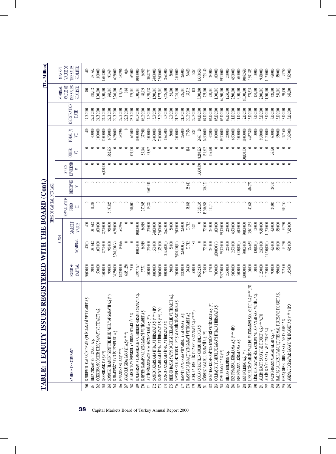|                                                           | S REGISTERED<br>TABLE: 1 EQUITY ISSUE                                  |                 | WITH            |              | THE BOARD (Cont.          |                 |                           |                   |                                 |                      |                  | (TL. Million)   |
|-----------------------------------------------------------|------------------------------------------------------------------------|-----------------|-----------------|--------------|---------------------------|-----------------|---------------------------|-------------------|---------------------------------|----------------------|------------------|-----------------|
|                                                           |                                                                        |                 |                 |              | ITEMS OF CAPITAL INCREASE |                 |                           |                   |                                 |                      |                  |                 |
|                                                           |                                                                        |                 | CASH            |              |                           |                 |                           |                   |                                 |                      | <b>NOMINAL</b>   | <b>MARKET</b>   |
|                                                           |                                                                        |                 |                 |              | REVALUATION               |                 | <b>STOCK</b>              |                   |                                 |                      | <b>VALUE OF</b>  | <b>VALUE OF</b> |
|                                                           | NAME OF THE COMPANY                                                    | <b>EXISTING</b> |                 | MARKET       | EUND                      | <b>RESERVES</b> | <b>DIVIDEND</b><br>$\geq$ | <b>OTHER</b><br>⋝ | TOTAL $(\hspace{0.1em}^*)$<br>買 | REGISTRATION<br>DATE | <b>THE SALES</b> | THE SALES       |
| 38                                                        |                                                                        | CAPITAL         | NOMINAL         | <b>VALUE</b> | $\equiv$                  | ≧               |                           |                   |                                 |                      | REALISED         | <b>REALISED</b> |
| ৰ্ষ্ণ ষ্ণ                                                 | ICARET A.Ş.<br>KARDEMÎR KARABÛK DEMÎR ÇELÎK SANAYÎ VE TÎ               | 30,000,000      | 400(I)          | Ş            |                           |                 |                           |                   | Ş                               | 14.08.2000           | Ş                |                 |
|                                                           | BETA ZIRAAT VE TICARET AŞ                                              | 30,000          | 381,612         | 381,612      | 18,388                    |                 |                           |                   | 400.000                         | 22.08.2000           | 381,612          | 381,612         |
| 262                                                       | GÖKKİRSAN GÖKLER KİREÇ SANAYİ VE TİCARET A.Ş.                          | 500,000         | 1,000,000       | 000,000      |                           |                 |                           |                   | 1,000,000                       | 24.08.2000           | 1,000,000        | 1,000,000       |
| 263                                                       | SEKERBANK T.A.Ş.(**)                                                   | 15,000,000      | 8,700,000       | 8,700,000    |                           |                 | 6,300,000                 |                   | 5,000,000                       | 24.08.2000           | 5,000,000        | 5,008,000       |
| 264                                                       | SÖNMEZ FİLAMENT SENTETİK İPLİK VE ELYAF SANAYİİ A.Ş.(**)               | 960,000         | 960,000         | 960,000      | 5,197,025                 |                 |                           | 562,975           | 6,720,000                       | 29.08.2000           | 960,000          | 963,674         |
| 265<br>Capital Markets Board of Turkey Annual Report 2000 | KARADENİZ BAKIR İŞLETMELERİ A.Ş.                                       | 14,250,000      | 6,260,000 (V    | 5,260,000    |                           |                 |                           |                   | 6260,000                        | 29.08.2000           | 6,260,000        | 6260,000        |
| 266                                                       | FINANSBANK A.S. (*****                                                 | 63,250,000      | 119,076         | 532,936      |                           |                 |                           |                   | 532,936                         | 29.08.2000           | 119,076          | 532,936         |
|                                                           | ANADOLU GIDA SANAYIİ A.Ş.(*****)                                       | 6,851.250       |                 |              |                           |                 |                           |                   |                                 | 22.08.2000           | ड<br>⊂           | $\approx$       |
| \$ \$ \$                                                  | ALARKO GAYRÍMENKUL YATIRIM ORTAKLIĞI A.Ş.                              | $2,\!500$       |                 |              | 106,000                   |                 |                           | 519,000           | 625,000                         | 23.08.2000           | $625,\!000$      | 625,000         |
|                                                           | <b>CANAYIAS</b><br>KALESERAMÍK ÇANAKKALE KALEBODUR SERAMÍK             | 33,957,727      | 10,000,000      | 10,000,000   |                           |                 |                           |                   | 10,000,000                      | 05.09.2000           | 0,000,000        | 10,000,000      |
| $270\,$                                                   | KARYEM KARAPINAR YEM SANAYÎ VE TÎCARET A.Ş                             | 37,791          | 86,919          | 86,919       | 237,945                   |                 |                           | 53,046            | 377,910                         | 08.092000            | 86,919           | 86,919          |
| $\overline{z}$                                            | AKTİF FİNANS FACTORÍNG HİZMETLERİ A.Ş. (**)                            | 5,000,000       | $1,250,000$     | 1,250,000    | 19,287                    | 3,697,316       |                           | 33,397            | 5,000,000                       | 14.09.2000           | 3,098,658        | 3,098,777       |
|                                                           | PQ<br>SANKO PAZARLAMA İTHALAT İHRACAT A.Ş. (****)                      | 10,000,000      | $1,500,\!000$   | 24,000,000   |                           |                 |                           |                   | 24,000,000                      | 15.09.2000           | 1,500,000        | 24,000,000      |
| 273                                                       | SANKO PAZARLAMA İTHALAT İHRACAT A.Ş. (***) ,IPO                        | 10,000,000      | 1,375,000       | 22,000,000   |                           |                 |                           |                   | 22,000,000                      | 15.09.2000           | 1,375,000        | 22,000,000      |
| 274                                                       | SANKO PAZARLAMA İTHALAT İHRACAT A.Ş.                                   | 10,000,000      | 8,625,000(I)    | 8,625,000    |                           |                 |                           |                   | 8,625,000                       | 15.09.2000           | 8,625,000        | 8,625,000       |
|                                                           | <b>TICARET A.S</b><br>REHBER BASIM YAYIN DAĞITIM REKLAMCILIK VE '      | $30,\!000$      | 50,000          | $50,000$     |                           |                 |                           |                   | $50,\!000$                      | 19.09.2000           | 50,000           | 50,000          |
| 276                                                       | RMEA <sub>S</sub> .<br>VESTELNET ELEKTRONÍK ÍLETÍSÍM VE BÍLGÍLENDÍ     | 2,000,000       | 2,000,000(III)  | 2,000,000    |                           |                 |                           |                   | 2,000,000                       | 21.09.2000           | 2,000,000        | 2,000,000       |
| 277                                                       | BANVİT BANDIRMA VİTAMİNLİ YEM SANAYİİ A.Ş.                             | 8,800,000       | 226,000(V)      | 226,000      |                           |                 |                           |                   | 226,000                         | 21.09.2000           | 226,000          | 226,000         |
|                                                           | BASYEM BASMAKÇI YEM SANAYÎ VE TÎCARET A.Ş.                             | $120,400$       | 33,712          | 33,712       | 38,088                    | 25,610          |                           | $\equiv$          | 97,524                          | 29.09.2000           | 33,712           | 34,620          |
| $279$ $280$                                               | ADEL KALEMCİLİK TİCARET VE SANAYİ A.Ş. (*****)                         | $500,\!000$     | $\mathbb{S}$    | 5,861        |                           |                 |                           |                   | 5,861                           | 29.09.2000           |                  | 5.861           |
|                                                           | DOĞAN ŞİRKETLER GRUBU HOLDİNG A.Ş.                                     | 66,502,800      |                 |              | 5,020,335                 |                 | 13,300,560                | 8,280,225         | 26,601,120                      | 04.102000            | 13,300,560       | 13,300,560      |
| 281                                                       | SÖNMEZ PAMUKLU SANAYİİ A.S. (**)                                       | $725,\!000$     | $725,000$       | $725,000$    | 13,306,988                | 316,120         |                           | 151,892           | 14,500,000                      | 04.10.2000           | 725,000          | 725,140         |
| $\frac{28}{283}$                                          | $S_{\cdot}$ (**)<br>KONÍTEKS KONFEKSÍYON ENDÜSTRÍ VE TÍCARET A         | $117,\!000$     | 234,000         | 234,000      | 117,710                   |                 |                           | 116,290           | 468,000                         | 04.102000            | 234,000          | 234,000         |
|                                                           | GOLDAŞ KUYUMCULUK SANAYİ İTHALAT İHRACAT                               | 7,000,000       | (1000,000)      | 1,000,000    |                           |                 |                           |                   | 1,000,000                       | 05.10.2000           | 1,000,000        | 1,000,000       |
| 284                                                       | DEMIRBANK T.A.S. (**)                                                  | 205,700,000     | 000,006,69      | 59,300,000   |                           |                 |                           |                   | 69,300,000                      | 06.10.2000           | 69,300,000       | 69,300,000      |
| 285                                                       | BİLFAR HOLDİNG A.Ş.                                                    | 2,500,000       | 1,250,000       | 1,250,000    |                           |                 |                           |                   | 1,250,000                       | 09.102000            | 1,250,000        | 1,250,000       |
| 286                                                       | EGS FİNANSAL KİRALAMA A.Ş. (****),IPO                                  | 5,000,000       | $2,\!500,\!000$ | 6,500,000    |                           |                 |                           |                   | 6,500,000                       | 11.102000            | 2,500,000        | 6,500,000       |
| $287\,$                                                   | EGS FİNANSAL KİRALAMA A.Ş.                                             | 5,000,000       | 5,000,000(I)    | 5,000,000    |                           |                 |                           |                   | 5,000,000                       | 11.10.2000           | 5,000,000        | 5,000,000       |
| 288                                                       | EGS HOLDING A.Ş. (**)                                                  | 100,000,000     | 80,000,000      | 80,000,000   |                           |                 |                           | 30,000,000        | 10,000,000                      | 12.102000            | 80,000,000       | 80,082,630      |
| $280\,$                                                   | LÌNK BÌLGÍSAYAR SÍS. YAZILIMI VE DONANIMI SAN. VE TÍC. A.Ş. (****).IPO | $100,000$       | 374,635         | 3,941,835    | 41,688                    | 454,277         |                           |                   | 4,437,800                       | 13.10.2000           | 374,635          | 3,941,835       |
| 290                                                       | LÍNK BÍLGÍSAYAR SÍS. YAZILIMI VE DONANIMI SAN. VE TÍC. A.Ş.            | 100,000         | 100,000         | $100,000$    |                           |                 |                           |                   | 100,000                         | 13.102000            | $100,000$        | $100,000$       |
| 291                                                       | ALKİM KAĞIT SANAYİ VE TİCARET A.Ş. (****),IPO                          | 11,200,000      | 2,800,000       | 9,380,000    |                           |                 |                           |                   | 9,380,000                       | 13.102000            | 2,800,000        | 9,380,000       |
| 292                                                       | ALKİM KAĞIT SANAYİ VE TİCARET A.Ş                                      | 11,200,000      | 11,200,000(I)   | 1,200,000    |                           |                 |                           |                   | 11,200,000                      | 13.102000            | 11,200,000       | 11,200,000      |
| 293                                                       | FACTOFINANS ALACAK ALIMI A.S. (**)                                     | $900,\!000$     | $420,000$       | 420,000      | 24,605                    | 129,375         |                           | 26,020            | 600,000                         | 13.102000            | 420,000          | 420,000         |
| 294                                                       | TICARET A.Ş.<br>BALPAŞ BALIKESİR-PAMUKÇU TERMAL TURİZM VE              | 950,000         | 550,000         | 550,000      |                           |                 |                           |                   | 550,000                         | 3.102000             | 50,000           | 550,000         |
| 295                                                       | GESAȘ GENEL GIDA SANAYII VE TICARET A.Ş.                               | $202,\!500$     | 93,750          | 93,750       | 303,750                   |                 |                           |                   | 397,500                         | 13.102000            | 93,750           | 93,750          |
| 206                                                       | PQ<br>ARENA BİLGİSAYAR SANAYI VE TİCARET A.Ş. (****)                   | ,355,000        | 645,000         | 1,395,000    |                           |                 |                           |                   | 7,395,000                       | 13.10.2000           | 645,000          | 7,395,000       |
|                                                           |                                                                        |                 |                 |              |                           |                 |                           |                   |                                 |                      |                  |                 |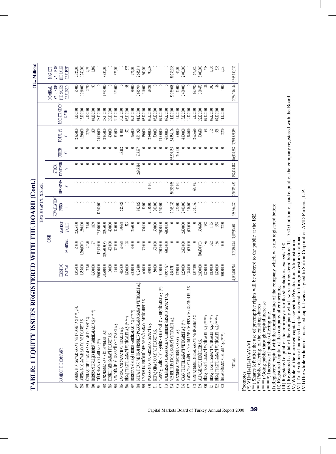|                  | <b>REGISTERED</b><br>TABLE: 1 EQUITY ISSUES                           |                 |                             |               | WITH THE BOARD (Cont.)           |             |                                       |                |                      |              |                             | (TL. Million)   |
|------------------|-----------------------------------------------------------------------|-----------------|-----------------------------|---------------|----------------------------------|-------------|---------------------------------------|----------------|----------------------|--------------|-----------------------------|-----------------|
|                  |                                                                       |                 |                             |               | <b>ITEMS OF CAPITAL INCREASE</b> |             |                                       |                |                      |              |                             |                 |
|                  |                                                                       |                 |                             | CASH          |                                  |             |                                       |                |                      |              | NOMINAL                     | <b>MARKET</b>   |
|                  |                                                                       |                 |                             |               | REVALUATION                      |             | <b>STOCK</b>                          |                |                      |              | VALUE OF                    | VALUE OF        |
|                  | NAME OF THE COMPANY                                                   | <b>EXISTING</b> |                             | MARKET        | EUND                             | RESERVES    | <b>DIVIDEND</b>                       | <b>OTHER</b>   | TOTAL <sup>(*)</sup> | REGISTRATION | THE SALES                   | THE SALES       |
|                  |                                                                       | CAPITAL         | <b>NOMINAL</b>              | VALUE         | ⊟                                | ≧           | ⋗                                     | $\overline{v}$ | 罗                    | DATE         | REALISED                    | REALISED        |
| 57               | PQ<br>ARENA BİLGİSAYAR SANAYİ VE TİCARET A.Ş. (***)                   | 1,355,000       | 75,000                      | .325,000      |                                  |             |                                       |                | 2,325,000            | 13.102000    | 75,000                      | 2,325,000       |
| 298              | ARENA BİLGİSAYAR SANAYİ VE TİCARET A.Ş.                               | 1,355,000       | 1,280,000(1)                | 1,280,000     |                                  |             |                                       |                | 1,280,000            | 13.10.2000   | 1,280,000                   | 000,087.1       |
| $299$            | ÖZULAS TOPLUTASIM SANAYİ VE TİCARET A.S.                              | 2.790           |                             | 2,790         |                                  |             |                                       |                |                      | 0.102000     | 2,790                       | 2,790           |
| R                | BORUSAN BİRLEŞİK BORU FABRİKALARI A.Ş. (*****)                        | 6,300,000       |                             | 1,809         |                                  |             |                                       |                | 1,809                | 000201.4     | S                           | 1809            |
| ≅                | <b>TÜRK HAVA YOLLARI A.O. (**</b>                                     | 50,000,000      | 12,500,000                  | 12,500,000    | 12,500,000                       |             |                                       |                | 25,000,000           | 28.11.2000   |                             |                 |
| $\mathfrak{M}$   | KARADENİZ BAKIR İŞLETMELERİ A.Ş.                                      | 20,510,000      | 8,935,000 V                 | 8,935,000     |                                  |             |                                       |                | 8,935,000            | 28.112000    | 8,935,000                   | 8,935,000       |
| $\mathfrak{M}$   | DENİZLİ YEM SANAYİ TİCARET A.Ş.                                       | 100,000         | 400,000                     | 400,000       |                                  |             |                                       |                | 400,000              | 29.112000    |                             |                 |
| $\frac{31}{200}$ | VAN YÜN İPLİĞİ SANAYİİ VE TİCARET A.Ş                                 | 75,000          | 325,000                     | 325,000       |                                  |             |                                       |                | 325,000              | 30.112000    | 325,000                     | $325,000$       |
|                  | JANTSA JANT SANAYIİ VE TİCARET A.Ş.                                   | 415,800         | (70, 478)                   | 170,478       | 525,428                          |             |                                       | 15,112         | 711,018              | 30.112000    |                             |                 |
| R,               | BİSAŞ TEKSTİL SANAYİ VE TİCARET A.Ş. (*****)                          | 1,800,000       |                             | 573           |                                  |             |                                       |                | 573                  | 06.112000    | 98                          | 573             |
| $\mathfrak{M}$   | BORUSAN BİRLEŞİK BORU FABRİKALARI A.Ş. (*****)                        | 6,300,000       | 30,000                      | 276,000       |                                  |             |                                       |                | 276,000              | 09.11.2000   | $30,\!000$                  | 276,000         |
| $\gg$            | MÍLPA TÍCARÍ VE SINAÍ ÜRÜNLER PAZARLAMA SANAYÍ VE TÍCARET A.S.        | 9,123,840       |                             |               | 942,029                          |             | 2,645,914                             | 973.977        | 4,561,920            | 01.12.2000   | 2,645,914                   | 2,645,914       |
| R,               | UZ-YEM UZUNKÖPRÜ YEM VE YAĞ SANAYİ VE TİCARET A.Ş.                    | 600,000         | 300,000                     | 300,000       | $50,000$                         |             |                                       |                | 350,000              | 05.12.2000   | 300,000                     | 300,000         |
| a a a a          | PARSAN MAKİNA PARÇALARI SANAYİ A.Ş.                                   | 1,440,000       |                             |               | 2,736,000                        | 144,000     |                                       |                | 2,880,000            | 05.12.2000   | 90,238                      | 90,238          |
|                  | KETAŞ GIDA SANAYÎ VE TİCARET A.Ş.                                     | 50,000          | 300,000                     | 300,000       | $200,\!000$                      |             |                                       |                | 500,000              | 06.12.2000   |                             |                 |
|                  | TICARET A.Ş. (**)<br>TANSAŞ; İZMİR BÜYÜKŞEHİR BELEDİYESİ İÇ VE DIŞ    | 3,000,000       | 12,000,000                  | 12,000,000    | 500,000                          |             |                                       |                | 13,500,000           | 07.12.2000   |                             |                 |
|                  | SANAYİ A.Ş.<br>KALESERAMÍK ÇANAKKALE KALEBODUR SERAMÍK                | 43,957,727      | 6,000,000                   | 6,000,000     |                                  |             |                                       |                | 6,000,000            | 08.12.2000   |                             |                 |
| 314              | VESTEL ELEKTRONIK SANAYI VE TICARET A.Ş.                              | 4,545,711       |                             |               | ,705,183                         | 50,239,038  |                                       | 96,609,955     | 54,554,176           | 11.12.2000   | 50,239,038                  | 50,239,038      |
| 315              | HAZNEDAR ATEŞ TUĞLA SANAYİİ A.Ş.                                      | 1,250,000       |                             |               | 220,000                          | 45,000      |                                       | 235,000        | 500,000              | 12.12.2000   | 45,000                      | 45,000          |
| 316              | OKAN TEKSTİL SANAYİ VE TİCARET A.Ş. (**)                              | 1,200,000       | 2,400,000                   | 000,000       | 00000                            |             |                                       |                | 4,800,000            | 13.12.2000   | 2,400,000                   | 2,400,000       |
| 317              | <b>SLETMELERÍ A.S.</b><br>AYDIN TEKSTİL (İPLİK-DOKUMA VE KONFEKSİYON) | 1,344,000       | 1,008,000                   | 008,000       | 336,000                          |             |                                       |                | 1,344,000            | 19.12.2000   |                             |                 |
| 318              | GENTAȘ GENEL METAL SANAYÎ VE TÎCARET A.S.                             | 1,347,840       |                             |               | 021,760                          | 673,920     |                                       |                | 2,695,680            | 19.12.2000   | 673,920                     | 673,920         |
| 319              | ALFA MENKUL DEĞERLER A.Ş.                                             | 2,800,000       | IIA)017008                  | <b>OCF100</b> |                                  |             |                                       |                | 300,470              | 22.12.2000   | 300,470                     | 3,400,000       |
|                  | BİSAŞ TEKSTİL SANAYİ VE TİCARET A.Ş. (*****)                          | 1,800,000       | 186                         |               |                                  |             |                                       |                | 538                  | 000217       |                             | 538             |
| ន្ត ដ ដ ដ        | BİSAŞ TEKSTİL SANAYİ VE TİCARET A.Ş. (*****)                          | 1,800,000       | 392                         | 135           |                                  |             |                                       |                | 135                  | 07.12.2000   | <b>MER 200</b>              | $\frac{15}{28}$ |
|                  | BİSAŞ TEKSTİL SANAYİ VE TİCARET A.Ş. (*****)                          | 1,800,000       | 186                         |               |                                  |             |                                       |                | 538                  | 07.12.2000   |                             |                 |
|                  | <b>HLAS FINANS KURUMU A.Ş. (*****)</b>                                | 0,000,000       | $\otimes$                   | 2,250         |                                  |             |                                       |                | 2,250                | 11.12.2000   |                             | 250             |
|                  | TOTAL                                                                 | 4,183,470,244   | 1,302,366,874 3,007,974,041 |               | 568,964,280                      | 220,375,432 | P98,404,418 386,908,668 3,769,599,339 |                |                      |              | 2,234,776,144 3,983,150,132 |                 |

 $\alpha$  or  $\alpha$  and annot make  $\alpha$  and  $\alpha$  and  $\alpha$  $\frac{1}{2}$  $\zeta$  $\overline{1}$ J,  $\overline{1}$ m a my

 $(N+N+1+1+1+1+1)$ (\*) VII=II+III+IV+V+VI Footnotes: Footnotes:

Capital Markets Board of Turkey Annual Report 2000 39

(\*\*\*) Shares left after the use of preemptive rights will be offered to the public at the ISE.<br>(\*\*\*\*) Public offering of the existing shares<br>(\*\*\*\*\*) Going public through capital increase<br>(\*\*\*\*\*\*) Increase of public offerin (\*\*) Shares left after the use of preemptive rights will be offered to the public at the ISE.

(\*\*\*) Public offering of the existing shares

(\*\*\*\*) Going public through capital increase

(\*\*\*\*\*) Increase of public offering rate.

 $(1)$  Registered capital with the nominal value of the company which was not registered before. (I) Registered capital with the nominal value of the company which was not registered before.

(II) Registered capital of the company after merging.

(III) Registered capital of the company after the shareholders exceeds 100.

(II) Registered capital of the company after merging<br>(II) Registered capital of the company after merging wind was not registered to the company registered vith the Board.<br>(IV) Registered capital of the company which was n (IV) Registered capital of the company which was not registered before. TL. 750,0 billion of paid capital of the company registered with the Board. (V) Whole of the increased capital assigned to Privatization Administration.

(VI) Total volume of increased capital assigned to foreign investors in abroad.

(VII)The whole volume of increased capital was assigned to Safron Corporation AMD Partners, L.P.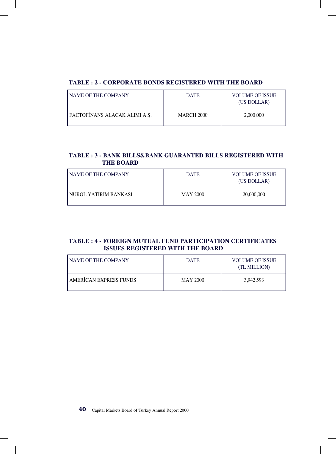## **TABLE : 2 - CORPORATE BONDS REGISTERED WITH THE BOARD**

| I NAME OF THE COMPANY         | <b>DATE</b>       | <b>VOLUME OF ISSUE</b><br>(US DOLLAR) |
|-------------------------------|-------------------|---------------------------------------|
| FACTOFINANS ALACAK ALIMI A.S. | <b>MARCH 2000</b> | 2,000,000                             |

## **TABLE : 3 - BANK BILLS&BANK GUARANTED BILLS REGISTERED WITH THE BOARD**

| I NAME OF THE COMPANY     | <b>DATE</b>     | <b>VOLUME OF ISSUE</b><br>(US DOLLAR) |
|---------------------------|-----------------|---------------------------------------|
| l NUROL YATIRIM BANKASI - | <b>MAY 2000</b> | 20,000,000                            |

## **TABLE : 4 - FOREIGN MUTUAL FUND PARTICIPATION CERTIFICATES ISSUES REGISTERED WITH THE BOARD**

| l NAME OF THE COMPANY  | <b>DATE</b>     | <b>VOLUME OF ISSUE</b><br>(TL MILLION) |
|------------------------|-----------------|----------------------------------------|
| AMERICAN EXPRESS FUNDS | <b>MAY 2000</b> | 3,942,593                              |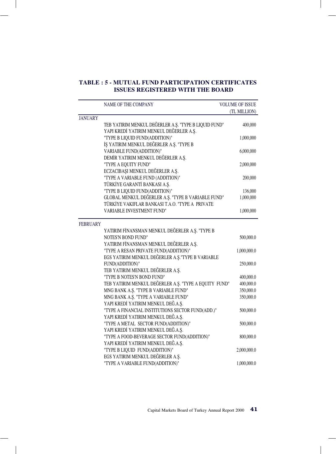## **TABLE : 5 - MUTUAL FUND PARTICIPATION CERTIFICATES ISSUES REGISTERED WITH THE BOARD**

| (TL MILLION)<br><b>JANUARY</b><br>TEB YATIRIM MENKUL DEĞERLER A.Ş. "TYPE B LIQUID FUND"<br>400,000<br>YAPI KREDİ YATIRIM MENKUL DEĞERLER A.Ş.<br>"TYPE B LIQUID FUND(ADDITION)"<br>1,000,000<br>İŞ YATIRIM MENKUL DEĞERLER A.Ş. "TYPE B<br>VARIABLE FUND(ADDITION)"<br>6,000,000<br>DEMİR YATIRIM MENKUL DEĞERLER A.Ş.<br>"TYPE A EQUITY FUND"<br>2,000,000<br>ECZACIBAȘI MENKUL DEĞERLER A.Ş.<br>"TYPE A VARIABLE FUND (ADDITION)"<br>200,000<br>TÜRKİYE GARANTİ BANKASI A.Ş.<br>"TYPE B LIQUID FUND(ADDITION)"<br>136,000<br>GLOBAL MENKUL DEĞERLER A.Ş. "TYPE B VARIABLE FUND"<br>1,000,000<br>TÜRKİYE VAKIFLAR BANKASI T.A.O. "TYPE A PRIVATE<br>VARIABLE INVESTMENT FUND"<br>1,000,000<br><b>FEBRUARY</b><br>YATIRIM FİNANSMAN MENKUL DEĞERLER A.Ş. "TYPE B<br>NOTES'N BOND FUND"<br>500,000.0<br>YATIRIM FİNANSMAN MENKUL DEĞERLER A.Ş.<br>"TYPE A RESAN PRIVATE FUND(ADDITION)"<br>1,000,000.0<br>EGS YATIRIM MENKUL DEĞERLER A.Ş. "TYPE B VARIABLE<br>FUND(ADDITION)"<br>250,000.0<br>TEB YATIRIM MENKUL DEĞERLER A.Ş.<br>"TYPE B NOTES'N BOND FUND"<br>400,000.0<br>TEB YATIRIM MENKUL DEĞERLER A.Ş. "TYPE A EQUITY FUND"<br>400,000.0<br>MNG BANK A.Ş. "TYPE B VARIABLE FUND"<br>350,000.0<br>MNG BANK A.Ş. "TYPE A VARIABLE FUND"<br>350,000.0<br>YAPI KREDİ YATIRIM MENKUL DEĞ.A.Ş.<br>"TYPE A FINANCIAL INSTITUTIONS SECTOR FUND(ADD.)"<br>500,000.0<br>YAPI KREDİ YATIRIM MENKUL DEĞ.A.Ş.<br>"TYPE A METAL SECTOR FUND(ADDITION)"<br>500,000.0<br>YAPI KREDİ YATIRIM MENKUL DEĞ.A.Ş.<br>"TYPE A FOOD-BEVERAGE SECTOR FUND(ADDITION)"<br>800,000.0<br>YAPI KREDİ YATIRIM MENKUL DEĞ.A.Ş.<br>"TYPE B LIQUID FUND(ADDITION)"<br>2,000,000.0 | <b>NAME OF THE COMPANY</b> | <b>VOLUME OF ISSUE</b> |
|--------------------------------------------------------------------------------------------------------------------------------------------------------------------------------------------------------------------------------------------------------------------------------------------------------------------------------------------------------------------------------------------------------------------------------------------------------------------------------------------------------------------------------------------------------------------------------------------------------------------------------------------------------------------------------------------------------------------------------------------------------------------------------------------------------------------------------------------------------------------------------------------------------------------------------------------------------------------------------------------------------------------------------------------------------------------------------------------------------------------------------------------------------------------------------------------------------------------------------------------------------------------------------------------------------------------------------------------------------------------------------------------------------------------------------------------------------------------------------------------------------------------------------------------------------------------------------------------------------------------------------------------------------|----------------------------|------------------------|
|                                                                                                                                                                                                                                                                                                                                                                                                                                                                                                                                                                                                                                                                                                                                                                                                                                                                                                                                                                                                                                                                                                                                                                                                                                                                                                                                                                                                                                                                                                                                                                                                                                                        |                            |                        |
|                                                                                                                                                                                                                                                                                                                                                                                                                                                                                                                                                                                                                                                                                                                                                                                                                                                                                                                                                                                                                                                                                                                                                                                                                                                                                                                                                                                                                                                                                                                                                                                                                                                        |                            |                        |
|                                                                                                                                                                                                                                                                                                                                                                                                                                                                                                                                                                                                                                                                                                                                                                                                                                                                                                                                                                                                                                                                                                                                                                                                                                                                                                                                                                                                                                                                                                                                                                                                                                                        |                            |                        |
|                                                                                                                                                                                                                                                                                                                                                                                                                                                                                                                                                                                                                                                                                                                                                                                                                                                                                                                                                                                                                                                                                                                                                                                                                                                                                                                                                                                                                                                                                                                                                                                                                                                        |                            |                        |
|                                                                                                                                                                                                                                                                                                                                                                                                                                                                                                                                                                                                                                                                                                                                                                                                                                                                                                                                                                                                                                                                                                                                                                                                                                                                                                                                                                                                                                                                                                                                                                                                                                                        |                            |                        |
|                                                                                                                                                                                                                                                                                                                                                                                                                                                                                                                                                                                                                                                                                                                                                                                                                                                                                                                                                                                                                                                                                                                                                                                                                                                                                                                                                                                                                                                                                                                                                                                                                                                        |                            |                        |
|                                                                                                                                                                                                                                                                                                                                                                                                                                                                                                                                                                                                                                                                                                                                                                                                                                                                                                                                                                                                                                                                                                                                                                                                                                                                                                                                                                                                                                                                                                                                                                                                                                                        |                            |                        |
|                                                                                                                                                                                                                                                                                                                                                                                                                                                                                                                                                                                                                                                                                                                                                                                                                                                                                                                                                                                                                                                                                                                                                                                                                                                                                                                                                                                                                                                                                                                                                                                                                                                        |                            |                        |
|                                                                                                                                                                                                                                                                                                                                                                                                                                                                                                                                                                                                                                                                                                                                                                                                                                                                                                                                                                                                                                                                                                                                                                                                                                                                                                                                                                                                                                                                                                                                                                                                                                                        |                            |                        |
|                                                                                                                                                                                                                                                                                                                                                                                                                                                                                                                                                                                                                                                                                                                                                                                                                                                                                                                                                                                                                                                                                                                                                                                                                                                                                                                                                                                                                                                                                                                                                                                                                                                        |                            |                        |
|                                                                                                                                                                                                                                                                                                                                                                                                                                                                                                                                                                                                                                                                                                                                                                                                                                                                                                                                                                                                                                                                                                                                                                                                                                                                                                                                                                                                                                                                                                                                                                                                                                                        |                            |                        |
|                                                                                                                                                                                                                                                                                                                                                                                                                                                                                                                                                                                                                                                                                                                                                                                                                                                                                                                                                                                                                                                                                                                                                                                                                                                                                                                                                                                                                                                                                                                                                                                                                                                        |                            |                        |
|                                                                                                                                                                                                                                                                                                                                                                                                                                                                                                                                                                                                                                                                                                                                                                                                                                                                                                                                                                                                                                                                                                                                                                                                                                                                                                                                                                                                                                                                                                                                                                                                                                                        |                            |                        |
|                                                                                                                                                                                                                                                                                                                                                                                                                                                                                                                                                                                                                                                                                                                                                                                                                                                                                                                                                                                                                                                                                                                                                                                                                                                                                                                                                                                                                                                                                                                                                                                                                                                        |                            |                        |
|                                                                                                                                                                                                                                                                                                                                                                                                                                                                                                                                                                                                                                                                                                                                                                                                                                                                                                                                                                                                                                                                                                                                                                                                                                                                                                                                                                                                                                                                                                                                                                                                                                                        |                            |                        |
|                                                                                                                                                                                                                                                                                                                                                                                                                                                                                                                                                                                                                                                                                                                                                                                                                                                                                                                                                                                                                                                                                                                                                                                                                                                                                                                                                                                                                                                                                                                                                                                                                                                        |                            |                        |
|                                                                                                                                                                                                                                                                                                                                                                                                                                                                                                                                                                                                                                                                                                                                                                                                                                                                                                                                                                                                                                                                                                                                                                                                                                                                                                                                                                                                                                                                                                                                                                                                                                                        |                            |                        |
|                                                                                                                                                                                                                                                                                                                                                                                                                                                                                                                                                                                                                                                                                                                                                                                                                                                                                                                                                                                                                                                                                                                                                                                                                                                                                                                                                                                                                                                                                                                                                                                                                                                        |                            |                        |
|                                                                                                                                                                                                                                                                                                                                                                                                                                                                                                                                                                                                                                                                                                                                                                                                                                                                                                                                                                                                                                                                                                                                                                                                                                                                                                                                                                                                                                                                                                                                                                                                                                                        |                            |                        |
|                                                                                                                                                                                                                                                                                                                                                                                                                                                                                                                                                                                                                                                                                                                                                                                                                                                                                                                                                                                                                                                                                                                                                                                                                                                                                                                                                                                                                                                                                                                                                                                                                                                        |                            |                        |
|                                                                                                                                                                                                                                                                                                                                                                                                                                                                                                                                                                                                                                                                                                                                                                                                                                                                                                                                                                                                                                                                                                                                                                                                                                                                                                                                                                                                                                                                                                                                                                                                                                                        |                            |                        |
|                                                                                                                                                                                                                                                                                                                                                                                                                                                                                                                                                                                                                                                                                                                                                                                                                                                                                                                                                                                                                                                                                                                                                                                                                                                                                                                                                                                                                                                                                                                                                                                                                                                        |                            |                        |
|                                                                                                                                                                                                                                                                                                                                                                                                                                                                                                                                                                                                                                                                                                                                                                                                                                                                                                                                                                                                                                                                                                                                                                                                                                                                                                                                                                                                                                                                                                                                                                                                                                                        |                            |                        |
|                                                                                                                                                                                                                                                                                                                                                                                                                                                                                                                                                                                                                                                                                                                                                                                                                                                                                                                                                                                                                                                                                                                                                                                                                                                                                                                                                                                                                                                                                                                                                                                                                                                        |                            |                        |
|                                                                                                                                                                                                                                                                                                                                                                                                                                                                                                                                                                                                                                                                                                                                                                                                                                                                                                                                                                                                                                                                                                                                                                                                                                                                                                                                                                                                                                                                                                                                                                                                                                                        |                            |                        |
|                                                                                                                                                                                                                                                                                                                                                                                                                                                                                                                                                                                                                                                                                                                                                                                                                                                                                                                                                                                                                                                                                                                                                                                                                                                                                                                                                                                                                                                                                                                                                                                                                                                        |                            |                        |
|                                                                                                                                                                                                                                                                                                                                                                                                                                                                                                                                                                                                                                                                                                                                                                                                                                                                                                                                                                                                                                                                                                                                                                                                                                                                                                                                                                                                                                                                                                                                                                                                                                                        |                            |                        |
|                                                                                                                                                                                                                                                                                                                                                                                                                                                                                                                                                                                                                                                                                                                                                                                                                                                                                                                                                                                                                                                                                                                                                                                                                                                                                                                                                                                                                                                                                                                                                                                                                                                        |                            |                        |
|                                                                                                                                                                                                                                                                                                                                                                                                                                                                                                                                                                                                                                                                                                                                                                                                                                                                                                                                                                                                                                                                                                                                                                                                                                                                                                                                                                                                                                                                                                                                                                                                                                                        |                            |                        |
|                                                                                                                                                                                                                                                                                                                                                                                                                                                                                                                                                                                                                                                                                                                                                                                                                                                                                                                                                                                                                                                                                                                                                                                                                                                                                                                                                                                                                                                                                                                                                                                                                                                        |                            |                        |
|                                                                                                                                                                                                                                                                                                                                                                                                                                                                                                                                                                                                                                                                                                                                                                                                                                                                                                                                                                                                                                                                                                                                                                                                                                                                                                                                                                                                                                                                                                                                                                                                                                                        |                            |                        |
|                                                                                                                                                                                                                                                                                                                                                                                                                                                                                                                                                                                                                                                                                                                                                                                                                                                                                                                                                                                                                                                                                                                                                                                                                                                                                                                                                                                                                                                                                                                                                                                                                                                        |                            |                        |
|                                                                                                                                                                                                                                                                                                                                                                                                                                                                                                                                                                                                                                                                                                                                                                                                                                                                                                                                                                                                                                                                                                                                                                                                                                                                                                                                                                                                                                                                                                                                                                                                                                                        |                            |                        |
|                                                                                                                                                                                                                                                                                                                                                                                                                                                                                                                                                                                                                                                                                                                                                                                                                                                                                                                                                                                                                                                                                                                                                                                                                                                                                                                                                                                                                                                                                                                                                                                                                                                        |                            |                        |
|                                                                                                                                                                                                                                                                                                                                                                                                                                                                                                                                                                                                                                                                                                                                                                                                                                                                                                                                                                                                                                                                                                                                                                                                                                                                                                                                                                                                                                                                                                                                                                                                                                                        |                            |                        |
|                                                                                                                                                                                                                                                                                                                                                                                                                                                                                                                                                                                                                                                                                                                                                                                                                                                                                                                                                                                                                                                                                                                                                                                                                                                                                                                                                                                                                                                                                                                                                                                                                                                        |                            |                        |
|                                                                                                                                                                                                                                                                                                                                                                                                                                                                                                                                                                                                                                                                                                                                                                                                                                                                                                                                                                                                                                                                                                                                                                                                                                                                                                                                                                                                                                                                                                                                                                                                                                                        |                            |                        |
| EGS YATIRIM MENKUL DEĞERLER A.Ş.                                                                                                                                                                                                                                                                                                                                                                                                                                                                                                                                                                                                                                                                                                                                                                                                                                                                                                                                                                                                                                                                                                                                                                                                                                                                                                                                                                                                                                                                                                                                                                                                                       |                            |                        |
| "TYPE A VARIABLE FUND(ADDITION)"<br>1,000,000.0                                                                                                                                                                                                                                                                                                                                                                                                                                                                                                                                                                                                                                                                                                                                                                                                                                                                                                                                                                                                                                                                                                                                                                                                                                                                                                                                                                                                                                                                                                                                                                                                        |                            |                        |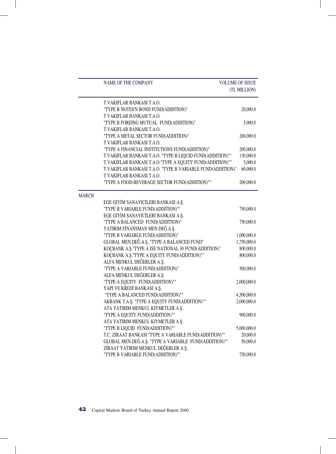| <b>NAME OF THE COMPANY</b>                                 | <b>VOLUME OF ISSUE</b> |
|------------------------------------------------------------|------------------------|
|                                                            | (TL MILLION)           |
| T.VAKIFLAR BANKASI T.A.O.                                  |                        |
| "TYPE B NOTES'N BOND FUND(ADDITION)"                       | 20,000.0               |
| T.VAKIFLAR BANKASI T.A.O.                                  |                        |
| "TYPE B FOREING MUTUAL FUND(ADDITION)"                     | 5,000.0                |
| T.VAKIFLAR BANKASI T.A.O.                                  |                        |
| "TYPE A METAL SECTOR FUND(ADDITION)"                       | 200,000.0              |
| T.VAKIFLAR BANKASI T.A.O.                                  |                        |
| "TYPE A FINANCIAL INSTITUTIONS FUND(ADDITION)"             | 200,000.0              |
| T.VAKIFLAR BANKASI T.A.O. "TYPE B LIQUID FUND(ADDITION)""  | 130,000.0              |
| T.VAKIFLAR BANKASI T.A.O."TYPE A EQUITY FUND(ADDITION)""   | 5,000.0                |
| T.VAKIFLAR BANKASI T.A.O. "TYPE B VARIABLE FUND(ADDITION)" | 60,000.0               |
| T.VAKIFLAR BANKASI T.A.O.                                  |                        |
| "TYPE A FOOD-BEVERAGE SECTOR FUND(ADDITION)""              | 200,000.0              |
| <b>MARCH</b>                                               |                        |
| EGE GİYİM SANAYİCİLERİ BANKASI A.Ş.                        |                        |
| "TYPE B VARIABLE FUND(ADDITION)""                          | 750,000.0              |
| EGE GİYİM SANAYİCİLERİ BANKASI A.Ş.                        |                        |
| "TYPE A BALANCED FUND(ADDITION)"                           | 750,000.0              |
| YATIRIM FİNANSMAN MEN.DEĞ.A.Ş.                             |                        |
| "TYPE B VARIABLE FUND(ADDITION)"                           | 1,000,000.0            |
| GLOBAL MEN.DEĞ.A.Ş. "TYPE A BALANCED FUND"                 | 1,750,000.0            |
| KOÇBANK A.Ş. "TYPE A ISE NATIONAL 30 FUND(ADDITION)"       | 800,000.0              |
| KOÇBANK A.Ş. "TYPE A EQUITY FUND(ADDITION)""               | 800,000.0              |
| ALFA MENKUL DEĞERLER A.Ş.                                  |                        |
| "TYPE A VARIABLE FUND(ADDITION)"                           | 500,000.0              |
| ALFA MENKUL DEĞERLER A.Ş.                                  |                        |
| "TYPE A EQUITY FUND(ADDITION)""                            | 2,000,000.0            |
| YAPI VE KREDİ BANKASI A.Ş.                                 |                        |
| "TYPE A BALANCED FUND(ADDITION)""                          | 4,500,000.0            |
| AKBANK T.A.Ş. "TYPE A EQUITY FUND(ADDITION)""              | 2,000,000.0            |
| ATA YATIRIM MENKUL KIYMETLER A.Ş.                          |                        |
| "TYPE A EQUITY FUND(ADDITION)""                            | 900,000.0              |
| ATA YATIRIM MENKUL KIYMETLER A.Ş.                          |                        |
| "TYPE B LIQUID FUND(ADDITION)""                            | 5,000,000.0            |
| T.C. ZİRAAT BANKASI "TYPE A VARIABLE FUND(ADDITION)""      | 20,000.0               |
| GLOBAL MEN.DEĞ.A.Ş. "TYPE A VARIABLE FUND(ADDITION)""      | 50,000.0               |
| ZİRAAT YATIRIM MENKUL DEĞERLER A.Ş.                        |                        |
| "TYPE B VARIABLE FUND(ADDITION)""                          | 750,000.0              |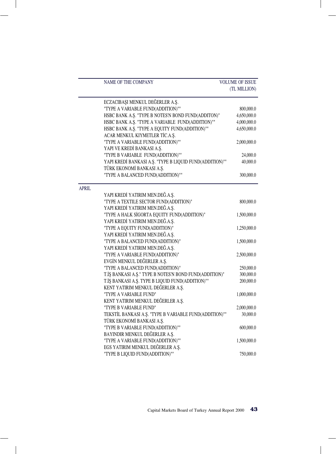|              | <b>NAME OF THE COMPANY</b>                              | <b>VOLUME OF ISSUE</b> |
|--------------|---------------------------------------------------------|------------------------|
|              |                                                         | (TL MILLION)           |
|              |                                                         |                        |
|              | ECZACIBAŞI MENKUL DEĞERLER A.Ş.                         |                        |
|              | "TYPE A VARIABLE FUND(ADDITION)""                       | 800,000.0              |
|              | HSBC BANK A.Ş. "TYPE B NOTES'N BOND FUND(ADDITON)"      | 4,650,000.0            |
|              | HSBC BANK A.Ş. "TYPE A VARIABLE FUND(ADDITION)""        | 4,000,000.0            |
|              | HSBC BANK A.Ş. "TYPE A EQUITY FUND(ADDITION)""          | 4,650,000.0            |
|              | ACAR MENKUL KIYMETLER TİC.A.Ş.                          |                        |
|              | "TYPE A VARIABLE FUND(ADDITION)""                       | 2,000,000.0            |
|              | YAPI VE KREDİ BANKASI A.Ş.                              |                        |
|              | "TYPE B VARIABLE FUND(ADDITION)""                       | 24,000.0               |
|              | YAPI KREDİ BANKASI A.Ş. "TYPE B LIQUID FUND(ADDITION)"" | 40,000.0               |
|              | TÜRK EKONOMİ BANKASI A.Ş.                               |                        |
|              | "TYPE A BALANCED FUND(ADDITION)""                       | 300,000.0              |
| <b>APRIL</b> |                                                         |                        |
|              | YAPI KREDİ YATIRIM MEN.DEĞ.A.Ş.                         |                        |
|              | "TYPE A TEXTILE SECTOR FUND(ADDITION)"                  | 800,000.0              |
|              | YAPI KREDİ YATIRIM MEN.DEĞ.A.Ş.                         |                        |
|              | "TYPE A HALK SİGORTA EQUITY FUND(ADDITION)"             | 1,500,000.0            |
|              | YAPI KREDİ YATIRIM MEN.DEĞ.A.Ş.                         |                        |
|              | "TYPE A EQUITY FUND(ADDITION)"                          | 1,250,000.0            |
|              | YAPI KREDİ YATIRIM MEN.DEĞ.A.Ş.                         |                        |
|              | "TYPE A BALANCED FUND(ADDITION)"                        | 1,500,000.0            |
|              | YAPI KREDİ YATIRIM MEN.DEĞ.A.Ş.                         |                        |
|              | "TYPE A VARIABLE FUND(ADDITION)"                        | 2,500,000.0            |
|              | EVGİN MENKUL DEĞERLER A.Ş.                              |                        |
|              | "TYPE A BALANCED FUND(ADDITION)"                        | 250,000.0              |
|              | T.İŞ BANKASI A.Ş." TYPE B NOTES'N BOND FUND(ADDITION)"  | 300,000.0              |
|              | T.İŞ BANKASI A.Ş. TYPE B LIQUID FUND(ADDITION)""        | 200,000.0              |
|              | KENT YATIRIM MENKUL DEĞERLER A.Ş.                       |                        |
|              | "TYPE A VARIABLE FUND"                                  | 1,000,000.0            |
|              | KENT YATIRIM MENKUL DEĞERLER A.Ş.                       |                        |
|              | "TYPE B VARIABLE FUND"                                  | 2,000,000.0            |
|              | TEKSTİL BANKASI A.Ş. "TYPE B VARIABLE FUND(ADDITION)""  | 30,000.0               |
|              | TÜRK EKONOMİ BANKASI A.Ş.                               |                        |
|              | "TYPE B VARIABLE FUND(ADDITION)""                       | 600,000.0              |
|              | BAYINDIR MENKUL DEĞERLER A.Ş.                           |                        |
|              | "TYPE A VARIABLE FUND(ADDITION)""                       | 1,500,000.0            |
|              | EGS YATIRIM MENKUL DEĞERLER A.Ş.                        |                        |
|              | "TYPE B LIQUID FUND(ADDITION)""                         | 750,000.0              |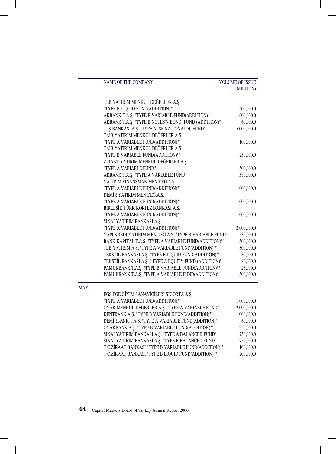|            | NAME OF THE COMPANY                                                                | <b>VOLUME OF ISSUE</b>   |
|------------|------------------------------------------------------------------------------------|--------------------------|
|            |                                                                                    | (TL MILLION)             |
|            |                                                                                    |                          |
|            | TEB YATIRIM MENKUL DEĞERLER A.Ş.                                                   |                          |
|            | "TYPE B LIQUID FUND(ADDITION)""<br>AKBANK T.A.Ş. "TYPE B VARIABLE FUND(ADDITION)"" | 1,600,000.0<br>600,000.0 |
|            | AKBANK T.A.Ş. "TYPE B NOTES'N BOND FUND (ADDITION)"                                | 60,000.0                 |
|            | T.İŞ BANKASI A.Ş. "TYPE A ISE NATIONAL 30 FUND"                                    | 5,000,000.0              |
|            | TAIB YATIRIM MENKUL DEĞERLER A.Ş.                                                  |                          |
|            | "TYPE A VARIABLE FUND(ADDITION)""                                                  |                          |
|            | TAIB YATIRIM MENKUL DEĞERLER A.Ş.                                                  | 100,000.0                |
|            | "TYPE B VARIABLE FUND(ADDITION)""                                                  |                          |
|            | ZİRAAT YATIRIM MENKUL DEĞERLER A.Ş.                                                | 250,000.0                |
|            | "TYPE A VARIABLE FUND"                                                             |                          |
|            |                                                                                    | 500,000.0                |
|            | AKBANK T.A.Ş. "TYPE A VARIABLE FUND"                                               | 530,000.0                |
|            | YATIRIM FİNANSMAN MEN.DEĞ.A.Ş.                                                     |                          |
|            | "TYPE A VARIABLE FUND(ADDITION)""                                                  | 1,000,000.0              |
|            | DEMİR YATIRIM MEN.DEĞ.A.Ş.                                                         |                          |
|            | "TYPE A VARIABLE FUND(ADDITION)""                                                  | 1,000,000.0              |
|            | BİRLEŞİK TÜRK KÖRFEZ BANKASI A.Ş.                                                  |                          |
|            | "TYPE A VARIABLE FUND(ADDITION)""                                                  | 1,000,000.0              |
|            | SINAİ YATIRIM BANKASI A.Ş.                                                         |                          |
|            | "TYPE A VARIABLE FUND(ADDITION)""                                                  | 2,000,000.0              |
|            | YAPI KREDİ YATIRIM MEN.DEĞ.A.Ş. "TYPE B VARIABLE FUND"                             | 530,000.0                |
|            | BANK KAPİTAL T.A.Ş. "TYPE A VARIABLE FUND(ADDITION)""                              | 500,000.0                |
|            | TEB YATIRIM A.Ş. "TYPE A VARIABLE FUND(ADDITION)""                                 | 500,000.0                |
|            | TEKSTİL BANKASI A.Ş. "TYPE B LIQUID FUND(ADDITION)""                               | 80,000.0                 |
|            | TEKSTİL BANKASI A.Ş. " TYPE A EQUITY FUND (ADDITION)"                              | 80,000.0                 |
|            | PAMUKBANK T.A.Ş. "TYPE B VARIABLE FUND(ADDITION)""                                 | 25,000.0                 |
|            | PAMUKBANK T.A.Ş. "TYPE A VARIABLE FUND(ADDITION)""                                 | 1,500,000.0              |
| <b>MAY</b> |                                                                                    |                          |
|            | EGS EGE GİYİM SANAYİCİLERİ SİGORTA A.Ş.                                            |                          |
|            | "TYPE A VARIABLE FUND(ADDITION)""                                                  | 1,000,000.0              |
|            | OYAK MENKUL DEĞERLER A.Ş. "TYPE A VARIABLE FUND"                                   | 2,000,000.0              |
|            | KENTBANK A.Ş. "TYPE B VARIABLE FUND(ADDITION)""                                    | 1,000,000.0              |
|            | DEMİRBANK T.A.Ş. "TYPE A VARIABLE FUND(ADDITION)""                                 | 60,000.0                 |
|            | OYAKBANK A.Ş. "TYPE B VARIABLE FUND(ADDITION)""                                    | 250,000.0                |
|            | SINAİ YATIRIM BANKASI A.Ş. "TYPE A BALANCED FUND"                                  | 750,000.0                |
|            | SINAİ YATIRIM BANKASI A.Ş. "TYPE B BALANCED FUND"                                  | 750,000.0                |
|            | T.C.ZİRAAT BANKASI "TYPE B VARIABLE FUND(ADDITION)""                               | 100,000.0                |
|            | T.C.ZİRAAT BANKASI "TYPE B LIQUID FUND(ADDITION)""                                 | 200,000.0                |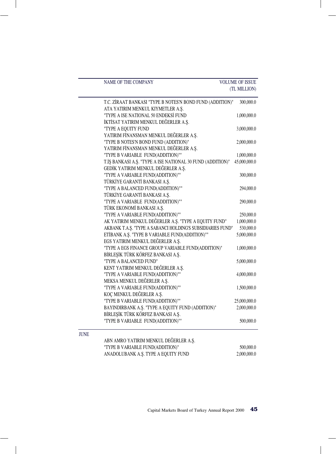|             | NAME OF THE COMPANY                                                       | <b>VOLUME OF ISSUE</b> |
|-------------|---------------------------------------------------------------------------|------------------------|
|             |                                                                           | (TL MILLION)           |
|             |                                                                           |                        |
|             | T.C. ZİRAAT BANKASI "TYPE B NOTES'N BOND FUND (ADDITION)"                 | 300,000.0              |
|             | ATA YATIRIM MENKUL KIYMETLER A.Ş.<br>"TYPE A ISE NATIONAL 50 ENDEKSİ FUND |                        |
|             | İKTİSAT YATIRIM MENKUL DEĞERLER A.Ş.                                      | 1,000,000.0            |
|             | "TYPE A EQUITY FUND                                                       | 3,000,000.0            |
|             | YATIRIM FİNANSMAN MENKUL DEĞERLER A.Ş.                                    |                        |
|             | "TYPE B NOTES'N BOND FUND (ADDITION)"                                     | 2,000,000.0            |
|             | YATIRIM FİNANSMAN MENKUL DEĞERLER A.Ş.                                    |                        |
|             | "TYPE B VARIABLE FUND(ADDITION)""                                         | 1,000,000.0            |
|             | T.İŞ BANKASI A.Ş. "TYPE A ISE NATIONAL 30 FUND (ADDITION)"                | 45,000,000.0           |
|             | GEDİK YATIRIM MENKUL DEĞERLER A.Ş.                                        |                        |
|             | "TYPE A VARIABLE FUND(ADDITION)""                                         | 300,000.0              |
|             | TÜRKİYE GARANTİ BANKASI A.Ş.                                              |                        |
|             | "TYPE A BALANCED FUND(ADDITION)""                                         | 294,000.0              |
|             | TÜRKİYE GARANTİ BANKASI A.Ş.                                              |                        |
|             | "TYPE A VARIABLE FUND(ADDITION)""                                         | 290,000.0              |
|             | TÜRK EKONOMİ BANKASI A.Ş.                                                 |                        |
|             | "TYPE A VARIABLE FUND(ADDITION)""                                         | 250,000.0              |
|             | AK YATIRIM MENKUL DEĞERLER A.Ş. "TYPE A EQUITY FUND"                      | 1,000,000.0            |
|             | AKBANK T.A.Ş. "TYPE A SABANCI HOLDING'S SUBSIDIARIES FUND"                | 530,000.0              |
|             | ETİBANK A.Ş. "TYPE B VARIABLE FUND(ADDITION)""                            | 5,000,000.0            |
|             | EGS YATIRIM MENKUL DEĞERLER A.Ş.                                          |                        |
|             | "TYPE A EGS FINANCE GROUP VARIABLE FUND(ADDITION)"                        | 1,000,000.0            |
|             | BİRLEŞİK TÜRK KÖRFEZ BANKASI A.Ş.                                         |                        |
|             | "TYPE A BALANCED FUND"                                                    | 5,000,000.0            |
|             | KENT YATIRIM MENKUL DEĞERLER A.Ş.                                         |                        |
|             | "TYPE A VARIABLE FUND(ADDITION)""                                         | 4,000,000.0            |
|             | MEKSA MENKUL DEĞERLER A.Ş.                                                |                        |
|             | "TYPE A VARIABLE FUND(ADDITION)""                                         | 1,500,000.0            |
|             | KOÇ MENKUL DEĞERLER A.Ş.                                                  |                        |
|             | "TYPE B VARIABLE FUND(ADDITION)""                                         | 25,000,000.0           |
|             | BAYINDIRBANK A.Ş. "TYPE A EQUITY FUND (ADDITION)"                         | 2,000,000.0            |
|             | BİRLEŞİK TÜRK KÖRFEZ BANKASI A.Ş.                                         |                        |
|             | "TYPE B VARIABLE FUND(ADDITION)""                                         | 500,000.0              |
|             |                                                                           |                        |
| <b>JUNE</b> |                                                                           |                        |
|             | ABN AMRO YATIRIM MENKUL DEĞERLER A.Ş.                                     |                        |

|  | I |  |
|--|---|--|
|--|---|--|

| ABN AMRO YATIRIM MENKUL DEĞERLER A.Ş. |             |
|---------------------------------------|-------------|
| "TYPE B VARIABLE FUND(ADDITION)"      | 500,000.0   |
| ANADOLUBANK A.Ş. TYPE A EQUITY FUND   | 2,000,000.0 |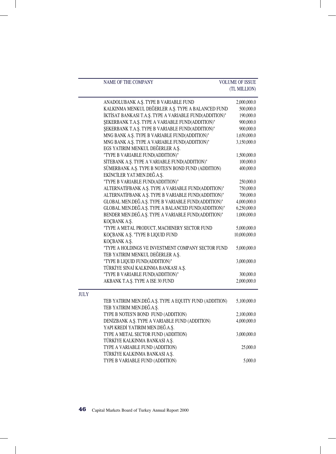| NAME OF THE COMPANY                                    | <b>VOLUME OF ISSUE</b> |
|--------------------------------------------------------|------------------------|
|                                                        | (TL MILLION)           |
|                                                        |                        |
| ANADOLUBANK A.Ş. TYPE B VARIABLE FUND                  | 2,000,000.0            |
| KALKINMA MENKUL DEĞERLER A.Ş. TYPE A BALANCED FUND     | 500,000.0              |
| İKTİSAT BANKASI T.A.Ş. TYPE A VARIABLE FUND(ADDITION)" | 190,000.0              |
| ŞEKERBANK T.A.Ş. TYPE A VARIABLE FUND(ADDITION)"       | 900,000.0              |
| ŞEKERBANK T.A.Ş. TYPE B VARIABLE FUND(ADDITION)"       | 900,000.0              |
| MNG BANK A.Ş. TYPE B VARIABLE FUND(ADDITION)"          | 1,650,000.0            |
| MNG BANK A.Ş. TYPE A VARIABLE FUND(ADDITION)"          | 3,150,000.0            |
| EGS YATIRIM MENKUL DEĞERLER A.Ş.                       |                        |
| "TYPE B VARIABLE FUND(ADDITION)"                       | 1,500,000.0            |
| SİTEBANK A.Ş. TYPE A VARIABLE FUND(ADDITION)"          | 100,000.0              |
| SÜMERBANK A.Ş. TYPE B NOTES'N BOND FUND (ADDITION)     | 400,000.0              |
| EKİNCİLER YAT.MEN.DEĞ.A.Ş.                             |                        |
| "TYPE B VARIABLE FUND(ADDITION)"                       | 250,000.0              |
| ALTERNATİFBANK A.Ş. TYPE A VARIABLE FUND(ADDITION)"    | 750,000.0              |
| ALTERNATİFBANK A.Ş. TYPE B VARIABLE FUND(ADDITION)"    | 700,000.0              |
| GLOBAL MEN.DEĞ.A.Ş. TYPE B VARIABLE FUND(ADDITION)"    | 4,000,000.0            |
| GLOBAL MEN.DEĞ.A.Ş. TYPE A BALANCED FUND(ADDITION)"    | 6,250,000.0            |
| BENDER MEN.DEĞ.A.Ş. TYPE A VARIABLE FUND(ADDITION)"    | 1,000,000.0            |
| KOÇBANK A.Ş.                                           |                        |
| "TYPE A METAL PRODUCT, MACHINERY SECTOR FUND           | 5,000,000.0            |
| KOÇBANK A.Ş. "TYPE B LIQUID FUND                       | 10,000,000.0           |
| KOÇBANK A.Ş.                                           |                        |
| "TYPE A HOLDINGS VE INVESTMENT COMPANY SECTOR FUND     | 5,000,000.0            |
| TEB YATIRIM MENKUL DEĞERLER A.Ş.                       |                        |
| "TYPE B LIQUID FUND(ADDITION)"                         | 3,000,000.0            |
| TÜRKİYE SINAİ KALKINMA BANKASI A.Ş.                    |                        |
| "TYPE B VARIABLE FUND(ADDITION)"                       | 300,000.0              |
| AKBANK T.A.Ş. TYPE A ISE 30 FUND                       | 2,000,000.0            |
|                                                        |                        |
| <b>JULY</b>                                            |                        |
| TEB YATIRIM MEN.DEĞ.A.Ş. TYPE A EQUITY FUND (ADDITION) | 5,100,000.0            |
| TEB YATIRIM MEN.DEĞ.A.Ş.                               |                        |
| TYPE B NOTES'N BOND FUND (ADDITION)                    | 2,100,000.0            |
| DENİZBANK A.Ş. TYPE A VARIABLE FUND (ADDITION)         | 4,000,000.0            |
| YAPI KREDİ YATIRIM MEN.DEĞ.A.Ş.                        |                        |
| TYPE A METAL SECTOR FUND (ADDITION)                    | 3,000,000.0            |
| TÜRKİYE KALKINMA BANKASI A.Ş.                          |                        |
| TYPE A VARIABLE FUND (ADDITION)                        | 25,000.0               |
| TÜRKİYE KALKINMA BANKASI A.Ş.                          |                        |
| TYPE B VARIABLE FUND (ADDITION)                        | 5,000.0                |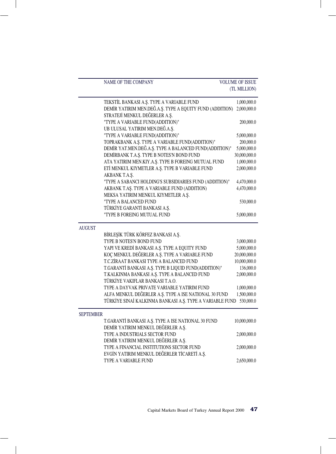|                  | <b>NAME OF THE COMPANY</b>                                                                                        | <b>VOLUME OF ISSUE</b>   |
|------------------|-------------------------------------------------------------------------------------------------------------------|--------------------------|
|                  |                                                                                                                   | (TL MILLION)             |
|                  | TEKSTİL BANKASI A.Ş. TYPE A VARIABLE FUND                                                                         | 1,000,000.0              |
|                  | DEMİR YATIRIM MEN.DEĞ.A.Ş. TYPE A EQUITY FUND (ADDITION)<br>STRATEJİ MENKUL DEĞERLER A.Ş.                         | 2,000,000.0              |
|                  | "TYPE A VARIABLE FUND(ADDITION)"                                                                                  | 200,000.0                |
|                  | UB ULUSAL YATIRIM MEN.DEĞ.A.Ş.                                                                                    |                          |
|                  | "TYPE A VARIABLE FUND(ADDITION)"                                                                                  | 5,000,000.0              |
|                  | TOPRAKBANK A.Ş. TYPE A VARIABLE FUND(ADDITION)"                                                                   | 200,000.0                |
|                  | DEMİR YAT.MEN.DEĞ.A.Ş. TYPE A BALANCED FUND(ADDITION)"                                                            | 5,000,000.0              |
|                  | DEMİRBANK T.A.Ş. TYPE B NOTES'N BOND FUND                                                                         | 30,000,000.0             |
|                  | ATA YATIRIM MEN.KIY.A.Ş. TYPE B FOREING MUTUAL FUND                                                               | 1,000,000.0              |
|                  | ETİ MENKUL KIYMETLER A.Ş. TYPE B VARIABLE FUND<br>AKBANK T.A.Ş.                                                   | 2,000,000.0              |
|                  | "TYPE A SABANCI HOLDING'S SUBSIDIARIES FUND (ADDITION)"                                                           | 4,470,000.0              |
|                  | AKBANK T.AŞ. TYPE A VARIABLE FUND (ADDITION)                                                                      | 4,470,000.0              |
|                  | MEKSA YATIRIM MENKUL KIYMETLER A.S.                                                                               |                          |
|                  | "TYPE A BALANCED FUND                                                                                             | 530,000.0                |
|                  | TÜRKİYE GARANTİ BANKASI A.Ş.                                                                                      |                          |
|                  | "TYPE B FOREING MUTUAL FUND                                                                                       | 5,000,000.0              |
| <b>AUGUST</b>    |                                                                                                                   |                          |
|                  | BİRLEŞİK TÜRK KÖRFEZ BANKASI A.Ş.                                                                                 |                          |
|                  | TYPE B NOTES'N BOND FUND                                                                                          | 3,000,000.0              |
|                  | YAPI VE KREDİ BANKASI A.Ş. TYPE A EQUITY FUND                                                                     | 5,000,000.0              |
|                  | KOÇ MENKUL DEĞERLER A.Ş. TYPE A VARIABLE FUND                                                                     | 20,000,000.0             |
|                  | T.C.ZİRAAT BANKASI TYPE A BALANCED FUND                                                                           | 10,000,000.0             |
|                  | T.GARANTİ BANKASI A.Ş. TYPE B LIQUID FUND(ADDITION)"                                                              | 136,000.0                |
|                  | T.KALKINMA BANKASI A.Ş. TYPE A BALANCED FUND                                                                      | 2,000,000.0              |
|                  | TÜRKİYE VAKIFLAR BANKASI T.A.O.                                                                                   |                          |
|                  | TYPE A DAYVAK PRIVATE VARIABLE YATIRIM FUND                                                                       | 1,000,000.0              |
|                  | ALFA MENKUL DEĞERLER A.Ş. TYPE A ISE NATIONAL 30 FUND<br>TÜRKİYE SINAİ KALKINMA BANKASI A.Ş. TYPE A VARIABLE FUND | 1,500,000.0<br>530,000.0 |
| <b>SEPTEMBER</b> |                                                                                                                   |                          |
|                  | T.GARANTİ BANKASI A.Ş. TYPE A ISE NATIONAL 30 FUND<br>DEMİR YATIRIM MENKUL DEĞERLER A.Ş.                          | 10,000,000.0             |
|                  | TYPE A INDUSTRIALS SECTOR FUND<br>DEMİR YATIRIM MENKUL DEĞERLER A.Ş.                                              | 2,000,000.0              |
|                  | TYPE A FINANCIAL INSTITUTIONS SECTOR FUND<br>EVGİN YATIRIM MENKUL DEĞERLER TİCARETİ A.Ş.                          | 2,000,000.0              |
|                  | TYPE A VARIABLE FUND                                                                                              | 2,650,000.0              |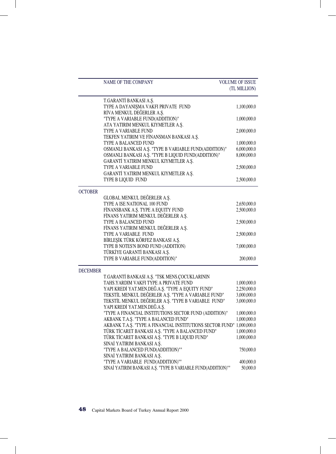|                 | <b>NAME OF THE COMPANY</b>                                                             | <b>VOLUME OF ISSUE</b><br>(TL MILLION) |
|-----------------|----------------------------------------------------------------------------------------|----------------------------------------|
|                 |                                                                                        |                                        |
|                 | T.GARANTİ BANKASI A.Ş.                                                                 |                                        |
|                 | TYPE A DAYANIŞMA VAKFI PRIVATE FUND                                                    | 1,100,000.0                            |
|                 | RİVA MENKUL DEĞERLER A.Ş.                                                              |                                        |
|                 | "TYPE A VARIABLE FUND(ADDITION)"<br>ATA YATIRIM MENKUL KIYMETLER A.Ş.                  | 1,000,000.0                            |
|                 | TYPE A VARIABLE FUND                                                                   | 2,000,000.0                            |
|                 | TEKFEN YATIRIM VE FİNANSMAN BANKASI A.Ş.                                               |                                        |
|                 | TYPE A BALANCED FUND                                                                   | 1,000,000.0                            |
|                 | OSMANLI BANKASI A.Ş. "TYPE B VARIABLE FUND(ADDITION)"                                  | 6,000,000.0                            |
|                 | OSMANLI BANKASI A.Ş. "TYPE B LIQUID FUND(ADDITION)"                                    | 8,000,000.0                            |
|                 | GARANTİ YATIRIM MENKUL KIYMETLER A.Ş.                                                  |                                        |
|                 | TYPE A VARIABLE FUND                                                                   | 2,500,000.0                            |
|                 | GARANTİ YATIRIM MENKUL KIYMETLER A.Ş.                                                  |                                        |
|                 | TYPE B LIQUID FUND                                                                     | 2,500,000.0                            |
|                 |                                                                                        |                                        |
| <b>OCTOBER</b>  |                                                                                        |                                        |
|                 | GLOBAL MENKUL DEĞERLER A.Ş.                                                            |                                        |
|                 | TYPE A ISE NATIONAL 100 FUND                                                           | 2,650,000.0<br>2,500,000.0             |
|                 | FİNANSBANK A.Ş. TYPE A EQUITY FUND<br>FİNANS YATIRIM MENKUL DEĞERLER A.Ş.              |                                        |
|                 | TYPE A BALANCED FUND                                                                   | 2,500,000.0                            |
|                 | FİNANS YATIRIM MENKUL DEĞERLER A.Ş.                                                    |                                        |
|                 | TYPE A VARIABLE FUND                                                                   | 2,500,000.0                            |
|                 | BİRLEŞİK TÜRK KÖRFEZ BANKASI A.Ş.                                                      |                                        |
|                 | TYPE B NOTES'N BOND FUND (ADDITION)                                                    | 7,000,000.0                            |
|                 | TÜRKİYE GARANTİ BANKASI A.Ş.                                                           |                                        |
|                 | TYPE B VARIABLE FUND(ADDITION)"                                                        | 200,000.0                              |
|                 |                                                                                        |                                        |
| <b>DECEMBER</b> |                                                                                        |                                        |
|                 | T.GARANTİ BANKASI A.Ş. "TSK MENS.ÇOCUKLARININ<br>TAHS.YARDIM VAKFI TYPE A PRIVATE FUND |                                        |
|                 | YAPI KREDİ YAT.MEN.DEĞ.A.Ş. "TYPE A EQUITY FUND"                                       | 1,000,000.0<br>2,250,000.0             |
|                 | TEKSTİL MENKUL DEĞERLER A.Ş. "TYPE A VARIABLE FUND"                                    | 3,000,000.0                            |
|                 | TEKSTİL MENKUL DEĞERLER A.Ş. "TYPE B VARIABLE FUND"                                    | 3,000,000.0                            |
|                 | YAPI KREDİ YAT.MEN.DEĞ.A.Ş.                                                            |                                        |
|                 | "TYPE A FINANCIAL INSTITUTIONS SECTOR FUND (ADDITION)"                                 | 1,000,000.0                            |
|                 | AKBANK T.A.Ş. "TYPE A BALANCED FUND"                                                   | 1,000,000.0                            |
|                 | AKBANK T.A.Ş. "TYPE A FINANCIAL INSTITUTIONS SECTOR FUND" 1,000,000.0                  |                                        |
|                 | TÜRK TİCARET BANKASI A.Ş. "TYPE A BALANCED FUND"                                       | 1,000,000.0                            |
|                 | TÜRK TİCARET BANKASI A.Ş. "TYPE B LIQUID FUND"                                         | 1,000,000.0                            |
|                 | SINAİ YATIRIM BANKASI A.Ş.                                                             |                                        |
|                 | "TYPE A BALANCED FUND(ADDITION)""                                                      | 750,000.0                              |
|                 | SINAİ YATIRIM BANKASI A.Ş.                                                             |                                        |
|                 | "TYPE A VARIABLE FUND(ADDITION)""                                                      | 400,000.0                              |
|                 | SINAİ YATIRIM BANKASI A.Ş. "TYPE B VARIABLE FUND(ADDITION)""                           | 50,000.0                               |

 $\mathbf{I}$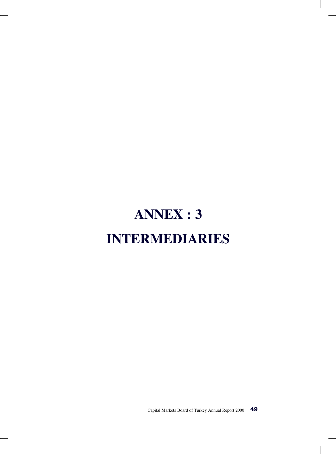# **ANNEX : 3 INTERMEDIARIES**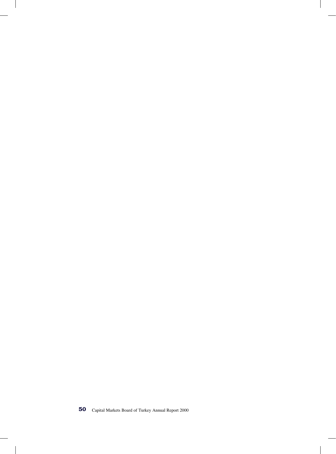50 Capital Markets Board of Turkey Annual Report 2000

 $\overline{\phantom{a}}$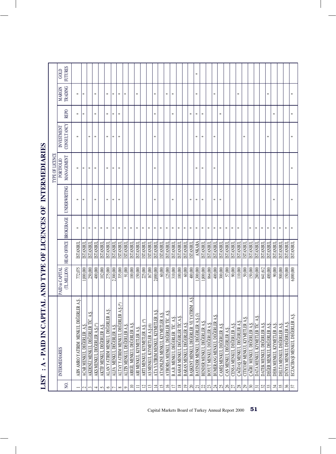|                                      |                        | <b>FUTURES</b><br>GOLD          |                                           |                      |                                  |                             |                            |                                  |                          |                                                                    |                            |                            |                           |                                |                             |                                  |                                 |                                  |                                         |                                |                            |                                          | ∗                                |                            |                            |                               |                            |                         |                            |                             |                                |                            |                                 |                            |                           |                           |                            |                           |                                 |
|--------------------------------------|------------------------|---------------------------------|-------------------------------------------|----------------------|----------------------------------|-----------------------------|----------------------------|----------------------------------|--------------------------|--------------------------------------------------------------------|----------------------------|----------------------------|---------------------------|--------------------------------|-----------------------------|----------------------------------|---------------------------------|----------------------------------|-----------------------------------------|--------------------------------|----------------------------|------------------------------------------|----------------------------------|----------------------------|----------------------------|-------------------------------|----------------------------|-------------------------|----------------------------|-----------------------------|--------------------------------|----------------------------|---------------------------------|----------------------------|---------------------------|---------------------------|----------------------------|---------------------------|---------------------------------|
|                                      |                        | <b>TRADING</b><br><b>MARGIN</b> | ∗                                         | ₩                    |                                  | ₩                           |                            | ∗                                | ∗                        | $\ast$                                                             | $\star$                    |                            | ∗                         |                                |                             | ∗                                |                                 | ∗                                | ∗                                       |                                |                            |                                          | ∗                                |                            |                            | ∗                             |                            |                         |                            | ∗                           |                                |                            |                                 |                            | ₩                         |                           |                            |                           | ₩                               |
|                                      |                        | <b>REPO</b>                     | ₩                                         | ∗                    |                                  | $\star$                     |                            | ∗                                | ₩                        | $\boldsymbol{\times}$                                              |                            |                            |                           |                                |                             | ∗                                |                                 |                                  | ∗                                       |                                |                            | ₩                                        | $\ast$                           | $\boldsymbol{\times}$      |                            |                               | ₩                          |                         |                            |                             |                                |                            |                                 |                            |                           | $\boldsymbol{\ast}$       |                            |                           | ∗                               |
|                                      |                        | CONSULTANCY<br>INVESTMENT       | ∗                                         |                      | ₩                                | $\star$                     |                            | ₩                                | ⋇                        | ₩                                                                  |                            |                            |                           |                                |                             | ₩                                |                                 |                                  |                                         |                                |                            |                                          | ∗                                | ∗                          |                            | ∗                             |                            |                         |                            |                             | ₩                              |                            |                                 |                            | ₩                         |                           |                            |                           |                                 |
| <b>THE TENNIS PROPERTY AND LESS</b>  | <b>TYPE OF LICENCE</b> | MANAGEMENT<br><b>PORTFOLIO</b>  |                                           | ∗                    | ₩                                | $\star$                     |                            | ₩                                | ⋇                        | ∗                                                                  |                            |                            |                           |                                |                             | ₩                                |                                 |                                  |                                         |                                |                            |                                          | ∗                                | ₩                          |                            | ₩                             |                            |                         |                            |                             |                                |                            |                                 |                            |                           |                           |                            |                           | ₩                               |
|                                      |                        | <b>UNDER WRITING</b>            | ∗                                         | ∗                    |                                  | ₩                           |                            | ₩                                | ∗                        | ₩                                                                  |                            |                            |                           |                                |                             | ₩                                |                                 |                                  | ∗                                       |                                |                            | ₩                                        | $\ast$                           | ₩                          |                            | ∗                             | $\ast$                     |                         |                            |                             |                                |                            |                                 |                            |                           | $\ast$                    |                            |                           |                                 |
| <b>THURTHOLD</b>                     |                        |                                 | ∗                                         | ∗                    | ₩                                | $\star$                     | ∗                          | ₩                                | ∗                        | $\boldsymbol{\ast}$                                                | $\ast$                     | $\ast$                     | ∗                         | $\ast$                         | ₩                           | $\ast$                           | ₩                               | ∗                                | ∗                                       | ∗                              | $\ast$                     | ∗                                        | $\ast$                           | $\ast$                     | $\boldsymbol{\ast}$        | ₩                             | $\ast$                     | ∗                       | ∗                          | ₩                           |                                | $\ast$                     | ∗                               | $\ast$                     | ∗                         | $\ast$                    | ₩                          | $\boldsymbol{\varkappa}$  | $\boldsymbol{\times}$           |
| $\mathbf{\bar{5}}$                   |                        | HEAD OFFICE BROKERAGE           | <b>İSTANBUL</b>                           | <b>ISTANBUL</b>      | <b>İSTANBUL</b>                  | <b>ISTANBUL</b>             | <b>ISTANBUL</b>            | <b>İSTANBUL</b>                  | <b>ISTANBUL</b>          | <b>ISTANBUL</b>                                                    | <b>ISTANBUL</b>            | <b>İSTANBUL</b>            | <b>İSTANBUL</b>           | <b>İSTANBUL</b>                | <b>İSTANBUL</b>             | <b>ISTANBUL</b>                  | <b>ISTANBUL</b>                 | <b>ISTANBUL</b>                  | <b>ISTANBUL</b>                         | <b>İSTANBUL</b>                | <b>İSTANBUL</b>            | <b>ISTANBUL</b>                          | ANKARA                           | <b>ISTANBUL</b>            | <b>İSTANBUL</b>            | <b>İSTANBUL</b>               | <b>ISTANBUL</b>            | <b>İSTANBUL</b>         | <b>İSTANBUL</b>            | <b>İSTANBUL</b>             | <b>İSTANBUL</b>                | <b>ISTANBUL</b>            | <b>ISTANBUL</b>                 | <b>ISTANBUL</b>            | <b>ISTANBUL</b>           | <b>ISTANBUL</b>           | <b>STANBUL</b>             | <b>ISTANBUL</b>           | <b>İSTANBUL</b>                 |
| LETT                                 |                        | (TLMILION)<br>PAID in CAPITAL   | 772,075                                   | 1,000,000            | 250,000                          | 400,000                     | 102,000                    | 275,000                          | 2,300,000                | 335,000                                                            | 91,000                     | 100,000                    | 150,000                   | 225,000                        | 167,000                     | 2,000,000                        | 60,000                          | 125,000                          | 310,000                                 | 100,000                        | 60,000                     | 400,000                                  | .300,000                         | ,800,000                   | 864,000                    | 400,000                       | 300,000                    | $57,\!000$              | $90,000$                   | 110,000                     | 50,000                         | 150,000                    | 280,000                         | 641,612                    | 400,000                   | 90,000                    | 500,000                    | 150,000                   | 6,000,000                       |
| Ě<br>LHINJ<br><b>THE CITY I</b><br>ť |                        | INTERMEDIARIES                  | ER A.Ş.<br>ABN AMRO YATIRIM MENKUL DEĞERL | ACAR MENKUL DEGERLER | AKDENİZ MENKUL DEĞERLER TİC. A.Ş | AKS MENKUL DEĞERLER A.S.(*) | AKTİF MENKUL DEĞERLER A.Ş. | ALAN YATIRIM MENKUL DEĞERLER A.Ş | ALFA MENKUL DEĞERLER A.Ş | ALTAY YATIRIM MENKUL DEĞERLER $\mathrm{A}\mathfrak{H}(\mathbf{A})$ | ALTIN MENKUL DEĞERLER A.Ş. | ARIGIL MENKUL DEĞERLER A.Ş | ARI MENKUL KIYMETLER A.S. | ARTI MENKUL KIYMETLER A.Ş. (*) | AS MENKUL KIYMETLER A.S.(6) | ATA YATIRIM MENKUL KIYMETLER A.Ş | ATAONLINE MENKUL KIYMETLER A.Ş. | AYBORSA MENKUL DEĞERLER TİC. A.Ş | <b>B.A.B. MENKUL DEGERLER TIC. A.S.</b> | BAHAR MENKUL DEĞERLER TİC.A.Ş. | BARAN MENKUL DEĞERLER A.S. | BAŞKENT MENKUL DEĞERLER VE YATIRIM .A.Ş. | BAYINDIR MENKUL DEĞERLER A.Ş.(3) | BENDER MENKUL DEĞERLER A.Ş | BOYUT MENKUL DEĞERLER A.Ş. | BUMERANG MENKUL DEĞERLER A.Ş. | CAMÍS MENKUL DEĞERLER A.S. | CAN MENKUL DEĞERLER A.Ş | CENSA MENKUL DEĞERLER A.S. | CAĞDAS MENKUL DEĞERLER A.S. | CITICORP MENKUL KIYMETLER A.Ş. | ÇAĞRI MENKUL DEĞERLER A.Ş. | DATA MENKUL KIYMETLER TIC. A.Ş. | DATEK MENKUL DEĞERLER A.Ş. | DEĞER MENKUL DEĞERLER A.Ş | DEHA MENKUL KIYMETLER A.Ş | DELTA MENKUL DEĞERLER A.Ş. | DÜNYA MENKUL DEĞERLER A.Ş | ECZACIBAȘI MENKUL DEĞERLER A.Ş. |
| <u>וכונות</u>                        |                        | S.                              |                                           |                      |                                  |                             | 5                          | $\bullet$                        |                          | $\infty$                                                           |                            | $\equiv$                   |                           | $\Xi$                          | 13                          | 彐                                | $\overline{15}$                 | 9Ţ                               | Ξ                                       | $\overline{18}$                | $\Box$                     | $\mathbb{R}$                             | $\overline{c}$                   |                            | 3 3                        | 의                             | $\mathfrak{L}$             | $\%$                    | $\overline{27}$            | ∣ສ∣ສ                        |                                | $\approx$                  | $\overline{5}$                  | $\mathfrak{L}$             | 33                        | ¥,                        | 35                         | $36\,$                    | $\mathfrak{Z}$                  |

PAID IN CAPITAL AND TYPE OF LICENCES OF INTERMEDIARIES **LIST : A - PAID IN CAPITAL AND TYPE OF LICENCES OF INTERMEDIARIES**  $N \cdot 1$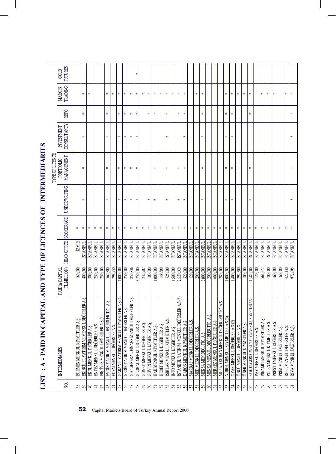|                 | <b>FUTURES</b><br>GOLD          |                                     |                                                |                          |                            |                                 |                                            |                           |                                          |                                  |                                              | ∗                          |                            |                            |                           |                            |                              |                           |                                          |                             |                             |                          |                         |                                 |                             |                                                     |                                |                              |                           |                            |                                                      |                         |                               |                             |                             |                           |                          |                           |
|-----------------|---------------------------------|-------------------------------------|------------------------------------------------|--------------------------|----------------------------|---------------------------------|--------------------------------------------|---------------------------|------------------------------------------|----------------------------------|----------------------------------------------|----------------------------|----------------------------|----------------------------|---------------------------|----------------------------|------------------------------|---------------------------|------------------------------------------|-----------------------------|-----------------------------|--------------------------|-------------------------|---------------------------------|-----------------------------|-----------------------------------------------------|--------------------------------|------------------------------|---------------------------|----------------------------|------------------------------------------------------|-------------------------|-------------------------------|-----------------------------|-----------------------------|---------------------------|--------------------------|---------------------------|
|                 | TRADING<br><b>MARGIN</b>        |                                     | ₩                                              | ₩                        |                            |                                 | ₩                                          | $\ast$                    | ₩                                        | ∗                                | ∗                                            | ∗                          | ₩                          | ∗                          | $\ast$                    | ∗                          | ∗                            | ∗                         | $\ast$                                   | ₩                           |                             | ₩                        | ₩                       |                                 |                             |                                                     | ∗                              | $\boldsymbol{\ast}$          | ∗                         | ₩                          | ∗                                                    |                         | ₩                             | ∗                           | $\star$                     |                           | ∗                        |                           |
|                 | REPO                            |                                     | ₩                                              |                          |                            |                                 | $\ast$                                     |                           | ∗                                        | ∗                                | ∗                                            | ∗                          |                            | ∗                          | $\ast$                    |                            | $\ast$                       |                           | ∗                                        | ₩                           |                             |                          | ∗                       |                                 |                             |                                                     | ∗                              | $\boldsymbol{\varkappa}$     |                           |                            | ⋇                                                    |                         |                               |                             |                             |                           |                          | ₩                         |
|                 | CONSULTANCY<br>INVESTMENT       |                                     | ₩                                              |                          |                            |                                 | ₩                                          |                           | ₩                                        | ∗                                | ∗                                            | ∗                          |                            |                            |                           |                            | ∗                            |                           |                                          | ∗                           |                             |                          | ₩                       |                                 |                             |                                                     | ₩                              | $\ast$                       |                           |                            |                                                      |                         |                               |                             |                             |                           |                          | ₩                         |
| TYPE OF LICENCE | MANAGEMENT<br><b>PORTFOLIO</b>  |                                     | ∗                                              |                          |                            |                                 | ₩                                          |                           | ₩                                        | ∗                                | ∗                                            | ∗                          |                            |                            | ∗                         |                            | ∗                            |                           | ₩                                        | ₩                           |                             |                          | ₩                       |                                 |                             |                                                     | ₩                              | $\boldsymbol{\varkappa}$     |                           |                            | ∗                                                    |                         |                               |                             |                             |                           |                          | ₩                         |
|                 | <b>UNDER WRITING</b>            |                                     | ₩                                              |                          |                            |                                 | ₩                                          |                           | ₩                                        | ∗                                | ∗                                            | ∗                          |                            | ₩                          | $\ast$                    |                            | ∗                            |                           | ∗                                        | ∗                           |                             |                          | ₩                       |                                 |                             |                                                     | ₩                              | $\ast$                       |                           |                            | ∗                                                    |                         |                               |                             |                             |                           |                          | ₩                         |
|                 |                                 | ∗                                   | ∗                                              | ₩                        | ₩                          | ∗                               | ∗                                          | $\ast$                    | $\boldsymbol{\ast}$                      | $\ast$                           | ∗                                            | ∗                          | ₩                          | ∗                          | $\ast$                    | ∗                          | $\ast$                       | $\ast$                    | $\boldsymbol{\ast}$                      | $\ast$                      | $\ast$                      | ∗                        | ₩                       | ₩                               | ₩                           | $\ast$                                              | ∗                              | $\boldsymbol{\varkappa}$     | ₩                         | ₩                          | ∗                                                    | ∗                       | ₩                             | ∗                           | ₩                           | ∗                         | ∗                        | $\star$                   |
|                 | HEAD OFFICE BROKERAGE           | <b>izmir</b>                        | <b>İSTANBUL</b>                                | <b>ISTANBUL</b>          | <b>İSTANBUL</b>            | <b>ISTANBUL</b>                 | <b>İSTANBUL</b>                            | <b>ISTANBUL</b>           | <b>İSTANBUL</b>                          | <b>ISTANBUL</b>                  | <b>ISTANBUL</b>                              | <b>ISTANBUL</b>            | <b>İSTANBUL</b>            | <b>ISTANBUL</b>            | <b>ISTANBUL</b>           | <b>ISTANBUL</b>            | <b>ISTANBUL</b>              | <b>ISTANBUL</b>           | <b>ISTANBUL</b>                          | <b>ISTANBUL</b>             | <b>ISTANBUL</b>             | <b>İSTANBUL</b>          | <b>İSTANBUL</b>         | <b>ISTANBUL</b>                 | <b>ISTANBUL</b>             | <b>ISTANBUL</b>                                     | <b>ISTANBUL</b>                | <b>İSTANBUL</b>              | <b>ISTANBUL</b>           | <b>ISTANBUL</b>            | <b>ISTANBUL</b>                                      | <b>İSTANBUL</b>         | <b>İSTANBUL</b>               | <b>ISTANBUL</b>             | STANBUL                     | <b>ISTANBUL</b>           | <b>ISTANBUL</b>          | <b>İSTANBUL</b>           |
|                 | (TL.MILLION)<br>PAID in CAPITAL | 160,000                             | 400,000                                        | 300,000                  | 250,000                    | 250,000                         | 562,500                                    | 298,750                   | ,000,000                                 | 250,000                          | 850,836                                      | 8,750,000                  | 232,902                    | 100,000                    | 000,000                   | 149,500                    | 825,000                      | 1,500,000                 | 2,950,000                                | 320,000                     | 120,000                     | 200,000                  | 3,000,000               | 200,000                         | 600,000                     | 280,000                                             | ,000,000                       | ,400,000                     | 292,500                   | 100,000                    | 984,000                                              | 120,000                 | 561,577                       | 600,000                     | 160,000                     | $60,\!000$                | 422,130                  | 972,095                   |
|                 | <b>INTERMEDIARIES</b>           | <b>EGEMEN MENKUL KIYMETLER A.S.</b> | LER A.S.<br>EKİNCİLER YATIRIM VE MENKUL DEĞERI | EKOL MENKUL DEĞERLER A.Ş | ENTEZ MENKUL DEĞERLER A.Ş. | ERCIYES MENKUL DEĞERLER A.S.(*) | C.A.S.<br>EVGİN YATIRIM MENKUL DEĞERLER Tİ | FORM MENKUL DEĞERLER A.Ş. | GARANTI YATIRIM MENKUL KIYMETLER A.Ş.(4) | GEDİK YATIRIM MENKUL DEĞERLER A. | LER A.S.<br>GFC GENERAL FINANS MENKUL DEĞERI | GLOBAL MENKUL DEĞERLER A.Ş | GÜNEY MENKUL DEĞERLER A.Ş. | GÜVEN MENKUL DEĞERLER A.Ş  | HAK MENKUL KIYMETLER A.S. | HEDEF MENKUL DEĞERLER A.S. | ISIKLAR MENKUL KIYMETLER A.Ş | INFO MENKUL DEGERLER A.S. | İSTANBUL YATIRIM MENKUL DEĞERLER A.Ş.(*) | KARON MENKUL KIYMETLER A.Ş. | MARBAŞ MENKUL DEĞERLER A.Ş. | MED MENKUL DEĞERLER A.Ş. | MEKSA MENDEĞ. TİC. A.Ş. | MENKA MENKUL DEĞERLER TİC. A.Ş. | MERKEZ MENKUL DEĞERLER A.S. | $\therefore$ A.S.<br>MURAD KURAN MENKUL DEĞERLER Tİ | NUROL MENKUL KIYMETLER A.Ş.(5) | OYAK MENKUL DEĞERLER A.Ş.(2) | ÖNCÜ MENKUL DEĞERLER A.Ş. | ÖNER MENKUL KIYMETLER A.S. | LER A.S.<br>PARK-RAYMOND JAMES YATIRIM MENKUL KIYMET | PAY MENKUL DEĞERLER A.Ş | PIRAMIT MENKUL KIYMETLER A.Ş. | POLEN MENKUL KIYMETLER A.S. | PRESTÌJ MENKUL DEĞERLER A.Ş | PRIM MENKUL DEĞERLER A.Ş. | REEL MENKUL DEĞERLER A.Ş | RİVA MENKUL DEĞERLER A.Ş. |
|                 | S.                              | $38\,$                              | ခြ                                             | $\triangleleft$          | ∓                          | A,                              | $\mathfrak{t}\mathfrak{p}$                 | #                         | $\overline{4}$                           | $\frac{4}{5}$                    | A                                            | $\frac{48}{5}$             | $\oplus$                   | $\boldsymbol{\mathcal{S}}$ | 51                        | 52                         | 53                           | 24                        | 55                                       | 56                          | $\overline{57}$             | $58\,$                   | $59\,$                  | $\otimes$                       | <u>୍</u>                    | $\otimes$                                           | $\mathfrak{S}$                 | $\mathcal{Z}$                | 65                        | $\mathcal{D}$              | 67                                                   | $\$$                    | $\circledcirc$                | R                           | π                           | 52                        | 73                       | $\mathbb{Z}$              |

LIST: A-PAID IN CAPITAL AND TYPE OF LICENCES OF INTERMEDIARIES **LIST : A - PAID IN CAPITAL AND TYPE OF LICENCES OF INTERMEDIARIES**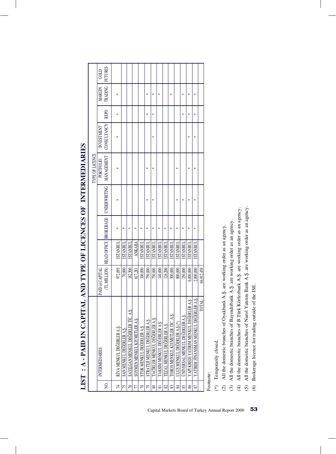|               | LINI : A - FAID IN CAFII                    |                 |                 |    | IAL AND IIED OF LICENCES OF INTENSIBIANIS        |                        |                    |             |                |                |
|---------------|---------------------------------------------|-----------------|-----------------|----|--------------------------------------------------|------------------------|--------------------|-------------|----------------|----------------|
|               |                                             |                 |                 |    |                                                  | <b>TYPE OF LICENCE</b> |                    |             |                |                |
|               | <b>INTERMEDIARIES</b>                       | PAID in CAPITAL |                 |    |                                                  | PORTFOLIO              | INVESTMENT         |             | <b>MARGIN</b>  | GOLD           |
|               |                                             |                 |                 |    | (TLAMLLION) HEAD OFFICE BROKERAGE   UNDERWRITING | MANAGEMENT             | <b>CONSULTANCY</b> | <b>REPO</b> | <b>TRADING</b> | <b>FUTURES</b> |
|               | RİVA MENKUL DEĞERLER A.S.                   | 972,095         | <b>İSTANBUL</b> |    |                                                  |                        |                    | ₩           |                |                |
|               | SAN MENKUL DEGERLER A.S.                    | 70,000          | <b>İSTANBUL</b> |    |                                                  |                        |                    |             |                |                |
|               | SAYILGAN MENKUL DEGERLER TIC. A.S           | 182.500         | <b>İSTANBUL</b> |    |                                                  |                        |                    |             |                |                |
|               | SOYMEN MENKUL KIYMETLER A.S.                | 617,281         | ANKARA          |    |                                                  |                        |                    |             |                |                |
| $\frac{8}{2}$ | STOK MENKUL DEĞERLER A.S.                   | 100,000         | <b>İSTANBUL</b> |    |                                                  |                        |                    |             |                |                |
| 79            | STRATEJI MENKUL DEĞERLER A.S.               | 750,000         | <b>İSTANBUL</b> |    | ∗                                                | ∗                      |                    | ∗           |                |                |
|               | TACIRLER MENKUL DEGERLER A.S.               | 750,000         | <b>İSTANBUL</b> |    |                                                  |                        | ∗                  | ∗           | ×              |                |
|               | TAKSÍM MENKUL DEĞERLER A.S.                 | 140,000         | <b>İSTANBUL</b> |    |                                                  |                        |                    |             |                |                |
|               | TEZAL MENKUL DEĞERLER A.S.                  | 126.200         | <b>İSTANBUL</b> |    |                                                  |                        |                    |             |                |                |
|               | TOROS MENKUL KIYMETLER TIC. A.S.            | 500,000         | <b>İSTANBUL</b> |    |                                                  |                        |                    |             | $\ast$         |                |
|               | ULUS MENKUL DEGERLER A.S.(*)                | 800,000         | <b>İSTANBUL</b> |    | ∗                                                | ₩                      |                    |             |                |                |
|               | ÜNİVERSAL MENKUL DEĞERLER A.Ş.              | 250,000         | <b>İSTANBUL</b> |    |                                                  |                        |                    | ₩           | ₩              |                |
|               | YAPI KREDI YATIRIM MENKUL DEĞERLER A.Ş.     | 6,000,000       | <b>İSTANBUL</b> |    |                                                  | ∗                      |                    | ∗           |                |                |
|               | LER A.S.<br>YATIRIM FINANSMAN MENKUL DEGERI | 2,000,000       | <b>İSTANBUL</b> | ą, | ∗                                                | ∗                      | ∗                  | ×           | ∗              |                |
|               | TOTAL:                                      | 66,912,458      |                 |    |                                                  |                        |                    |             |                |                |

# $118T + \Delta - PAT$  NC CAPITAL AND TVPE OF LICENCES OF INTERMEDIARIES **LIST : A - PAID IN CAPITAL AND TYPE OF LICENCES OF INTERMEDIARIES**

> Temporarily closed. (\*) Temporarily closed.  $(*)$

Footnote:

Footnote:

All the domestic branches of Oyakbank A.Ş. are working order as an agency. (2) All the domestic branches of Oyakbank A.Ş. are working order as an agency.  $\widehat{c}$  All the domestic branches of Bayındırbank A.Ş. are working order as an agency. (3) All the domestic branches of Bayndurbank A.Ş. are working order as an agency.  $\overline{c}$  All the domestic branches of B.Türk Körfezbank A.Ş. are working order as an agency. (4) All the domestic branches of B.Türk Körfezbank A.Ş. are working order as an agency.  $\widehat{\mathcal{F}}$ 

All the domestic branches of Nurol Yatırım Bank A.Ş. are working order as an agency. (5) All the domestic branches of Nurol Yatrinn Bank A.Ş. are working order as an agency.  $\odot$ 

Brokerage licence for trading outside of the ISE. (6) Brokerage licence for trading outside of the ISE. $\odot$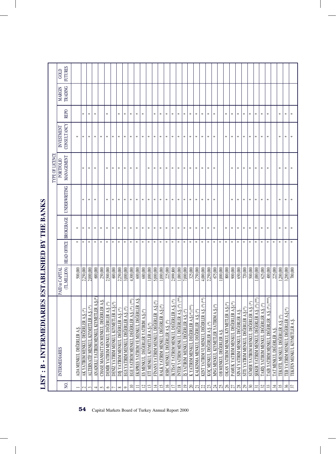|                 | <b>FUTURES</b><br>GOLD         |                         |                                     |                                                      |                                          |                                      |                                        |                                        |                                      |                                      |                                           |                                        |                                    |                              |                                                    |                                                                |                               |                                                      |                                                   |                                     |                                        |                                   |                                                    |                              |                                      |                          |                                                      |                                              |                                    |                                      |                                        |                                                         |                                                                                                                  |                                                  |                          |                                  |                                     |                              |
|-----------------|--------------------------------|-------------------------|-------------------------------------|------------------------------------------------------|------------------------------------------|--------------------------------------|----------------------------------------|----------------------------------------|--------------------------------------|--------------------------------------|-------------------------------------------|----------------------------------------|------------------------------------|------------------------------|----------------------------------------------------|----------------------------------------------------------------|-------------------------------|------------------------------------------------------|---------------------------------------------------|-------------------------------------|----------------------------------------|-----------------------------------|----------------------------------------------------|------------------------------|--------------------------------------|--------------------------|------------------------------------------------------|----------------------------------------------|------------------------------------|--------------------------------------|----------------------------------------|---------------------------------------------------------|------------------------------------------------------------------------------------------------------------------|--------------------------------------------------|--------------------------|----------------------------------|-------------------------------------|------------------------------|
|                 | TRADING<br><b>MARGIN</b>       |                         |                                     |                                                      |                                          |                                      |                                        |                                        |                                      |                                      |                                           |                                        |                                    |                              |                                                    |                                                                |                               |                                                      |                                                   |                                     |                                        |                                   |                                                    |                              |                                      |                          |                                                      |                                              |                                    |                                      |                                        |                                                         |                                                                                                                  |                                                  |                          |                                  |                                     |                              |
|                 | REPO                           |                         | ∗                                   | ∗                                                    | ₩                                        |                                      | ∗                                      |                                        | ∗                                    | ∗                                    | $\star$                                   | ∗                                      | $\boldsymbol{\times}$              |                              | ∗                                                  | ∗                                                              | ∗                             | ₩                                                    | ∗                                                 | $\star$                             | $\boldsymbol{\times}$                  | ∗                                 | $\boldsymbol{\times}$                              | ∗                            | ∗                                    |                          | ∗                                                    | ∗                                            | ∗                                  | ∗                                    | ∗                                      | ∗                                                       | $\boldsymbol{\times}$                                                                                            | $\star$                                          |                          | ∗                                | ∗                                   | $\boldsymbol{\times}$        |
|                 | CONSULTANCY<br>INVESTMENT      | ₩                       | ₩                                   | ₩                                                    | ∗                                        | ∗                                    | ∗                                      | ∗                                      | ∗                                    | ∗                                    | ₩                                         | ∗                                      | ₩                                  | ₩                            | ₩                                                  | ₩                                                              | ∗                             | ₩                                                    | ∗                                                 | ₩                                   | $\boldsymbol{\times}$                  | ₩                                 | $\boldsymbol{\times}$                              | ₩                            | ∗                                    |                          | ∗                                                    | ₩                                            | ∗                                  | ∗                                    | ∗                                      | ∗                                                       | ₩                                                                                                                | ∗                                                |                          | ₩                                | ∗                                   | ₩                            |
| TYPE OF LICENCE | MANAGEMENT<br><b>PORTFOLIO</b> |                         | ₩                                   | ∗                                                    | ∗                                        |                                      | ∗                                      | ∗                                      | ∗                                    | ∗                                    | ₩                                         | ∗                                      |                                    | $\star$                      | ∗                                                  | ∗                                                              | ∗                             | ∗                                                    | ∗                                                 | ∗                                   | $\star$                                | ₩                                 | $\boldsymbol{\times}$                              | ∗                            | ∗                                    |                          |                                                      | ₩                                            | ₩                                  | ∗                                    | ∗                                      | ∗                                                       | ₩                                                                                                                | ∗                                                |                          | ∗                                | ∗                                   | ₩                            |
|                 | <b>UNDER WRITING</b>           |                         | ₩                                   | ∗                                                    | ∗                                        |                                      | ∗                                      | ∗                                      | ∗                                    | ∗                                    | ₩                                         | ∗                                      | ₩                                  | $\star$                      | ∗                                                  | ∗                                                              | ∗                             | ∗                                                    | ∗                                                 | ₩                                   | $\boldsymbol{\times}$                  | ∗                                 | $\boldsymbol{\times}$                              | ∗                            | ∗                                    |                          |                                                      | ∗                                            | ∗                                  | ∗                                    | ∗                                      | ∗                                                       | ∗                                                                                                                | ∗                                                |                          | ∗                                | ∗                                   | ₩                            |
|                 |                                | ₩                       | ₩                                   | ∗                                                    | ∗                                        | ∗                                    | ∗                                      | ∗                                      | ∗                                    | ∗                                    | ∗                                         | ∗                                      | $\boldsymbol{\ast}$                | ₩                            | ∗                                                  | ∗                                                              | $\ast$                        | ∗                                                    | ∗                                                 | ₩                                   | ∗                                      | ∗                                 | $\boldsymbol{\ast}$                                | ∗                            | ∗                                    |                          | ∗                                                    | ₩                                            | ∗                                  | ∗                                    | ∗                                      | ∗                                                       | ₩                                                                                                                | ∗                                                |                          | ∗                                | ∗                                   | ₩                            |
|                 | HEAD OFFICE BROKERAGE          | $\star$                 | $\mathcal{H}$                       | ∗                                                    | ₩                                        | ₩                                    | ₩                                      | $\star$                                | ∗                                    | $\star$                              | $\boldsymbol{\times}$                     | $\star$                                | ∗                                  | $\star$                      | ∗                                                  | $\ast$                                                         | ∗                             | ∗                                                    | ∗                                                 | $\star$                             | $\boldsymbol{\varkappa}$               | ∗                                 | $\boldsymbol{\times}$                              | ₩                            | $\ast$                               | $\boldsymbol{\varkappa}$ | ∗                                                    | ₩                                            | ₩                                  | ₩                                    | ∗                                      | ₩                                                       | ₩                                                                                                                | $\boldsymbol{\ast}$                              | ∗                        | ∗                                | ₩                                   | ₩                            |
|                 | (TLMILION)<br>PAID in CAPITAL  | 500,000                 | 2,250,000                           | 2,000,000                                            | 600,000                                  | 250,000                              | 2,500,000                              | 600,000                                | 2,250,000                            | 3.000,000                            | 4,300,000                                 | 600,000                                | 680,000                            | 1,000,000                    | 5,000,000                                          | ,000,000                                                       | 225,000                       | 2,999,800                                            | 1,000,000                                         | 000,000                             | 325,000                                | 1,750,000                         | 4,000,000                                          | 2,250,000                    | 675.000                              | 000,000                  | 800,000                                              | 900,000                                      | 650,000                            | 720,000                              | 500,000                                | 000,000                                                 | 625,000                                                                                                          | 400,000                                          | 225,000                  | 1,200,000                        | 3,200,000                           | 700,000                      |
|                 | <b>INTERMEDIARIES</b>          | ADA MENKUL DEĞERLER A.Ş | AK YATIRIM MENKUL DEĞERLER A.Ş. (*) | $\widehat{\ast}$<br>ALTERNATIF MENKUL KIYMETLER A.Ş. | ANADOLU YATIRIM MENKUL KIYMETLER A.Ş.(*) | CHASE MANHATTAN MENKUL DEĞERLER A.Ş. | DEMÍR YATIRIM MENKUL DEĞERLER A.Ş. (*) | DENİZ YATIRIM MENKUL KIYMETLER A.Ş.(*) | DIŞ YATIRIM MENKUL DEĞERLER A.Ş. (*) | EGS YATIRIM MENKUL DEĞERLER A.Ş. (*) | EGE YATIRIM MENKUL DEĞERLER A.Ş. (*) (**) | EKSPRES YATIRIM VE MENKUL DEĞERLER A.Ş | ES MENKUL DEĞERLER YATIRIM A.Ş.(*) | ETİ MENKUL KIYMETLER A.Ş.(*) | $S(\tilde{c})$<br>FİNANS YATIRIM MENKUL DEĞERLER A | $\widetilde{\mathscr{E}}$<br>HALK YATIRIM MENKUL DEĞERLER A.Ş. | HSBC MENKUL DEĞERLER A.Ş. (*) | $S_{\cdot}$ (*)<br>IKTISAT YATIRIM MENKUL DEĞERLER A | $(*)$ $(**)$<br>İNTER YATIRIM MENKUL DEĞERLER A.Ş | IS YATIRIM MENKUL DEĞERLER A.Ş. (*) | K YATIRIM MENKUL DEĞERLER A.Ş.(*) (**) | KALKINMA MENKUL DEĞERLER A.Ş. (*) | $(*)$ (**)<br>KENT YATIRIM VE MENKUL DEĞERLER A.Ş. | KOC MENKUL DEĞERLER A.S. (*) | MNG MENKUL KIYMETLER YATIRIM A.Ş.(*) | OB MENKUL DEĞERLER A.Ş.  | $\zeta$ . $(*)$<br>OKAN YATIRIM MENKUL KIYMETLER A.! | $S^{(*)}$<br>PAMUK YATIRIM MENKUL DEĞERLER A | SINAİ YATIRIM MENKUL DEĞERLER A.Ş. | SİTE YATIRIM MENKUL DEĞERLER A.Ş.(*) | SÜMER YATIRIM MENKUL DEĞERLER A.Ş. (*) | $(\ast)$ $(\ast)$<br>ŞEKER YATIRIM MENKUL DEĞERLER A.Ş. | TARÍS YATIRIM MENKUL DEĞERLER A.S. (*)                                                                           | $(*)$ (***)<br>TAIB YATIRIM MENKUL DEĞERLER A.Ş. | TAT MENKUL DEĞERLER A.S. | TEKSTİL MENKUL DEĞERLER A.Ş. (*) | TEB YATIRIM MENKUL DEĞERLER A.Ş.(*) | TEKFEN MENKUL KIYMETLER A.Ş. |
|                 | S.                             |                         | 2                                   | 3                                                    | 4                                        | 5                                    | $\circ$                                |                                        | $\infty$                             | G                                    | $\Xi$                                     | $\equiv$                               | $\Xi$                              | $\Box$                       | $\overline{4}$                                     | $\overline{5}$                                                 | $\geq$                        | $\Box$                                               | $\overline{\phantom{a}}$                          | $\mathbf{D}$                        | $\mathbb{Z}$                           | $\overline{c}$                    |                                                    | ន $ z $ ន                    | $\boldsymbol{z}$                     | $\mathfrak{L}$           | $\%$                                                 | $\boldsymbol{\Sigma}$                        | 28                                 | ∣ສ∣ສ                                 |                                        | $\Xi$                                                   | $\mathfrak{L}% _{T}=\mathfrak{L}_{T}\!\left( a,b\right) ,\mathfrak{L}_{T}=\mathfrak{L}_{T}\!\left( a,b\right) ,$ | 33                                               | $\frac{4}{3}$            | $\mathfrak{B}$                   | $\aleph$                            | 57                           |

# LIST : B - INTERMEDIARIES ESTABLISHED BY THE BANKS **LIST : B - INTERMEDIARIES ESTABLISHED BY THE BANKS**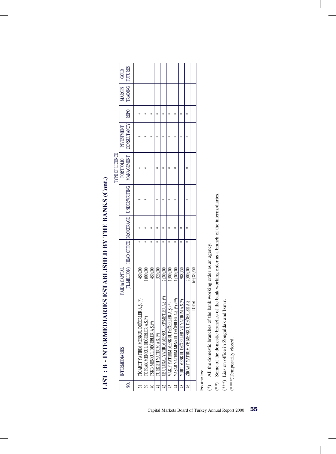| <b>TYPE OF LICENCE</b> | <b>FUTURES</b><br>GOLD<br><b>TRADING</b><br><b>MARGIN</b><br>REPO<br>MANAGEMENT   CONSULTANCY<br>PORTFOLIO   INVESTMENT<br>(TL.MILLION)   HEAD OFFICE   BROKERAGE   UNDERWRITING |                                          | ∗                              |                              |                          |                                             |                                        |                                             |                                         | ∗<br>×                                 |            |  |
|------------------------|----------------------------------------------------------------------------------------------------------------------------------------------------------------------------------|------------------------------------------|--------------------------------|------------------------------|--------------------------|---------------------------------------------|----------------------------------------|---------------------------------------------|-----------------------------------------|----------------------------------------|------------|--|
|                        | AID in CAPITAL                                                                                                                                                                   | 450,000                                  | 1,000,000                      | 450,000                      | 520,000                  | 2,000,000                                   | 1,500,000                              | 1,000,000                                   | 988,750                                 | 2,500,000                              | 69,083.550 |  |
|                        | <b>INTERMEDIARIES</b>                                                                                                                                                            | TİCARET YATIRIM MENKUL DEĞERLER A.Ş. (*) | TOPRAK MENKUL DEGERLER A.S.(*) | TSKB MENKUL DEGERLER A.S.(*) | TURKISH YATIRIM A.Ş. (*) | UB ULUSAL YATIRIM MENKUL KIYMETLER A.Ş. (*) | VAKIF YATIRIM MENKUL DEGERLER A.Ş. (*) | YAŞAR YATIRIM MENKUL DEGERLER A.S. (*) (**) | YURT MENKUL DEĞERLER VE YATIRIM A.Ş.(*) | ZIRAAT YATIRIM VE MENKUL DEĞERLER A.Ş. | TOTAL:     |  |
|                        | Q,                                                                                                                                                                               | R                                        | æ                              |                              |                          | đ                                           | 4                                      | 4                                           | 45                                      | 46                                     |            |  |

# LIST : B - INTERMEDIARIES ESTABLISHED BY THE BANKS (Cont.) **LIST : B - INTERMEDIARIES ESTABLISHED BY THE BANKS (Cont.)**

All the domestic branches of the bank working order as an agency,  $(*)$  All the domestic branches of the bank working order as an agency,  $(*)$ 

Some of the domestic branches of the bank working order as a branch of the intermediaries. (\*\*) Some of the domestic branches of the bank working order as a branch of the intermediaries.  $\begin{pmatrix} * & * \\ * & * & * \end{pmatrix}$ 

(\*\*\*) Liasion office in Zonguldak and İzmir. (\*\*\*) Liasion office in Zonguldak and İzmir.

(\*\*\*\*)Temporarily closed. (\*\*\*\*)Temporarily closed.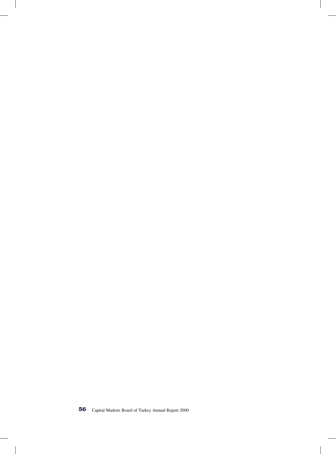56 Capital Markets Board of Turkey Annual Report 2000

 $\overline{\phantom{a}}$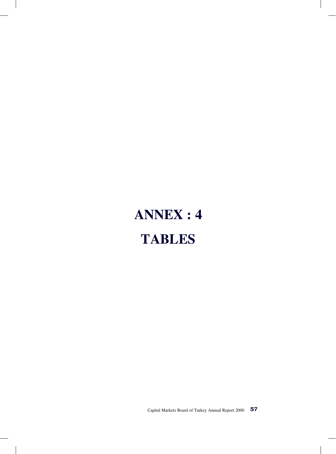# **ANNEX : 4 TABLES**

 $\overline{\phantom{a}}$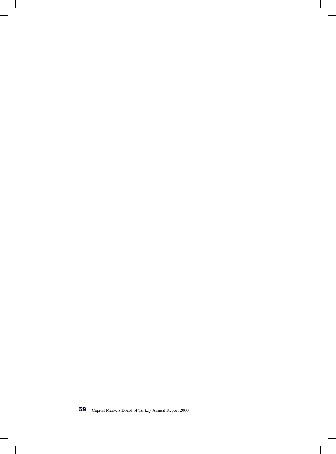58 Capital Markets Board of Turkey Annual Report 2000

 $\overline{\phantom{a}}$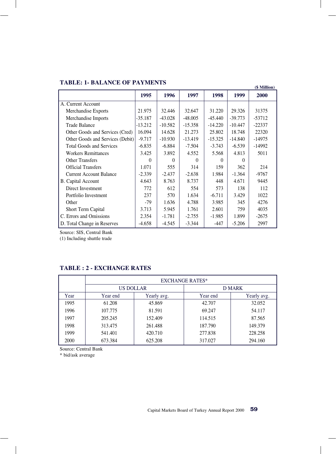| TADLE: I- DALANCE OF PATMENTS    |           |           |           |           |           | (\$ Million) |
|----------------------------------|-----------|-----------|-----------|-----------|-----------|--------------|
|                                  | 1995      | 1996      | 1997      | 1998      | 1999      | 2000         |
| A. Current Account               |           |           |           |           |           |              |
| Merchandise Exports              | 21.975    | 32.446    | 32.647    | 31.220    | 29.326    | 31375        |
| Merchandise Imports              | -35.187   | $-43.028$ | $-48.005$ | $-45.440$ | $-39.773$ | $-53712$     |
| <b>Trade Balance</b>             | $-13.212$ | $-10.582$ | $-15.358$ | $-14.220$ | $-10.447$ | $-22337$     |
| Other Goods and Services (Cred)  | 16.094    | 14.628    | 21.273    | 25.802    | 18.748    | 22320        |
| Other Goods and Services (Debit) | $-9.717$  | $-10.930$ | $-13.419$ | $-15.325$ | $-14.840$ | $-14975$     |
| <b>Total Goods and Services</b>  | $-6.835$  | $-6.884$  | $-7.504$  | $-3.743$  | $-6.539$  | -14992       |
| <b>Workers Remittances</b>       | 3.425     | 3.892     | 4.552     | 5.568     | 4.813     | 5011         |
| <b>Other Transfers</b>           | $\Omega$  | $\Omega$  | $\Omega$  | $\Omega$  | $\Omega$  |              |
| <b>Official Transfers</b>        | 1.071     | 555       | 314       | 159       | 362       | 214          |
| <b>Current Account Balance</b>   | $-2.339$  | $-2.437$  | $-2.638$  | 1.984     | $-1.364$  | -9767        |
| <b>B.</b> Capital Account        | 4.643     | 8.763     | 8.737     | 448       | 4.671     | 9445         |
| Direct Investment                | 772       | 612       | 554       | 573       | 138       | 112          |
| Portfolio Investment             | 237       | 570       | 1.634     | $-6.711$  | 3.429     | 1022         |
| Other                            | -79       | 1.636     | 4.788     | 3.985     | 345       | 4276         |
| Short Term Capital               | 3.713     | 5.945     | 1.761     | 2.601     | 759       | 4035         |
| C. Errors and Omissions          | 2.354     | $-1.781$  | $-2.755$  | -1.985    | 1.899     | $-2675$      |
| D. Total Change in Reserves      | $-4.658$  | $-4.545$  | $-3.344$  | -447      | $-5.206$  | 2997         |

## **TABLE: 1- BALANCE OF PAYMENTS**

 $\mathbf{I}$ 

Source: SIS, Central Bank

(1) Including shuttle trade

|      |           |             | <b>EXCHANGE RATES*</b> |             |
|------|-----------|-------------|------------------------|-------------|
|      | US DOLLAR |             |                        | D MARK      |
| Year | Year end  | Yearly avg. | Year end               | Yearly avg. |
| 1995 | 61.208    | 45.869      | 42.707                 | 32.052      |
| 1996 | 107.775   | 81.591      | 69.247                 | 54.117      |
| 1997 | 205.245   | 152.409     | 114.515                | 87.565      |
| 1998 | 313.475   | 261.488     | 187.790                | 149.379     |
| 1999 | 541.401   | 420.710     | 277.838                | 228.258     |
| 2000 | 673.384   | 625.208     | 317.027                | 294.160     |

## **TABLE : 2 - EXCHANGE RATES**

Source: Central Bank

\* bid/ask average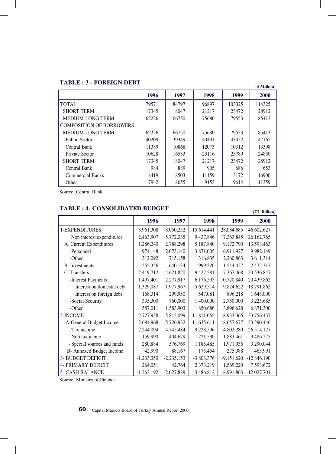|                                 |       |       |       |        | ιψ <b>плиничи</b> |
|---------------------------------|-------|-------|-------|--------|-------------------|
|                                 | 1996  | 1997  | 1998  | 1999   | 2000              |
| <b>TOTAL</b>                    | 79571 | 84797 | 96897 | 103025 | 114325            |
| <b>SHORT TERM</b>               | 17345 | 18047 | 21217 | 23472  | 28912             |
| <b>MEDIUM-LONG TERM</b>         | 62226 | 66750 | 75680 | 79553  | 85413             |
| <b>COMPOSITION OF BORROWERS</b> |       |       |       |        |                   |
| <b>MEDIUM-LONG TERM</b>         | 62226 | 66750 | 75680 | 79553  | 85413             |
| Public Sector                   | 40209 | 39349 | 40491 | 43452  | 47165             |
| Central Bank                    | 11389 | 10868 | 12073 | 10312  | 13398             |
| Private Sector                  | 10628 | 16533 | 23116 | 25789  | 24850             |
| <b>SHORT TERM</b>               | 17345 | 18047 | 21217 | 23472  | 28912             |
| <b>Central Bank</b>             | 984   | 889   | 905   | 686    | 653               |
| Commercial Banks                | 8419  | 8503  | 11159 | 13172  | 16900             |
| Other                           | 7942  | 8655  | 9153  | 9614   | 11359             |

**(\$ Million)**

### **TABLE : 3 - FOREIGN DEBT**

Source: Central Bank

## **TABLE : 4- CONSOLIDATED BUDGET**

**1996 1997 1998 1999 2000** 1-EXPENDITURES 3.961.308 8.050.252 15.614.441 28.084.685 46.602.627 Non interest expenditures 2.463.907 | 5.772.335 | 9.437.846 | 17.363.845 | 26.162.765 A. Current Expenditures 1.286.240 | 2.788.298 | 5.187.840 | 9.172.790 | 13.593.463 -Personnel 974.148 2.073.140 3.871.005 6.911.927 9.982.149 -Other 1.314 1.316.835 2.260.863 3.611.314 B. Investments 255.356 640.134 999.320 1.544.427 2.472.317 C. Transfers 2.419.712 | 4.621.820 | 9.427.281 | 17.367.468 | 30.536.847 -Interest Payments 1.497.401 2.277.917 6.176.595 10.720.840 20.439.862 Interest on domestic debt | 1.329.087 | 1.977.967 | 5.629.514 | 9.824.622 | 18.791.862 Interest on foreign debt 168.314 299.950 547.081 896.218 1.648.000 -Social Security 1 335.300 760.000 1.400.000 2.750.000 3.225.685 -Other 587.011 1.583.903 1.850.686 3.896.628 6.871.300 2-INCOME 2.727.958 5.815.099 11.811.065 18.933.065 33.756.437 A-General Budget Income 2.684.968 5.726.932 11.635.611 18.657.677 33.290.446 -Tax income 2.244.094 4.745.484 9.228.596 14.802.280 26.514.127 -Non tax incme 159.990 404.679 1.221.530 1.883.461 3.486.275 - Special sources and funds | 280.884 | 576.769 | 1.185.485 | 1.971.936 | 3.290.044 B- Annexed Budget Income | 42.990 | 88.167 | 175.454 | 275.388 | 465.991 3- BUDGET DEFICIT  $\vert$  -1.233.350  $\vert$  -2.235.153  $\vert$  -3.803.376  $\vert$  -9.151.620 -12.846.190 4- PRIMARY DEFICIT 264.051 42.764 2.373.219 1.569.220 7.593.672 5- CASH BALANCE -1.263.192 -2.027.889 -3.486.812 -8.991.863 -12.027.701 **(TL Billion)** 

Source: Ministry of Finance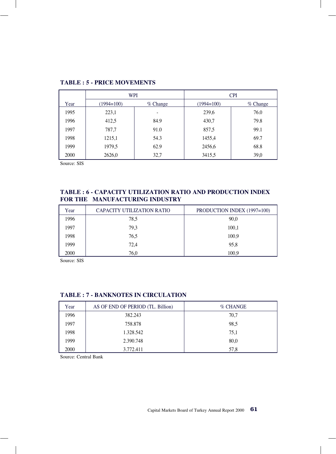|      | WPI          |            |              | <b>CPI</b> |
|------|--------------|------------|--------------|------------|
| Year | $(1994=100)$ | $%$ Change | $(1994=100)$ | $%$ Change |
| 1995 | 223,1        |            | 239,6        | 76.0       |
| 1996 | 412,5        | 84.9       | 430,7        | 79.8       |
| 1997 | 787,7        | 91.0       | 857,5        | 99.1       |
| 1998 | 1215,1       | 54.3       | 1455,4       | 69.7       |
| 1999 | 1979,5       | 62.9       | 2456,6       | 68.8       |
| 2000 | 2626,0       | 32,7       | 3415,5       | 39,0       |

## **TABLE : 5 - PRICE MOVEMENTS**

Source: SIS

## **TABLE : 6 - CAPACITY UTILIZATION RATIO AND PRODUCTION INDEX FOR THE MANUFACTURING INDUSTRY**

| Year | CAPACITY UTILIZATION RATIO | PRODUCTION INDEX (1997=100) |
|------|----------------------------|-----------------------------|
| 1996 | 78,5                       | 90,0                        |
| 1997 | 79.3                       | 100,1                       |
| 1998 | 76,5                       | 100.9                       |
| 1999 | 72,4                       | 95,8                        |
| 2000 | 76.0                       | 100,9                       |

Source: SIS

## **TABLE : 7 - BANKNOTES IN CIRCULATION**

| Year | AS OF END OF PERIOD (TL. Billion) | % CHANGE |
|------|-----------------------------------|----------|
| 1996 | 382.243                           | 70,7     |
| 1997 | 758.878                           | 98.5     |
| 1998 | 1.328.542                         | 75,1     |
| 1999 | 2.390.748                         | 80,0     |
| 2000 | 3.772.411                         | 57,8     |

Source: Central Bank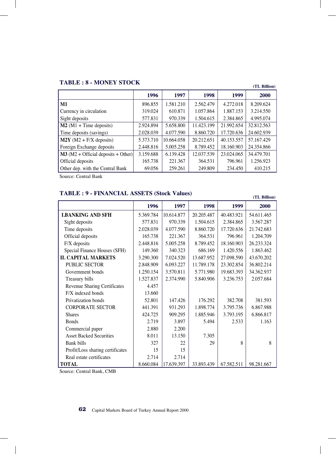| TADLE : 8 - MUNET STUCK                             |           |            |            |            | (TL Billion) |
|-----------------------------------------------------|-----------|------------|------------|------------|--------------|
|                                                     | 1996      | 1997       | 1998       | 1999       | 2000         |
| M1                                                  | 896.855   | 1.581.210  | 2.562.479  | 4.272.018  | 8.209.624    |
| Currency in circulation                             | 319.024   | 610.871    | 1.057.864  | 1.887.153  | 3.214.550    |
| Sight deposits                                      | 577.831   | 970.339    | 1.504.615  | 2.384.865  | 4.995.074    |
| $\mathbf{M2}$ (M1 + Time deposits)                  | 2.924.894 | 5.658.800  | 11.423.199 | 21.992.654 | 32.812.563   |
| Time deposits (savings)                             | 2.028.039 | 4.077.590  | 8.860.720  | 17.720.636 | 24.602.939   |
| $\vert$ M2Y (M2 + F/X deposits)                     | 5.373.710 | 10.664.058 | 20.212.651 | 40.153.557 | 57.167.429   |
| Foreign Exchange deposits                           | 2.448.816 | 5.005.258  | 8.789.452  | 18.160.903 | 24.354.866   |
| $\vert$ M3 (M2 + Official deposits + Other) $\vert$ | 3.159.688 | 6.139.428  | 12.037.539 | 23.024.065 | 34.479.701   |
| Official deposits                                   | 165.738   | 221.367    | 364.531    | 796.961    | 1.256.923    |
| Other dep. with the Central Bank                    | 69.056    | 259.261    | 249.809    | 234.450    | 410.215      |

## **TABLE : 8 - MONEY STOCK**

 $\overline{\phantom{a}}$ 

Source: Central Bank

## **TABLE : 9 - FINANCIAL ASSETS (Stock Values)**

| TADLE : 9 - FINANCIAL ASSETS (SLOCK VAILES) |           |            |            |            | (TL Billion) |
|---------------------------------------------|-----------|------------|------------|------------|--------------|
|                                             | 1996      | 1997       | 1998       | 1999       | 2000         |
| <b>I.BANKING AND SFH</b>                    | 5.369.784 | 10.614.877 | 20.205.487 | 40.483.921 | 54.611.465   |
| Sight deposits                              | 577.831   | 970.339    | 1.504.615  | 2.384.865  | 3.567.287    |
| Time deposits                               | 2.028.039 | 4.077.590  | 8.860.720  | 17.720.636 | 21.742.683   |
| Official deposits                           | 165.738   | 221.367    | 364.531    | 796.961    | 1.204.709    |
| F/X deposits                                | 2.448.816 | 5.005.258  | 8.789.452  | 18.160.903 | 26.233.324   |
| Special Finance Houses (SFH)                | 149.360   | 340.323    | 686.169    | 1.420.556  | 1.863.462    |
| <b>II. CAPITAL MARKETS</b>                  | 3.290.300 | 7.024.520  | 13.687.952 | 27.098.590 | 43.670.202   |
| PUBLIC SECTOR                               | 2.848.909 | 6.093.227  | 11.789.178 | 23.302.854 | 36.802.214   |
| Government bonds                            | 1.250.154 | 3.570.811  | 5.771.980  | 19.683.393 | 34.362.937   |
| Treasury bills                              | 1.527.837 | 2.374.990  | 5.840.906  | 3.236.753  | 2.057.684    |
| Revenue Sharing Certificates                | 4.457     |            |            |            |              |
| F/X indexed bonds                           | 13.660    |            |            |            |              |
| Privatization bonds                         | 52.801    | 147.426    | 176.292    | 382.708    | 381.593      |
| <b>CORPORATE SECTOR</b>                     | 441.391   | 931.293    | 1.898.774  | 3.795.736  | 6.867.988    |
| <b>Shares</b>                               | 424.725   | 909.295    | 1.885.946  | 3.793.195  | 6.866.817    |
| <b>Bonds</b>                                | 2.719     | 3.897      | 5.494      | 2.533      | 1.163        |
| Commercial paper                            | 2.880     | 2.200      |            |            |              |
| <b>Asset Backed Securities</b>              | 8.011     | 13.150     | 7.305      |            |              |
| Bank bills                                  | 327       | 22         | 29         | 8          | 8            |
| Profit/Loss sharing certificates            | 15        | 15         |            |            |              |
| Real estate certificates                    | 2.714     | 2.714      |            |            |              |
| <b>TOTAL</b>                                | 8.660.084 | 17.639.397 | 33.893.439 | 67.582.511 | 98.281.667   |

Source: Central Bank, CMB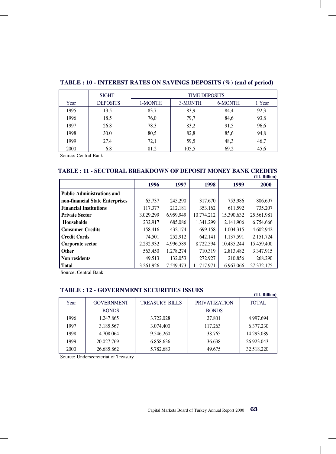|      | <b>SIGHT</b>    |         | <b>TIME DEPOSITS</b> |         |        |
|------|-----------------|---------|----------------------|---------|--------|
| Year | <b>DEPOSITS</b> | 1-MONTH | 3-MONTH              | 6-MONTH | 1 Year |
| 1995 | 13,5            | 83,7    | 83,9                 | 84,4    | 92,3   |
| 1996 | 18,5            | 76,0    | 79,7                 | 84,6    | 93,8   |
| 1997 | 26,8            | 78,3    | 83,2                 | 91,5    | 96,6   |
| 1998 | 30,0            | 80,5    | 82,8                 | 85,6    | 94,8   |
| 1999 | 27,4            | 72,1    | 59,5                 | 48,3    | 46,7   |
| 2000 | 6,8             | 81,2    | 105,5                | 69,2    | 45,6   |

### **TABLE : 10 - INTEREST RATES ON SAVINGS DEPOSITS (%) (end of period)**

Source: Central Bank

### **TABLE : 11 - SECTORAL BREAKDOWN OF DEPOSIT MONEY BANK CREDITS**

|                                   |           |           |            |            | (TL Billion) |
|-----------------------------------|-----------|-----------|------------|------------|--------------|
|                                   | 1996      | 1997      | 1998       | 1999       | 2000         |
| <b>Public Administrations and</b> |           |           |            |            |              |
| non-financial State Enterprises   | 65.737    | 245.290   | 317.670    | 753.986    | 806.697      |
| <b>Financial Institutions</b>     | 117.377   | 212.181   | 353.162    | 611.592    | 735.207      |
| <b>Private Sector</b>             | 3.029.299 | 6.959.949 | 10.774.212 | 15.390.632 | 25.561.981   |
| <b>Households</b>                 | 232.917   | 685.086   | 1.341.299  | 2.141.906  | 6.754.666    |
| Consumer Credits                  | 158.416   | 432.174   | 699.158    | 1.004.315  | 4.602.942    |
| Credit Cards                      | 74.501    | 252.912   | 642.141    | 1.137.591  | 2.151.724    |
| Corporate sector                  | 2.232.932 | 4.996.589 | 8.722.594  | 10.435.244 | 15.459.400   |
| <b>Other</b>                      | 563.450   | 1.278.274 | 710.319    | 2.813.482  | 3.347.915    |
| Non residents                     | 49.513    | 132.053   | 272.927    | 210.856    | 268.290      |
| l Total                           | 3.261.926 | 7.549.473 | 11.717.971 | 16.967.066 | 27.372.175   |

Source. Central Bank

### **TABLE : 12 - GOVERNMENT SECURITIES ISSUES**

|      |                   | тарив , 14 - 90 граммира врсски про 1890 р. |                      | (TL Billion) |
|------|-------------------|---------------------------------------------|----------------------|--------------|
| Year | <b>GOVERNMENT</b> | <b>TREASURY BILLS</b>                       | <b>PRIVATIZATION</b> | <b>TOTAL</b> |
|      | <b>BONDS</b>      |                                             | <b>BONDS</b>         |              |
| 1996 | 1.247.865         | 3.722.028                                   | 27.801               | 4.997.694    |
| 1997 | 3.185.567         | 3.074.400                                   | 117.263              | 6.377.230    |
| 1998 | 4.708.064         | 9.546.260                                   | 38.765               | 14.293.089   |
| 1999 | 20.027.769        | 6.858.636                                   | 36.638               | 26.923.043   |
| 2000 | 26.685.862        | 5.782.683                                   | 49.675               | 32.518.220   |

Source: Undersecreteriat of Treasury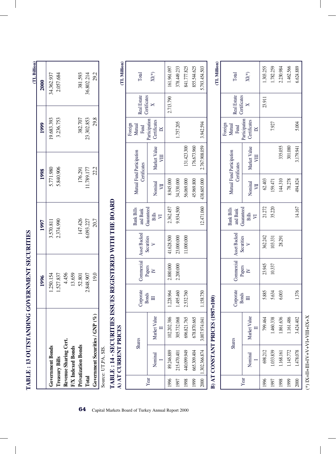|       |                                 |                                  |                           | 1996               |                                      | 1997                                               | 1998         |                                           | 1999                                          |                             | 2000               |
|-------|---------------------------------|----------------------------------|---------------------------|--------------------|--------------------------------------|----------------------------------------------------|--------------|-------------------------------------------|-----------------------------------------------|-----------------------------|--------------------|
|       | <b>Government Bonds</b>         |                                  |                           | 1.250.154          |                                      | 3.570.811                                          | 5.771.980    |                                           | 19.683.393                                    |                             | 34.362.937         |
|       | <b>Treasury Bills</b>           |                                  |                           | 1.527.837          |                                      | 2.374.990                                          | 5.840.906    |                                           | 3.236.753                                     |                             | 2.057.684          |
|       | Revenue Sharing Cert.           |                                  |                           | 4.456              |                                      |                                                    |              |                                           |                                               |                             |                    |
|       | F/X Indexed Bonds               |                                  |                           | 13.659             |                                      |                                                    |              |                                           |                                               |                             |                    |
|       | <b>Privatization Bonds</b>      |                                  |                           | 52.801             |                                      | 147.426                                            | 176.291      |                                           | 382.707                                       |                             | 381.593            |
| Total |                                 |                                  |                           | 2.848.907          |                                      | 6.093.227                                          | 11.789.177   |                                           | 23.302.853                                    |                             | 36.802.214         |
|       | Government Securities / GNP (%) |                                  |                           | 19,0               |                                      | 20,7                                               |              | 22,2                                      | 29,8                                          |                             | 29,2               |
|       | Source: UT,PA, SIS              |                                  |                           |                    |                                      |                                                    |              |                                           |                                               |                             |                    |
|       |                                 | TABLE : 14 - SECURITES ISS       |                           |                    | <b>UES REGISTERED WITH THE BOARD</b> |                                                    |              |                                           |                                               |                             |                    |
|       | A) AT CURRENT PRICES            |                                  |                           |                    |                                      |                                                    |              |                                           |                                               |                             | (TL Million)       |
|       |                                 | <b>Shares</b>                    | Corporate<br><b>Bonds</b> | Commercial         | Asset Backed                         | <b>Bank Bills</b><br>and Bank                      |              | Mutual Fund Participation<br>Certificates | Foreign<br>Mutual<br>Fund                     | Certificates<br>Real Estate | Total              |
| Year  | Nominal                         | Market Value                     | $\equiv$                  | Papers<br>$\geq$   | Securities<br>$\geq$                 | Guaranteed<br>Bills<br>$\overline{\triangleright}$ | Nominal<br>貝 | Market Value<br>買                         | Participation<br>Certificates<br>$\mathbb{R}$ | $\mathsf{X}$                | $\mathbf{M}({}^*)$ |
| 1996  | 89.246.889                      | 102.202.386                      | .228.964                  | 2.880.000          | 41.628.500                           | 2.362.457                                          | 8.945.000    |                                           |                                               | 2.713.790                   | 161.961.097        |
| 1997  | 215.470.401                     | 305.732.068                      | 1.495.460                 | 2.200.000          | 23.000.000                           | 9.934.500                                          | 34.330.000   |                                           | 1.757.205                                     |                             | 378.449.233        |
| 1998  | 440.099.949                     | 696.821.765                      | 2.532.760                 |                    | 11.000.000                           |                                                    | 56.069.000   | 131.423.300                               |                                               |                             | 841.777.825        |
| 1999  | 665.309.404                     | 678.870.665                      |                           |                    |                                      |                                                    | 45.969.800   | 176.673.960                               |                                               |                             | 855.544.625        |
| 2000  | 1.302.366.874                   | 3.007.974.041                    | 1.158.750                 |                    |                                      | 12.471.060                                         | 438.605.000  | 2.767.908.059                             | 3.942.594                                     |                             | 5.793.454.503      |
|       |                                 | B) AT CONSTANT PRICES (1987=100) |                           |                    |                                      |                                                    |              |                                           |                                               |                             | (TL Million)       |
|       |                                 | <b>Shares</b>                    | Corporate                 | Commercial         | Asset Backed                         | <b>Bank Bills</b><br>and Bank                      |              | Mutual Fund Participation<br>Certificates | Foreign<br>Mutual<br>Fund                     | Real Estate<br>Certificates | Total              |
| Year  | Nominal                         | Market Value                     | <b>Bonds</b><br>$\equiv$  | Papers<br>$\simeq$ | Securities<br>$\geq$                 | Guaranteed<br>Bills<br>$\overline{\phantom{0}}$    | Nominal<br>買 | Market Value<br>買                         | Participation<br>Certificates<br>$\mathbb{K}$ | $\mathsf{X}$                | $\mathbf{X}(\ast)$ |
| 1996  | 698.212                         | 799.464                          | 5.885                     | 23.945             | 362.242                              | 21.272                                             | 62.403       |                                           |                                               | 23.911                      | 1.303.255          |
| 1997  | 1.033.839                       | 1.460.338                        | 5.634                     | 10.337             | 103.331                              | 35.220                                             | 159.471      |                                           | 7.927                                         |                             | 1.782.259          |
| 1998  | 1.168.161                       | 1.861.636                        | 6.003                     |                    | 28.291                               |                                                    | 144.310      | 335.055                                   |                                               |                             | 2.230.984          |
| 1999  | 1.145.772                       | 1.161.486                        |                           |                    |                                      |                                                    | 78.278       | 301.080                                   |                                               |                             | 1.462.566          |
| 2000  | 1,478.078                       | 3.424.402                        | 1.376                     |                    |                                      | 14.167                                             | 494.824      | 3.179.941                                 | 5.004                                         |                             | 6.624.889          |
|       | (*) IX=II+II+V+V+V+VI+II+X+X    |                                  |                           |                    |                                      |                                                    |              |                                           |                                               |                             |                    |

## TABLE : 13 OUTSTANDING GOVERNMENT SECURITIES **TABLE : 13 OUTSTANDING GOVERNMENT SECURITIES**

**(TL Billion)** 

(TL Billion)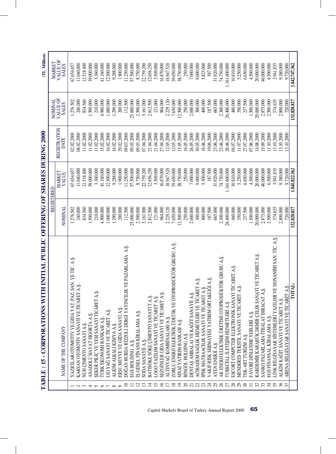|                                                                                                                                                                                 | TABLE : 15 - CORPORATIONS WITH INITIAL PUBLIC OFFERING OF SHARES DURING 2000 |             |                        |                      |                          | (TL Million)      |
|---------------------------------------------------------------------------------------------------------------------------------------------------------------------------------|------------------------------------------------------------------------------|-------------|------------------------|----------------------|--------------------------|-------------------|
|                                                                                                                                                                                 |                                                                              | REGISTEREI  |                        |                      | NOMINAL                  | MARKET            |
|                                                                                                                                                                                 | NAME OF THE COMPANY                                                          | NOMINAL     | MARKET<br><b>VALUE</b> | REGISTRATION<br>DATE | VALUE OF<br><b>SALES</b> | VALUE OF<br>SALES |
|                                                                                                                                                                                 | YAZICILAR OTOMOTİV VE GIDA YAT. PAZ. SAN. VE TİC. A.Ş.                       | 1.276.502   | 67.654.657             | 02.02.2000           | 1.276.502                | 57.654.657        |
|                                                                                                                                                                                 | KARSAN OTOMOTİV SANAYİİ VE TİCARET A.Ş.                                      | 240.000     | 11.040.000             | 08.02.2000           | 240.000                  | 11.040.000        |
|                                                                                                                                                                                 | NUH CIMENTO SANAYI A.Ş                                                       | 834.560     | 12.518.400             | 1.02.2000            | 834.560                  | 12.518.400        |
| $\overline{4}$                                                                                                                                                                  | ANADOLU HAYAT SIGORTA A.Ş.                                                   | 500.000     | 39.000.000             | 11.02.2000           | 1.500.000                | 39.000.000        |
| $n \circ r \circ s$                                                                                                                                                             | A.S.<br>ŞEKER PİLİÇ VE YEM SANAYİ TİCARET                                    | 210.000     | 3.360.000              | 1.02.2000            | 210,000                  | 3.360.000         |
|                                                                                                                                                                                 | TÜRK EKONOMİ BANKASI A.Ş                                                     | 4.900.000   | 41.160.000             | 5,02,2000            | 4.900.000                | 41.160.000        |
|                                                                                                                                                                                 | LIO YAĞ SANAYİ VE TİCARET A.Ş.                                               | 000,000     | 12.500.000             | 16.02.2000           | 1.000.000                | 12.500.000        |
|                                                                                                                                                                                 | ALKİM ALKALİ KİMYA A.Ş.                                                      | .290.000    | 9.288.000              | 16.02.2000           | 1.290.000                | 9.288.000         |
|                                                                                                                                                                                 | ERSU MEYVE VE GIDA SANAYİ A.Ş.                                               | 200.000     | 1.900.000              | 29.02.2000           | 200,000                  | 1.900.000         |
| ≘                                                                                                                                                                               | DOĞAN BURDA RİZZOLİ DERGİ YAYINCILIK VE PAZARLAMA A.Ş.                       | 112.500     | 11.250.000             | 09.03.2000           | 112.500                  | 11.250.000        |
| $\equiv$                                                                                                                                                                        | EGS HOLDING A.S                                                              | 25.000.000  | 57.500.000             | 09.03.2000           | 25.000.000               | 57.500.000        |
| $\Xi$                                                                                                                                                                           | IS GENEL FINANS KIRALAMA A.S.                                                | 2.500.000   | 8.750.000              | 09.03.2000           | 2.500.000                | 8.750.000         |
| $\overline{u}$ $\overline{u}$                                                                                                                                                   | SODA SANAYII A.Ş.                                                            | 3.161.000   | 22.759.200             | 07.04.2000           | 3.161.000                | 22.759.200        |
|                                                                                                                                                                                 | BATISÖKE SÖKE ÇİMENTO SANAYİ T.A.                                            | 2.812.500   | 12.656.250             | 21.04.2000           | 2.812.500                | 12.656.250        |
|                                                                                                                                                                                 | ښتنې<br>LOGO YAZILIM SANAYİ VE TİCARET A                                     | 121.000     | 3,509.000              | 21.04.2000           | 121.000                  | 3,509,000         |
| $\begin{array}{c}\n 26 \\  27 \\  28\n \end{array}$                                                                                                                             | ÅŞ<br>SEZGİNLER GIDA SANAYİ VE TİCARET                                       | 964.000     | 16.870.000             | 27.04.2000           | 964.000                  | 16.870.000        |
|                                                                                                                                                                                 | ALTINYAĞ KOMBİNALARI A.Ş                                                     | 2.229.120   | 18.947.520             | 2.05.2000            | 2.229.120                | 18.947.520        |
|                                                                                                                                                                                 | ZORLU ENERJI ELEKTRIK ÜDEÜIK VE OTOPRODÜKTÖR GRUBU A.Ş.                      | 7.650.000   | 39,650,000             | 12.05.2000           | 7.650.000                | 39.650.000        |
|                                                                                                                                                                                 | SINAİ YATIRIM BANKASI A.Ş.                                                   | 12.500.000  | 38.750.000             | 5.05.2000            | 12.500.000               | 38.750.000        |
|                                                                                                                                                                                 | BINGÖL HOLDING A.S.                                                          | 250,000     | 250,000                | 16.05.2000           | 250,000                  | 250,000           |
|                                                                                                                                                                                 | A.S.<br>DENTAŞ AMBALAJ VE KAĞIT SANAYİİ                                      | 2.000.000   | 7.000.000              | 26.05.2000           | 2.000.000                | 7.000.000         |
|                                                                                                                                                                                 | ACIBADEM SAĞLIK HİZMETLERİ VE TİCARET A.Ş.                                   | 300.000     | 9.000.000              | 30.05.2000           | 300.000                  | 9.000.000         |
|                                                                                                                                                                                 | IPEK MATBAACILIK SANAYI VE TICARET A.Ş                                       | 400.000     | 5.300.000              | 6.06.2000            | 400.000                  | 5.825.000         |
|                                                                                                                                                                                 | VAKIF RİSK SERMAYESİ YATIRIM ORTAKLIĞI A.Ş                                   | 187.500     | 187.500                | 19.06.2000           | 187.500                  | 587.500           |
|                                                                                                                                                                                 | AYEN ENERJI A.Ş.                                                             | 665.000     | 31.920.000             | 23.06.2000           | 665.000                  | 31.920.000        |
|                                                                                                                                                                                 | AK ENERJİ ELEKTRİK ÜRETIMI OTOPRODÜKTÖR GRUBU A.Ş.                           | 2.300.000   | 74.750.000             | 23.06.2000           | 2.300.000                | 74.750.000        |
| $\mathfrak{A} \boxtimes \mathfrak{A} \boxtimes \mathfrak{A} \boxtimes \mathfrak{A} \boxtimes \mathfrak{A} \boxtimes \mathfrak{A} \boxtimes \mathfrak{A} \boxtimes \mathfrak{A}$ | TURKCELL İLETİŞİM HİZMETLERİ A.Ş.                                            | 26.400.000  | 1.161.600.000          | 28.06.2000           | 26.400.000               | 1.161.600.000     |
|                                                                                                                                                                                 | AYİ TİCARET A.Ş<br>ESCORT COMPUTER ELEKTRONIK SAN                            | 460.000     | 10.810.000             | 04.07.2000           | 460.000                  | 10.810.000        |
|                                                                                                                                                                                 | MENDERES TEKSTIL SANAYI VE TICARET A.Ş.                                      | 350.000     | 5.250.000              | 11.07.2000           | 350.000                  | 5.250.000         |
|                                                                                                                                                                                 | TEK-ART TURIZM A.Ş.                                                          | 237.500     | 6.650.000              | 27.07.2000           | 237.500                  | 6.650.000         |
|                                                                                                                                                                                 | FAVORI DİNLENME YERLERİ A.Ş                                                  | 500.000     | 4,500.000              | 07.06.2000           | 1.500.000                | 4.500.000         |
|                                                                                                                                                                                 | KARDEMIR KARABÜK DEMIR ÇELİK SANAYİ VE TİCARET A.Ş.                          | 20.000.000  | 20.000.000             | 14.08.2000           | 20.000.000               | 20.000.000        |
|                                                                                                                                                                                 | SANKO PAZARLAMA İTHALAT İHRACAT A.Ş.                                         | 2.875.000   | 46.000.000             | 5.09.2000            | 2.875.000                | 46.000.000        |
| $\mathcal{L}$                                                                                                                                                                   | EGS FİNANSAL KİRALAMA A.Ş                                                    | 2.500.000   | 6.500.000              | 1.10.2000            | 2.500.000                | 6.500.000         |
|                                                                                                                                                                                 | LÌNK BÌLGÍSAYAR SÍSTEMLERÌ YAZILIMI VE DONANIMI SAN. TÍC. A.Ş.               | 374.635     | 3.941.835              | 3.10.2000            | 374.635                  | 3.941.835         |
|                                                                                                                                                                                 | ALKİM KAĞIT SANAYİ VE TİCARET A.Ş                                            | 2.800.000   | 9.380.000              | 3.10.2000            | 2.800.000                | 9.380.000         |
|                                                                                                                                                                                 | ARENA BİLGİSAYAR SANAYİ VE TİCARET A.Ş.                                      | 720.000     | 9.720.000              | 3.10.2000            | 720.000                  | 9.720.000         |
|                                                                                                                                                                                 | TOTAL:                                                                       | 132.820.817 | 1.841.822.362          |                      | 132.820.817              | 1.842.747.362     |

Capital Markets Board of Turkey Annual Report 2000 65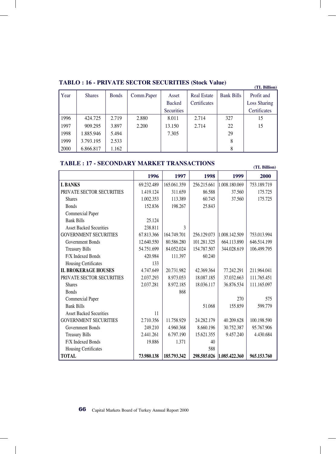|      |               |              |            |                   |                    |                   | (TL Billion)        |
|------|---------------|--------------|------------|-------------------|--------------------|-------------------|---------------------|
| Year | <b>Shares</b> | <b>Bonds</b> | Comm.Paper | Asset             | <b>Real Estate</b> | <b>Bank Bills</b> | Profit and          |
|      |               |              |            | <b>Backed</b>     | Certificates       |                   | <b>Loss Sharing</b> |
|      |               |              |            | <b>Securities</b> |                    |                   | Certificates        |
| 1996 | 424.725       | 2.719        | 2.880      | 8.011             | 2.714              | 327               | 15                  |
| 1997 | 909.295       | 3.897        | 2.200      | 13.150            | 2.714              | 22                | 15                  |
| 1998 | 1.885.946     | 5.494        |            | 7.305             |                    | 29                |                     |
| 1999 | 3.793.195     | 2.533        |            |                   |                    | 8                 |                     |
| 2000 | 6.866.817     | 1.162        |            |                   |                    | 8                 |                     |

### **TABLO : 16 - PRIVATE SECTOR SECURITIES (Stock Value)**

### **TABLE : 17 - SECONDARY MARKET TRANSACTIONS (TL Billion)**

|                                | 1996       | 1997        | 1998        | 1999          | 2000        |
|--------------------------------|------------|-------------|-------------|---------------|-------------|
| <b>I. BANKS</b>                | 69.232.489 | 165.061.359 | 256.215.661 | 1.008.180.069 | 753.189.719 |
| PRIVATE SECTOR SECURITIES      | 1.419.124  | 311.659     | 86.588      | 37.560        | 175.725     |
| <b>Shares</b>                  | 1.002.353  | 113.389     | 60.745      | 37.560        | 175.725     |
| <b>Bonds</b>                   | 152.836    | 198.267     | 25.843      |               |             |
| Commercial Paper               |            |             |             |               |             |
| <b>Bank Bills</b>              | 25.124     |             |             |               |             |
| <b>Asset Backed Securities</b> | 238.811    | 3           |             |               |             |
| <b>GOVERNMENT SECURITIES</b>   | 67.813.366 | 164.749.701 | 256.129.073 | 1.008.142.509 | 753.013.994 |
| Government Bonds               | 12.640.550 | 80.586.280  | 101.281.325 | 664.113.890   | 646.514.199 |
| <b>Treasury Bills</b>          | 54.751.699 | 84.052.024  | 154.787.507 | 344.028.619   | 106.499.795 |
| F/X Indexed Bonds              | 420.984    | 111.397     | 60.240      |               |             |
| Housing Certificates           | 133        |             |             |               |             |
| <b>II. BROKERAGE HOUSES</b>    | 4.747.649  | 20.731.982  | 42.369.364  | 77.242.291    | 211.964.041 |
| PRIVATE SECTOR SECURITIES      | 2.037.293  | 8.973.053   | 18.087.185  | 37.032.663    | 111.765.451 |
| <b>Shares</b>                  | 2.037.281  | 8.972.185   | 18.036.117  | 36.876.534    | 111.165.097 |
| <b>Bonds</b>                   |            | 868         |             |               |             |
| Commercial Paper               |            |             |             | 270           | 575         |
| <b>Bank Bills</b>              |            |             | 51.068      | 155.859       | 599.779     |
| <b>Asset Backed Securities</b> | 11         |             |             |               |             |
| <b>GOVERNMENT SECURITIES</b>   | 2.710.356  | 11.758.929  | 24.282.179  | 40.209.628    | 100.198.590 |
| Government Bonds               | 249.210    | 4.960.368   | 8.660.196   | 30.752.387    | 95.767.906  |
| <b>Treasury Bills</b>          | 2.441.261  | 6.797.190   | 15.621.355  | 9.457.240     | 4.430.684   |
| F/X Indexed Bonds              | 19.886     | 1.371       | 40          |               |             |
| Housing Certificates           |            |             | 588         |               |             |
| <b>TOTAL</b>                   | 73.980.138 | 185.793.342 | 298.585.026 | 1.085.422.360 | 965.153.760 |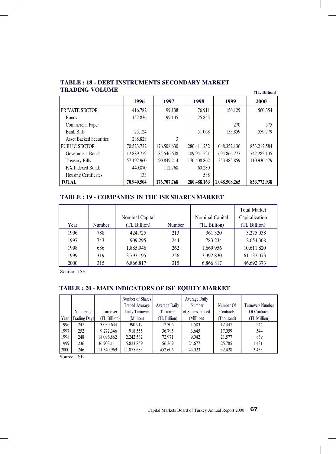|                                | 1996       | 1997        | 1998        | 1999          | 2000        |
|--------------------------------|------------|-------------|-------------|---------------|-------------|
| PRIVATE SECTOR                 | 416.782    | 199.138     | 76.911      | 156.129       | 560.354     |
| <b>Bonds</b>                   | 152.836    | 199.135     | 25.843      |               |             |
| Commercial Paper               |            |             |             | 270           | 575         |
| <b>Bank Bills</b>              | 25.124     |             | 51.068      | 155.859       | 559.779     |
| <b>Asset Backed Securities</b> | 238.823    | 3           |             |               |             |
| PUBLIC SECTOR                  | 70.523.722 | 176.508.630 | 280.411.252 | 1.048.352.136 | 853.212.584 |
| Government Bonds               | 12.889.759 | 85.546.648  | 109.941.521 | 694.866.277   | 742.282.105 |
| <b>Treasury Bills</b>          | 57.192.960 | 90.849.214  | 170.408.862 | 353.485.859   | 110.930.479 |
| F/X Indexed Bonds              | 440.870    | 112.768     | 60.280      |               |             |
| Housing Certificates           | 133        |             | 588         |               |             |
| <b>TOTAL</b>                   | 70.940.504 | 176.707.768 | 280.488.163 | 1.048.508.265 | 853.772.938 |

### **TABLE : 18 - DEBT INSTRUMENTS SECONDARY MARKET TRADING VOLUME (TL Billion)**

### **TABLE : 19 - COMPANIES IN THE ISE SHARES MARKET**

|      |        |                 |        |                 | <b>Total Market</b> |
|------|--------|-----------------|--------|-----------------|---------------------|
|      |        | Nominal Capital |        | Nominal Capital | Capitalization      |
| Year | Number | (TL Billion)    | Number | (TL Billion)    | (TL Billion)        |
| 1996 | 788    | 424.725         | 213    | 361.320         | 3.275.038           |
| 1997 | 743    | 909.295         | 244    | 783.234         | 12.654.308          |
| 1998 | 686    | 1.885.946       | 262    | 1.669.956       | 10.611.820          |
| 1999 | 319    | 3.793.195       | 256    | 3.392.830       | 61.137.073          |
| 2000 | 315    | 6.866.817       | 315    | 6.866.817       | 46.692.373          |

Source : ISE

### **TABLE : 20 - MAIN INDICATORS OF ISE EQUITY MARKET**

|      |                     |              | Number of Shares      |               | <b>Average Daily</b> |            |                 |
|------|---------------------|--------------|-----------------------|---------------|----------------------|------------|-----------------|
|      |                     |              | <b>Traded Average</b> | Average Daily | Number               | Number Of  | Turnover/Number |
|      | Number of           | Turnover     | Daily Turnover        | Turnover      | of Shares Traded     | Contracts  | Of Contracts    |
| Year | <b>Trading Days</b> | (TL Billion) | (Million)             | (TL Billion)  | (Million)            | (Thousand) | (TL Million)    |
| 1996 | 247                 | 3.039.634    | 390.917               | 12.306        | 1.583                | 12.447     | 244             |
| 1997 | 252                 | 9.272.346    | 918.555               | 36.795        | 3.645                | 17.059     | 544             |
| 1998 | 248                 | 18.096.862   | 2.242.532             | 72.971        | 9.042                | 21.577     | 839             |
| 1999 | 236                 | 36.903.111   | 5.823.859             | 156.369       | 24.677               | 25.785     | 1.431           |
| 2000 | 246                 | 111.340.969  | 11.075.685            | 452.606       | 45.023               | 32.428     | 3.433           |

Source: ISE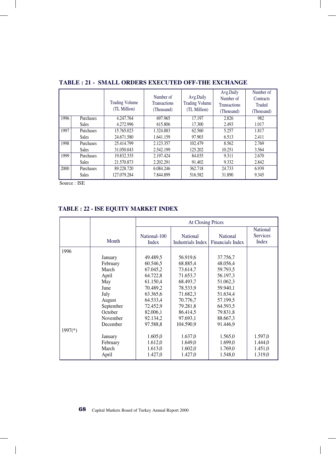|              | <b>Trading Volume</b><br>(TL Million) | Number of<br><b>Transactions</b><br>(Thousand) | Avg.Daily<br><b>Trading Volume</b><br>(TL Million) | Avg.Daily<br>Number of<br><b>Transactions</b><br>(Thousand) | Number of<br>Contracts<br>Traded<br>(Thousand) |
|--------------|---------------------------------------|------------------------------------------------|----------------------------------------------------|-------------------------------------------------------------|------------------------------------------------|
| Purchases    | 4.247.764                             | 697.965                                        | 17.197                                             | 2.826                                                       | 982                                            |
| <b>Sales</b> | 4.272.996                             | 615.806                                        | 17.300                                             | 2.493                                                       | 1.017                                          |
| Purchases    | 15.765.023                            | 1.324.883                                      | 62.560                                             | 5.257                                                       | 1.817                                          |
| <b>Sales</b> | 24.671.580                            | 1.641.159                                      | 97.903                                             | 6.513                                                       | 2.411                                          |
| Purchases    | 25.414.799                            | 2.123.357                                      | 102.479                                            | 8.562                                                       | 2.769                                          |
| <b>Sales</b> | 31.050.043                            | 2.542.199                                      | 125.202                                            | 10.251                                                      | 3.564                                          |
| Purchases    | 19.832.335                            | 2.197.424                                      | 84.035                                             | 9.311                                                       | 2.670                                          |
| <b>Sales</b> | 21.570.873                            | 2.202.291                                      | 91.402                                             | 9.332                                                       | 2.842                                          |
| Purchases    | 89.228.720                            | 6.084.246                                      | 362.718                                            | 24.733                                                      | 6.939                                          |
| <b>Sales</b> | 127.079.284                           | 7.844.899                                      | 516.582                                            | 31.890                                                      | 9.345                                          |
|              |                                       |                                                |                                                    |                                                             |                                                |

### **TABLE : 21 - SMALL ORDERS EXECUTED OFF-THE EXCHANGE**

Source : ISE

 $\overline{\phantom{a}}$ 

### **TABLE : 22 - ISE EQUITY MARKET INDEX**

|           |           |                              | At Closing Prices                    |                              |                                             |
|-----------|-----------|------------------------------|--------------------------------------|------------------------------|---------------------------------------------|
|           | Month     | National-100<br><b>Index</b> | <b>National</b><br>Industrials Index | National<br>Financials Index | <b>National</b><br><b>Services</b><br>Index |
| 1996      |           |                              |                                      |                              |                                             |
|           | January   | 49.489,5                     | 56.919,6                             | 37.756,7                     |                                             |
|           | February  | 60.546,5                     | 68.885,4                             | 48.056,4                     |                                             |
|           | March     | 67.045.2                     | 73.614,7                             | 59.793.5                     |                                             |
|           | April     | 64.722,8                     | 71.653,7                             | 56.197,3                     |                                             |
|           | May       | 61.150,4                     | 68.493,7                             | 51.062,3                     |                                             |
|           | June      | 70.489,2                     | 78.533,9                             | 59.940.1                     |                                             |
|           | July      | 63.365,6                     | 71.682,3                             | 51.634,4                     |                                             |
|           | August    | 64.533,4                     | 70.776,7                             | 57.199.5                     |                                             |
|           | September | 72.452,9                     | 79.281,8                             | 64.593,5                     |                                             |
|           | October   | 82.006,1                     | 86.414,5                             | 79.831,8                     |                                             |
|           | November  | 92.134,2                     | 97.693,1                             | 88.667,3                     |                                             |
|           | December  | 97.588,8                     | 104.590,9                            | 91.446,9                     |                                             |
| $1997(*)$ |           |                              |                                      |                              |                                             |
|           | January   | 1.605,0                      | 1.637,0                              | 1.565,0                      | 1.597,0                                     |
|           | February  | 1.612,0                      | 1.649,0                              | 1.699,0                      | 1.444,0                                     |
|           | March     | 1.613,0                      | 1.602,0                              | 1.769,0                      | 1.451,0                                     |
|           | April     | 1.427,0                      | 1.427,0                              | 1.548,0                      | 1.319,0                                     |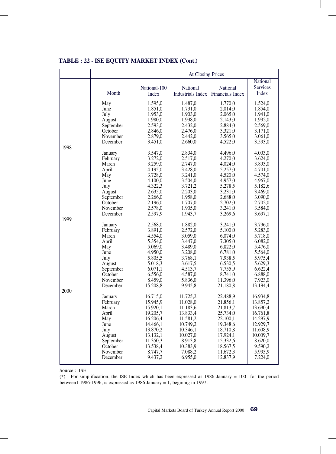|      |           |                       | At Closing Prices                    |                              |                                      |
|------|-----------|-----------------------|--------------------------------------|------------------------------|--------------------------------------|
|      | Month     | National-100<br>Index | National<br><b>Industrials Index</b> | National<br>Financials Index | National<br><b>Services</b><br>Index |
| 1998 | May       | 1.595,0               | 1.487,0                              | 1.770,0                      | 1.524,0                              |
|      | June      | 1.851,0               | 1.731,0                              | 2.014,0                      | 1.854,0                              |
|      | July      | 1.953,0               | 1.903,0                              | 2.065,0                      | 1.941,0                              |
|      | August    | 1.980,0               | 1.938,0                              | 2.143,0                      | 1.932,0                              |
|      | September | 2.593,0               | 2.432,0                              | 2.884,0                      | 2.569,0                              |
|      | October   | 2.846,0               | 2.476,0                              | 3.321,0                      | 3.171,0                              |
|      | November  | 2.879,0               | 2.442,0                              | 3.565,0                      | 3.061,0                              |
|      | December  | 3.451,0               | 2.660,0                              | 4.522,0                      | 3.593,0                              |
|      | January   | 3.547,0               | 2.834,0                              | 4.496,0                      | 4.003,0                              |
|      | February  | 3.272,0               | 2.517,0                              | 4.270,0                      | 3.624,0                              |
|      | March     | 3.259,0               | 2.747,0                              | 4.024,0                      | 3.893,0                              |
|      | April     | 4.195,0               | 3.428,0                              | 5.257,0                      | 4.701,0                              |
|      | May       | 3.728,0               | 3.241,0                              | 4.520,0                      | 4.574,0                              |
|      | June      | 4.100,0               | 3.504,0                              | 4.957,0                      | 4.967,0                              |
|      | July      | 4.322,3               | 3.721,2                              | 5.278,5                      | 5.182,6                              |
|      | August    | 2.635,0               | 2.203,0                              | 3.231,0                      | 3.469,0                              |
|      | September | 2.266,0               | 1.958,0                              | 2.688,0                      | 3.090,0                              |
|      | October   | 2.196,0               | 1.707,0                              | 2.702,0                      | 2.702,0                              |
|      | November  | 2.578,0               | 1.905,0                              | 3.241,0                      | 3.584,0                              |
|      | December  | 2.597,9               | 1.943,7                              | 3.269,6                      | 3.697,1                              |
| 1999 | January   | 2.568,0               | 1.882,0                              | 3.241,0                      | 3.796,0                              |
|      | February  | 3.891,0               | 2.572,0                              | 5.100,0                      | 5.283,0                              |
|      | March     | 4.554,0               | 3.059,0                              | 6.074,0                      | 5.718,0                              |
|      | April     | 5.354,0               | 3.447,0                              | 7.305,0                      | 6.082,0                              |
|      | May       | 5.069,0               | 3.489,0                              | 6.822,0                      | 5.476,0                              |
|      | June      | 4.950,0               | 3.208,0                              | 6.781,0                      | 5.564,0                              |
|      | July      | 5.805,5               | 3.768,1                              | 7.938,5                      | 5.975,4                              |
|      | August    | 5.018,3               | 3.617,5                              | 6.530,5                      | 5.629,3                              |
|      | September | 6.071,1               | 4.513,7                              | 7.755,9                      | 6.622,4                              |
|      | October   | 6.556,0               | 4.587,0                              | 8.741,0                      | 6.888,0                              |
|      | November  | 8.459,0               | 5.836,0                              | 11.396,0                     | 7.923,0                              |
|      | December  | 15.208,8              | 9.945,8                              | 21.180,8                     | 13.194,4                             |
| 2000 | January   | 16.715,0              | 11.725,2                             | 22.488,9                     | 16.934,8                             |
|      | February  | 15.945,9              | 11.028,0                             | 21.856,1                     | 13.857,2                             |
|      | March     | 15.920,1              | 11.183,6                             | 21.813,7                     | 13.690,4                             |
|      | April     | 19.205,7              | 13.833,4                             | 25.734,0                     | 16.761,8                             |
|      | May       | 16.206,4              | 11.581,2                             | 22.100,1                     | 14.297,9                             |
|      | June      | 14.466,1              | 10.749,2                             | 19.348,6                     | 12.929,7                             |
|      | July      | 13.870,2              | 10.346,1                             | 18.710,8                     | 11.608,9                             |
|      | August    | 13.132,1              | 10.027,0                             | 17.924,1                     | 10.009,7                             |
|      | September | 11.350,3              | 8.913,8                              | 15.332,6                     | 8.620,0                              |
|      | October   | 13.538,4              | 10.383.9                             | 18.567,5                     | 9.590,2                              |
|      | November  | 8.747,7               | 7.088,2                              | 11.672,3                     | 5.995,9                              |
|      | December  | 9.437,2               | 6.955,0                              | 12.837,9                     | 7.224,0                              |

### **TABLE : 22 - ISE EQUITY MARKET INDEX (Cont.)**

Source : ISE

(\*) : For simplifacation, the ISE Index which has been expressed as 1986 January = 100 for the period between1 1986-1996, is expressed as 1986 January = 1, beginnig in 1997.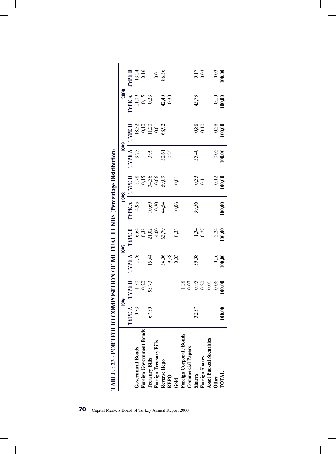| TABLE : 23 - PORTFOLIO COMPOSITION OF MUTUAL FUNDS (Percentage Distribution) |                                  | 1996                                                            |                       | 1997                                     |                                                      | 1998                            | 1999<br><b>TYPE A</b> |                                                                         | 2000<br><b>TYPE A</b>                                |                      |
|------------------------------------------------------------------------------|----------------------------------|-----------------------------------------------------------------|-----------------------|------------------------------------------|------------------------------------------------------|---------------------------------|-----------------------|-------------------------------------------------------------------------|------------------------------------------------------|----------------------|
| <b>Government Bonds</b>                                                      | $\blacktriangle$<br>0,33<br>TYPE | <b>TYPE B</b>                                                   | <b>TYPE A</b><br>1,76 | TYPE B                                   | <b>TYPE A</b><br>4,95                                | TYPE B                          | 9,75                  | <b>TYPE B</b>                                                           |                                                      | <b>TYPE B</b>        |
| Foreign Government Bonds                                                     |                                  | $\begin{array}{c} 1,50 \\ 0,20 \\ 95,73 \end{array}$            |                       | 6,64<br>0,38<br>0,1,00<br>63,79<br>63,79 |                                                      | 5,78<br>0,15<br>0,06<br>0,09,09 |                       | $\begin{array}{c} 18,52 \\ 0,10 \\ 11,20 \\ 0,01 \\ 0.8,92 \end{array}$ | $\begin{array}{c} 11,09 \\ 0,15 \\ 0,23 \end{array}$ | $\frac{13,24}{0,16}$ |
| <b>Treasury Bills</b>                                                        | 67,30                            |                                                                 | 15,44                 |                                          |                                                      |                                 | 3,99                  |                                                                         |                                                      |                      |
| Foreign Treasury Bills                                                       |                                  |                                                                 |                       |                                          | $\begin{array}{c} 10,00 \\ 0,00 \\ 0,04 \end{array}$ |                                 |                       |                                                                         |                                                      |                      |
| Reverse Repo                                                                 |                                  |                                                                 |                       |                                          |                                                      |                                 | $^{30,61}_{0,22}$     |                                                                         | $42,40$<br>0.30                                      | 0,01<br>86,36        |
| <b>REPO</b>                                                                  |                                  |                                                                 | 34,06<br>9,48<br>0,03 |                                          |                                                      |                                 |                       |                                                                         |                                                      |                      |
| Gold                                                                         |                                  |                                                                 |                       | 0,33                                     | 0,06                                                 | 0,01                            |                       |                                                                         |                                                      |                      |
| Foreign Corporate Bonds                                                      |                                  |                                                                 |                       |                                          |                                                      |                                 |                       |                                                                         |                                                      |                      |
| <b>Commercial Papers</b>                                                     |                                  |                                                                 |                       |                                          |                                                      |                                 |                       |                                                                         |                                                      |                      |
| <b>Shares</b>                                                                | 32,37                            |                                                                 | 39,08                 |                                          | 39,56                                                |                                 | 55,40                 |                                                                         | 45,73                                                | 0,03                 |
| <b>Foreign Shares</b>                                                        |                                  | $\begin{array}{c} 1,000 \\ 0,000 \\ 0,000 \\ 0,000 \end{array}$ |                       | $1,34$<br>0,27                           |                                                      | $0,33$<br>$0,11$                |                       | 0,10                                                                    |                                                      |                      |
| <b>Asset Backed Securities</b>                                               |                                  |                                                                 |                       |                                          |                                                      |                                 |                       |                                                                         |                                                      |                      |
| <b>Other</b>                                                                 |                                  | 0,06                                                            | 0,16                  | 2,24                                     |                                                      | 0,12                            | 0.02                  | 0,28                                                                    | 0,10                                                 | 0,03                 |
| <b>TOTAL</b>                                                                 | ◒<br>100,                        | 100,00                                                          | 100,00                | 100,00                                   | 100,00                                               | 100,00                          | 100,00                | 100,00                                                                  | 100,00                                               | 100,00               |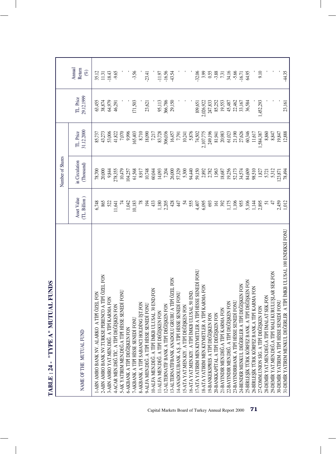|                                                                      |                              | Number of Shares             |                         |                         |                            |
|----------------------------------------------------------------------|------------------------------|------------------------------|-------------------------|-------------------------|----------------------------|
| NAME OF THE MUTUAL FUND                                              | (TL. Billion)<br>Asset Value | in Circulation<br>(Thousand) | 31.12.2000<br>TL. Price | 29.12.1999<br>TL. Price | Annual<br>Return<br>$(\%)$ |
| 1-ABN AMRO BANK NV. ALARKO A TİPİ ÖZEL FON                           | 6,748                        | 78,700                       | 85,737                  | 63,455                  | 35.12                      |
| 2-ABN AMRO BANK NV.TURKSE PERENCO A TÍPÍ ÖZEL FON                    | 865                          | 20,000                       | 43,273                  | 38,874                  | $11.31\,$                  |
| 3-ABN AMRO YAT.MEN.DEĞ. A TİPİ KARMA FON                             | 522                          | 9,844                        | 53,006                  | 64,979                  | $-18.43$                   |
| 4-ACAR MEN.DEĞ.TİC. A TİPİ DEĞİŞKEN FON                              | 11,641                       | 278,355                      | 41,822                  | 46,291                  | $-9.65$                    |
| 5-AK YATIRIM MEN.DEĞA TİPİ HİSSE SENEDİ FONU                         |                              | 10,479                       | 7,070                   |                         |                            |
| 6-AKBANK A TÍPÍ DEĞİŞKEN FON                                         | 1,042                        | 104,257                      | 9,996                   |                         |                            |
| 7-AKBANK A TİPİ HİSSE SENEDİ FONU                                    | 10,183                       | 61,568                       | 165,403                 | 171,503                 | $-3.56$                    |
| 8-AKBANK A TİPİ SABANCI HOLDİNG İŞT.FON                              | 78                           | 8,917                        | 8,710                   |                         |                            |
| 9-ALFA MEN.DEĞ. A TİPİ HİSSE SENEDİ FONU                             | $\overline{5}$               | 10,748                       | 18,090                  | 23,621                  | $-23.41$                   |
| 10-ALFA MEN.DEĞ. A TİPİ İMKB ULUSAL 30 END.FON                       | 433                          | 60,044                       | 7,217                   |                         |                            |
| 11-ALFA MEN DEĞ. A TİPİ DEĞİŞKEN FON                                 | 1,180                        | 14,093                       | 83,728                  | 95,113                  | 11.97                      |
| 2-ALTERNATIF BANK A TIPI DEĞISKEN FON                                | 2,205                        | 7,204                        | 306,036                 | 366,786                 | $-16.56$                   |
| 3-ALTERNATIFBANK ANADOLU GRUBU A TİPİ ÖZEL FON                       | 428                          | 26,000                       | 16,457                  | 29,150                  | $-43.54$                   |
| 4-ANADOLUBANK A.Ş. A TİPİ HİSSE SENEDİ FONU                          | 47                           | 57,329                       | 7,791                   |                         |                            |
| 15-ATA YAT.MEN.KIY. A TİPİ DEĞİŞKEN FON                              | 24                           | 5,300                        | 10,241                  |                         |                            |
| 50 END<br>16-ATA YAT.MEN.KIY. A TİPİ İMKB ULUSAL                     | 555                          | 94,440                       | 5,876                   |                         |                            |
| 17-ATA YATIRIM MEN KIYMETLER A TİPİ HİSSE SENEDİ FONU                | 4,407                        | 59,150                       | 74,502                  | 109,651                 | $-32.06$                   |
| 18-ATA YATIRIM MEN.KIYMETLER A TİPİ KARMA FON                        | 6,095                        | 2,892                        | 2,107,775               | 2,026,922               | 3.99                       |
| 19-BANKEKSPRES A TİPİ DEĞİŞKEN FON                                   | 693                          | 2,782                        | 249,196                 | 247,833                 | 0.55                       |
| 20-BANKKAPİTAL A TİPİ DEĞİŞKEN FON                                   | $\overline{161}$             | 1,963                        | 81,941                  | 85,252                  | $-3.88$<br>7.31            |
| 21-BAYINDIR MEN DEĞA TİPİ KARMA FON                                  | 392                          | 18,687                       | 20,983                  | 19,553                  |                            |
| 22-BAYINDIR MEN.DEĞ. A TİPİ DEĞİŞKEN FON                             | 1175                         | 19,256                       | 61,023                  | 45,487                  | 34.16                      |
| 23-BAYINDIRBANK A TİPİ HİSSE SENEDİ FONU                             | 1,106                        | 52,173                       | 21,190                  | 22,462                  | $-5.66$                    |
| 24-BENDER MENKUL DEĞERLER A TİPİ DEĞİŞKEN FON                        | 955                          | 34,574                       | 27,626                  | 33,167                  | $-16.71$                   |
| 25-BİRLEŞİK TÜRK KÖRFEZ BANK. A TİPİ DEĞİŞKEN FON                    | 5,106                        | 84,609                       | 60,346                  | 36,584                  | 64.95                      |
| 26-BİRLEŞİK TÜRK KÖRFEZ BANK A TİPİ KARMA FON                        | 1.14                         | 98,510                       | 11,617                  |                         |                            |
| 27-COMM.UNION SÍG. A TÍPÍ DEĞİŞKEN FON                               | 2,895                        | 1,827                        | .584,387                | 1,452,293               | 9.10                       |
| 28-DEMÍR YAT.MEN.DEĞ.A TİPİ İMALAT SEK.FON                           | 51                           | 5,721                        | 8,860                   |                         |                            |
| 29-DEMİR YAT.MEN DEĞA TİPİ MALİ KURULUŞLAR SEK FON                   | t.                           | 5,312                        | 8,847                   |                         |                            |
| 30-DEMİR YATIRIM A TİPİ HİSSE SENEDİ FONU                            | 2,459                        | 123,871                      | 19,847                  |                         |                            |
| 31-DEMÍR YATIRIM MENKUL DEĞERLER A TİPİ İMKB ULUSAL 100 ENDEKSİ FONU | 1,012                        | 78,494                       | 12,888                  | 23,161                  | $-44.35$                   |

TABLE : 24 - "TYPE A" MUTUAL FUNDS **TABLE : 24 - "TYPE A" MUTUAL FUNDS**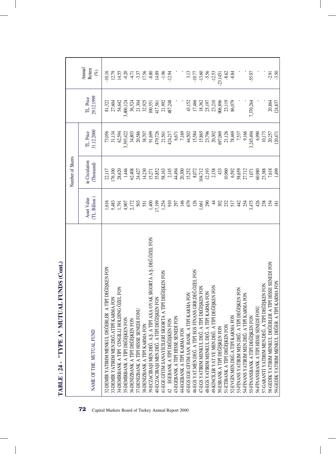|                                                                      |                              | Number of Shares             |                         |                         |                                                 |
|----------------------------------------------------------------------|------------------------------|------------------------------|-------------------------|-------------------------|-------------------------------------------------|
| NAME OF THE MUTUAL FUND                                              | (TL. Billion)<br>Asset Value | in Circulation<br>(Thousand) | 31.12.2000<br>TL. Price | 29.12.1999<br>TL. Price | Annual<br>Return<br>$(\%)$                      |
| TIPI DEĞIŞKEN FON<br>32-DEMİR YATIRIM MENKUL DEĞERLER A              | 1,616                        | 22,117                       | 73,056                  | 81,322                  | 10.16                                           |
| <b>FON</b><br>33-DEMİR YATIRIM MEN.DEĞ.ATİPİ KARMA                   | 5,483                        | (76,100)                     | 31,134                  | 27,604                  | 12.79                                           |
| <b>DZEL FON</b><br>34-DEMİRBANK A TİPİ CINGILLI HOLDİNG              | 1,791                        | 28,620                       | 62,594                  | 54,642                  | 14.55                                           |
| 35-DEMİRBANK A TİPİ DEĞİŞKEN FON                                     | 4,907                        | 1,446                        | 3,393,422               | 3,400,124               | $0,3,7,7,8,8$<br>$-4,7,5,6,8,8$<br>$-8,8,0,5,6$ |
| 36-DENİZBANK A TİPİ DEĞİSKEN FON                                     | 2,172                        | 62,408                       | 34,803                  |                         |                                                 |
| 37-DENİZBANK A TİPİ HİSSE SENEDİ FONU                                | 503                          | 24,427                       | 20,586                  | 36,524<br>21,304        |                                                 |
| 38-DENİZBANK A TİPİ KARMA FON                                        | 551                          | 14,230                       | 38,707                  | 32,925                  |                                                 |
| 39-ECZACIBAŞI MENDEĞ. A.Ş. A TİPİ AXA OYAK SİGORTA A.Ş. DEĞ.ÖZEL FON | 1,400                        | 15,271                       | 91,699                  | 100,551                 |                                                 |
| FON<br>40-ECZACIBAŞI MEN.DEĞ. A TİPİ DEĞİŞKEN                        | 17,199                       | 35,852                       | 479,726                 | 417,561                 | 14.89                                           |
| 41-EGE GÍYÍM SANAYÍCÍLERÍ SÍGORTA A TÍPÍ DEĞÍSKEN FON                | 1,254                        | 58,163                       | 21,561                  | 21,992                  | $-1.96$                                         |
| EGEBANK A TIPI DEGISKEN FON<br>$\frac{1}{4}$                         | 910                          | 2,145                        | 424,217                 | 487,248                 | 12.94                                           |
| 43-EGEBANK A TİPİ HİSSE SENEDİ FON                                   | 297                          | 44,494                       | 6,671                   |                         |                                                 |
| 44-EGEBANK A TİPİ KARMA FON                                          | $\frac{146}{5}$              | 20,300                       | 7,169                   |                         |                                                 |
| 45-EGS EGE GİYİM SAN. BANK. A TİPİ KARMA FON                         | 679                          | 15,252                       | 44,502                  | 43,152                  | 3.13                                            |
| 46-EGS YAT.MEN.DEĞ. A TİPİ EGS FİNANS GRB.DEĞ.ÖZEL FON               | 126                          | 8,072                        | 15,584                  | 17,466                  | $-10.77$                                        |
| 47-EGS YATIRIM MENKUL DEĞ. A TİPİ DEĞİŞKEN FON                       | .661                         | 104,712                      | 15,865                  | 18,362                  | $-13.60$                                        |
| 48-EGS YATIRIM MENKUL DEĞ. A TİPİ KARMA FON                          | 290                          | 12,193                       | 23,796                  | $25,197$<br>$23,210$    | $-5.56$                                         |
| IŞKEN FON<br>49-KİNCİLER YAT.VE MEN.DEĞ. A TİPİ DEĞİ                 | $\ddot{a}$                   | 2,158                        | 20,302                  |                         | $-12.53$                                        |
| 50-ESBANK A TİPİ DEĞİŞKEN FON                                        | SOZ                          | 433                          | 697,069                 | 906,896                 | $-23.1451$                                      |
| 51-ETİBANK A TİPİ DEĞİŞKEN FON                                       | 374                          | 10,960                       | 21,126                  | 23,119                  | $-8.62$                                         |
| 52-EVGİN MEN.DEĞ.A TİPİ KARMA FON                                    |                              | 6,592                        | 78,469                  | 86,079                  | $-8.84$                                         |
| 53-FİNANS YATIRIM MEN DEĞ. A TİPİ DEĞİŞKEN FON                       |                              | 58,659                       | 7,537                   |                         |                                                 |
| 54-FİNANS YATIRIM MEN DEĞ. A TİPİ KARMA FON                          | 254                          | 27,712                       | 9,166                   |                         |                                                 |
| 55-FİNANSBANK A TİPİ DEĞİSKEN FON                                    | 3,475                        | 1,071                        | 3,245,494               | 7,370,264               | 55.97                                           |
| 56-FİNANSBANK A TİPİ HİSSE SENEDİ FONU                               | 426                          | 60,980                       | 6,990                   |                         |                                                 |
| 57-GARANTI YATIRIM MEN DEĞ. A TİPİ DEĞİŞKEN FON                      | 238                          | 23,388                       | 10,173                  |                         |                                                 |
| 58-GEDİK YATIRIM MENKUL DEĞERLER A TİPİ HİSSE SENEDİ FON             | 154                          | 7,618                        | 20,257                  | 20,864                  | $-2.91$                                         |
| KARMA FON<br>59-GEDİK YATIRIM MENKUL DEĞER. A TİPİ                   | $\overline{181}$             | 1,499                        | 120,471                 | 124,837                 | $-3.50$                                         |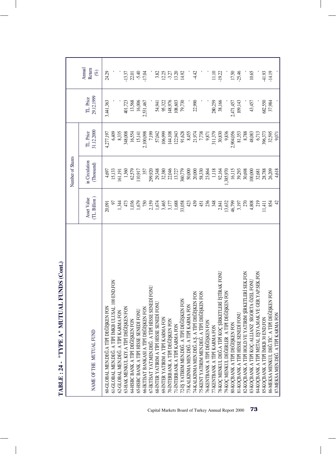|                                                                                                                                 |                              | Number of Shares             |                         |                              |                                                                |
|---------------------------------------------------------------------------------------------------------------------------------|------------------------------|------------------------------|-------------------------|------------------------------|----------------------------------------------------------------|
| NAME OF THE MUTUAL FUND                                                                                                         | (TL. Billion)<br>Asset Value | in Circulation<br>(Thousand) | 31.12.2000<br>TL. Price | 29.12.1999<br>TL. Price      | Annual<br>Return<br>$(\%)$                                     |
| 60-GLOBAL MEN.DEĞ.A TİPİ DEĞİŞKEN FON                                                                                           | 20,091                       | 4,697                        | 4,277,197               | 3,441,363                    | 24.29                                                          |
| 61-GLOBAL MEN.DEĞ. A TİPİ İMKB ULUSAL 100 END.FON                                                                               | 5                            | 15,133                       | 6,409                   |                              |                                                                |
| 62-GLOBAL MEN.DEĞ. A TİPİ KARMA FON                                                                                             | 1,344                        | 161,191                      | 8,335                   |                              |                                                                |
| 63-HAK MENKUL KIY A TİPİ DEĞİŞKEN FON                                                                                           | 473                          | 1,360                        | 348,008                 | 401,723                      |                                                                |
| 64-HSBC BANK A TİPİ DEĞİŞKEN FON                                                                                                | 1,036                        | 62,579                       | 16,554                  | 13,568                       | $13.37$<br>$22.01$<br>$-5.40$<br>$-17.04$                      |
| 65-HSBC BANK A TİPİ HİSSE SENEDİ FONU                                                                                           | 1,679                        | 110,917                      | 15,141                  | 16,006                       |                                                                |
| 66-İKTİSAT BANKASI A TİPİ DEĞİŞKEN FON                                                                                          | 750                          | 357                          | 2,100,098               | 2,531,467                    |                                                                |
| 67-İKTİSAT YAT.MEN.DEĞ. A TİPİ HİSSE SENEDİ FONU                                                                                |                              | 299,920                      | 7,199                   |                              |                                                                |
| 68-İNTER YATIRIM A TİPİ HİSSE SENEDİ FONU                                                                                       | 2,159<br>1,674               | 29,348                       | 57,042                  | 54,941                       |                                                                |
| 69-İNTER YATIRIM A TİPİ KARMA FON                                                                                               | 3,465                        | 32,380                       | 106,999                 |                              |                                                                |
| 70-İNTERBANK A TİPİ DEĞİŞKEN FON                                                                                                | 3,177                        | 22,046                       | 144,108                 |                              |                                                                |
| 71-İNTERBANK A TİPİ KARMA FON                                                                                                   | 1,688                        | 13,727                       | 122,943                 | 95,322<br>148,976<br>108,603 | $\begin{array}{c} 3.82 \\ 12.77 \\ 13.79 \\ 14.92 \end{array}$ |
| 72-İŞ YATIRIM MEN DEĞ. A TİPİ DEĞIŞKEN FON<br>73-KALKINMA MEN DEĞ. A TİPİ KARMA FON<br>72-İŞ YATIRIM MEN DEĞ. A TİPİ DEĞİŞKEN 1 | 33,058                       | 360,779                      | 91,628                  | 79,730                       |                                                                |
|                                                                                                                                 | 423                          | 50,000                       | 8,455                   |                              |                                                                |
| 74-KALKINMA MEN.DEĞ.A.Ş. A TİPİ DEĞİŞKEN FON                                                                                    | 439                          | 20,000                       |                         | 22,990                       | $-4.42$                                                        |
| 75-KENT YATIRIM MEN.DEĞ. A TİPİ DEĞİŞKEN FON                                                                                    | 451                          | 58,330<br>23,864             | 21,974<br>7,738         |                              |                                                                |
| 76-KENTBANK A TİPİ DEĞİŞKEN FON                                                                                                 | 236                          |                              | 9,871                   |                              |                                                                |
| 77-KENTBANK A TİPİ KARMA FON                                                                                                    | 348                          | 1,118                        | 311,379                 | 280,259                      | 11.10                                                          |
| 78-KOÇ MENKUL DEĞ.A TİPİ KOÇ ŞİRKETLERİ İŞTİRAK FONU                                                                            | 2,841                        | 92,164                       | 30,830                  | 38,166                       | $-19.22$                                                       |
| 79-KOÇ MENKUL DEĞERLER A TİPİ DEĞİŞKEN FON                                                                                      | 13,632                       | ,385,970                     | 9,836                   |                              |                                                                |
| 80-KOCBANK A TİPİ DEĞİŞKEN FON                                                                                                  | 46,799                       | 16,115                       | 2,904,056               | 2,471,457                    |                                                                |
| 81-KOÇBANK A TİPİ HİSSE SENEDİ FONU                                                                                             | 3,197                        | 39,293                       | 81,353                  | 109,143                      | 17.50                                                          |
| 82-KOÇBANK A TİPİ HOLD.VE YATIRIM ŞİRKETLERİ SEK.FON                                                                            | 270                          | 30,698                       | 8,788                   |                              |                                                                |
| 83-KOÇBANK A TİPİ KOÇ-ALLIANZ SİGORTA ÖZEL FONU                                                                                 | 4,808                        | 100,000                      | 48,083                  | 43,457                       | 10.65                                                          |
| 84-KOÇBANK A TİPİ METAL EŞYA,MAK.VE GER.YAP.SEK.FON                                                                             | 219                          | 32,681                       | 6,713                   |                              |                                                                |
| 85-KOÇBANK A TİPİ İMKB 30 END.FON                                                                                               | 11,411                       | 28,788                       | 396,373                 | 682,550                      | -41.93                                                         |
| 86-MEKSA MENKUL DEĞ.TİC. A TİPİ DEĞİŞKEN FON                                                                                    | 854                          | 26,209                       | 32,595<br>9,071         | 37,984                       | $-14.19$                                                       |
| 87-MEKSA MEN DEĞ. A TİPİ KARMA FON                                                                                              | $\ddot{c}$                   | 4,618                        |                         |                              |                                                                |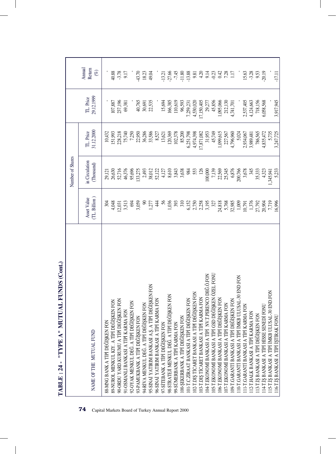|                                                                               |                         | Number of Shares |            |                        |                                             |
|-------------------------------------------------------------------------------|-------------------------|------------------|------------|------------------------|---------------------------------------------|
| 74                                                                            | Asset Value             | in Circulation   | TL. Price  | TL. Price              | Annual<br>Return                            |
| NAME OF THE MUTUAL FUND<br>Capital Markets Board of Turkey Annual Report 2000 | (TL. Billion)           | (Thousand)       | 31.12.2000 | 29.12.1999             | $(\%)$                                      |
| 88-MNG BANK A TİPİ DEĞİSKEN FON                                               | 304                     | 29,121           | 10,432     |                        |                                             |
| 89-NUROL MENKUL KIY. A TİPİ DEĞİŞKEN FON                                      | 4,048                   | 26,630           | 151,993    | 107,887                | 40.88                                       |
| FON<br>90-ORDU YARD KURUMU A TİPİ DEĞİSKEN                                    | 12,031                  | 52,716           | 228,218    | 237,196                | $-3.78$<br>9.17                             |
| 91-OSMANLI BANKASI A TİPİ KARMA FON                                           | 3,513                   | 46,376           | 75,740     | 69,381                 |                                             |
| 92-OYAK MENKUL DEĞ. A TİPİ DEĞİŞKEN FON                                       | 694                     | 95,696           | 7,250      |                        |                                             |
| 93-PAMUKBANK A TİPİ DEĞİSKEN FON                                              | 3,059                   | 133,275          | 22,950     | 40,765                 | $-43.70$                                    |
| 94-RİVA MENKUL DEĞ. A TİPİ DEĞİŞKEN FON                                       | $\infty$                | 2,493            | 36,286     | 30,691                 | $18.23$<br>49.04                            |
| 95-SINAÍ YATIRIM BANKASI A.Ş. A TÍPÍ DEĞİŞKEN FON                             | 1,277                   | 38,012           | 33,586     | 22,535                 |                                             |
| FON<br>96-SINAI YATIRIM BANKASI A TIPI KARMA                                  | $\ddot{4}$              | 52,122           | 8,527      |                        |                                             |
| 97-SITEBANK A TIPI DEGISKEN FON                                               | 56                      |                  | 13,621     | 15,694                 |                                             |
| 98-STRATEJÍ MENKUL DEĞ. A TİPİ DEĞİŞKEN FON                                   | 1,036                   | $4,127$<br>8,610 | 120,369    | 166,385                |                                             |
| 99-SÜMERBANK A TİPİ KARMA FON                                                 | 393                     | 3,843<br>3,638   | 102,378    | 110,619                | $-13.21$<br>$-27.66$<br>$-7.45$<br>$-11.80$ |
| 100-ŞEKERBANK A TİPİ DEĞIŞKEN FON                                             | 310                     |                  | 85,200     | 96,593                 |                                             |
| FON<br>101-T.C.ZİRAAT BANKASI A TİPİ DEĞİŞKEN                                 | 6,152                   | 984              | 6,251,798  | 7,259,231              | $-13.88$                                    |
| 102-T.DIS TÌCARET BANKASI A TÌPÌ DEĞİŞKEN FON                                 | 2,750<br>2,258<br>3,195 | 553              | 4,974,398  | 4,530,020              | 9.81                                        |
| 103-T.DIŞ TİCARET BANKASI A TİPİ KARMA FON                                    |                         | 126              | 17,871,082 | 17,150,405             |                                             |
| 104-T.EKONOMÍ BANKASI A TÍPÍ NV.T.PERENCO DEĞÖ.FON                            |                         | 100,000          | 31,953     | 29,277<br>45,856       | $4.20$<br>$9.14$<br>$9.23$                  |
| 105-T.EKONOMÍ BANKASI A TÍPÍ GSD DEĞİŞKEN ÖZEL FONU                           | 327                     | 7,139            | 45,749     |                        |                                             |
| FON <sub></sub><br>106-T.EKONOMÍ BANKASI A TÍPÍ DEĞİŞKEN                      | 24,818                  | 22,569           | 1,099,615  | 1,095,066              |                                             |
| 107-T.EKONOMİ BANKASI A TİPİ KARMA FON                                        | 5,768                   | 25,345           | 227,567    | 212,130                | $0.42$<br>7.28<br>1.17                      |
| 109-T.GARANTİ BANKASI A TİPİ DEĞİŞKEN FON                                     | 32,985                  | 6,876            | 1,796,960  | 4,741,701              |                                             |
| 110-T.GARANTI BANKASI A TIPI IMKB ULUSAL-30 END.FON                           | 1,009                   | 200,766          | 5,024      |                        |                                             |
| $\mathbb{Z}$<br>11-T.GARANTI BANKASI A TIPI KARMA FO                          | 10,791                  | 3,678            | 2,934,067  | 2,537,405<br>4,124,663 | $15.63$<br>$-3.28$<br>$-9.53$<br>$-3.019$   |
| 112-T.HALK BANKASI A TİPİ KARMA FON                                           |                         | 345              | 3,989,481  |                        |                                             |
| 113-T.İŞ BANKASI A TİPİ DEĞİŞKEN FON                                          | $1,376$<br>27,792       | 35,333           | 786,565    | 718,156                |                                             |
| 114-T.İŞ BANKASI A TİPİ HİSSE SENEDİ FON                                      | 20,904                  | 4,323            | 4,835,472  | 6,058,568              |                                             |
| 115-T.İŞ BANKASI A TİPİ İMKB ULUSAL-30 END.FON                                | 7,719                   | 1,345,941        | 5,735      |                        |                                             |
| 116-T.İŞ BANKASI A TİPİ İŞTİRAK FONU                                          | 16,996                  | 5,233            | 3,247,725  | 3,917,945              | -17.11                                      |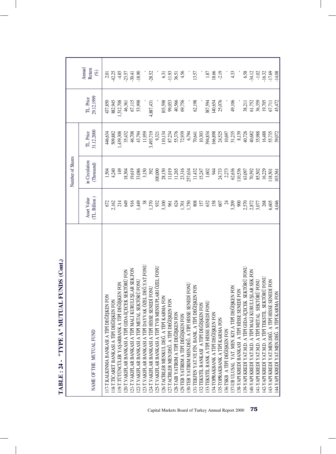|                                                         |                              | Number of Shares             |                         |                         |                              |
|---------------------------------------------------------|------------------------------|------------------------------|-------------------------|-------------------------|------------------------------|
| NAME OF THE MUTUAL FUND                                 | (TL. Billion)<br>Asset Value | in Circulation<br>(Thousand) | 31.12.2000<br>TL. Price | 29.12.1999<br>TL. Price | Annual<br>Return<br>$(\%)$   |
| 117-T.KALKINMA BANKASI A TİPİ DEĞİŞKEN FON              | 672                          | 1,504                        | 446,634                 | 437,850                 | 2.01                         |
| 118-T.TİCARET BANKASI A TİPİ DEĞİSKEN FON               | 2,162                        | 4,240                        | 509,882                 | 882,945                 |                              |
| 119-T.TÜTÜNCÜLER YAŞARBANK A TİPİ DEĞİŞKEN FON          | 214                          | $\frac{4}{9}$                | 1,439,308               | 1,512,708               | $42.25$<br>$4.85$<br>$73.57$ |
| 120-T.VAKIFLAR BANKASI A TİPİ GIDA-İÇECEK SEKTÖRÜ FON   | 649                          | 18,304                       | 35,432                  | 46,361                  |                              |
| 21-T.VAKIFLAR BANKASI A TİPİ MALİ KURULUŞLAR SEK.FON    | 916                          | 19,619                       | 46,708                  | 67,115                  | $-30.41$                     |
| 122-T.VAKIFLAR BANKASI A TİPİ METAL SEKTÖRÜ FONU        | 49                           | 33,086                       | 43,794                  | 53,998                  | $-18.90$                     |
| 123-T.VAKIFLAR BANKASI A TİPİ DAYVAK ÖZEL DEĞ.YAT.FONU  | 38                           | 3,150                        | 11,959                  |                         |                              |
| 124-T.VAKIFLAR BANKASI A TİPİ HİSSE SENEDİ FONU         | 570                          | 392                          | 3,493,719               | 4,887,431               | $-28.52$                     |
| 25-T.VAKIFLAR BANKASI A TİPİ TVB MENSUPLARI ÖZEL FONU   | 932                          | 100,000                      | 9,321                   |                         |                              |
| 26-TACÍRLER MENKUL DEĞ. A TİPİ KARMA FON                | 3,100                        | 28,150                       | 110,134                 | 103,598                 | 63                           |
| FОN<br>127-TACÍRLER MEN.DEĞ. A TİPİ DEĞİŞKEN            | 961                          | 11,019                       | 87,234                  | 99,053                  | $-11.93$                     |
| 128-TAIB YATIRIM A TİPİ DEĞIŞKEN FON                    | 624                          | 11,265                       | 55,376                  | 40,566                  | 36.51                        |
| 29-TEB YATIRIM A TİPİ DEĞİŞKEN FON                      | <b>101</b>                   | 23,316                       | 72,939                  | 69,756                  | 4.56                         |
| 130-TEB YATIRIM MEN DEĞ. A TİPİ HİSSE SENEDİ FONU       | .750                         | 257,634                      | 6,794                   |                         |                              |
| 31-TEKFEN YAT.VE FİN. BANK. A TİPİ DEĞİŞKEN FON         | 808                          | 11,432                       | 70,641                  | 62,198                  | 13.57                        |
| 132-TEKSTİL BANKASI A TİPİ DEĞİŞKEN FON                 | 157                          | 15,247                       | 10,303                  |                         |                              |
| 133-TEKSTİL BANK A TİPİ HİSSE SENEDİ FONU               | 632                          | 1,602                        | 394,834                 | 387,594                 | 1.87                         |
| 134-TOPRAKBANK A TİPİ DEĞIŞKEN FON                      | 158                          | 944                          | 166,898                 | 140,654                 | 18.66                        |
| 135-TOPRAKBANK A TİPİ KARMA FON                         | $\mathcal{S}$                | 24,733                       | 24,525                  | 25,076                  | $-2.19$                      |
| 136-TSKB A TİPİ DEĞİŞKEN FON                            | $\mathcal{Z}$                | 2,273                        | 10,697                  |                         |                              |
| 137-UB ULUSAL YAT. MEN. KIYA TİPİ DEĞIŞKEN FON          | 3,209                        | 62,636                       | 51,235                  | 49,106                  | 4.33                         |
| 138-YAPI KREDI BANKASI A TİPİ HİSSE SENEDİ FON          | 900                          | 110,536                      | 8,139                   |                         |                              |
| 139-YAPI KREDİ YAT.M.D. A TİPİ GIDA-İÇECEK SEKTÖRÜ FONU | 2,570                        | 63,097                       | 40,726                  | 38,211                  | 6.58                         |
| 140-YAPI KREDİ YATMD. A TİPİ MALİ KURULUŞLAR SEK.FON    |                              | 70,592                       | 40,682                  | 61,752                  | $-34.12$                     |
| 141-YAPI KREDİ YAT.M.D. A TİPİ METAL SEKTÖRÜ FONU       | 2,872<br>3,077               | 85,502                       | 35,988                  | 36,359                  | $-1.02$                      |
| 142-YAPI KREDİ YAT.M.D. A TİPİ TEKSTİL SEKTÖRÜ FONU     | 268                          | 16,229                       | 16,488                  | 19,705                  | $-16.32$                     |
| 143-YAPI KREDİ YAT.MEN.DEĞ. A TİPİ HİSSE SENEDİ FON     | 6,605                        | 118,501                      | 55,735                  | 67,711<br>45,472        | $-17.69$<br>$-14.08$         |
| 144-YAPI KREDİ YAT.MEN.DEĞ. A TİPİ KARMA FON            | 4,046                        | 103,561                      | 39,072                  |                         |                              |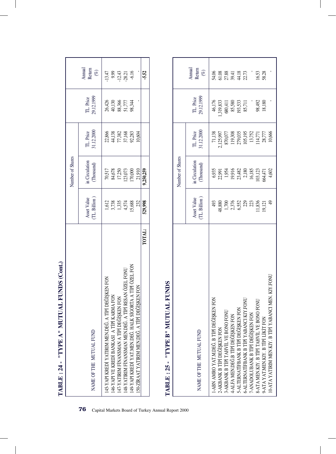| 29.12.1999<br>TL. Price<br>26,426<br>40,130<br>88,366<br>87,777<br>51,777<br>98,344<br>1.12.2000<br>TL. Price<br>22,866<br>44,138<br>57,168<br>57,168<br>92,283<br>10,604<br>in Circulation<br>(Thousand)<br>70,517<br>84,678<br>17,250<br>170,000<br>170,000<br>9,250,259<br>Asset Value<br>TL. Billion<br>529,998<br>$1,612$<br>$3,735$<br>$1,335$<br>$4,574$<br>$15,688$<br>$232$<br>TOTAL:<br>148-YATIRIM FİNANSMAN MENDEĞ. A TİPİ RESAN ÖZEL FONU<br>149-YAPI KREDİ YAT.MENDEĞ. HALK SİGORTA A TİPİ ÖZEL FON<br><b>EĞİŞKEN FON</b><br>50-ZİRAAT YATIRIM MEN.DEĞ. A TİPİ DEĞİŞKEN FON<br><b>FON</b><br>145-YAPI KREDİ YATIRIM MEN DEĞ. A TİPİ DI<br>146-YAPI VE KREDÎ BANKASI A TÎPÎ KARMA<br>147-YATIRIM FİNANSMAN A TİPİ DEĞİSKEN İ<br>NAME OF THE MUTUAL FUND | $13.47$<br>$9.93$<br>$12.43$<br>$-12.8$<br>$-6.16$<br>5.52 |  | Number of Shares |  |                            |
|----------------------------------------------------------------------------------------------------------------------------------------------------------------------------------------------------------------------------------------------------------------------------------------------------------------------------------------------------------------------------------------------------------------------------------------------------------------------------------------------------------------------------------------------------------------------------------------------------------------------------------------------------------------------------------------------------------------------------------------------------------------------|------------------------------------------------------------|--|------------------|--|----------------------------|
|                                                                                                                                                                                                                                                                                                                                                                                                                                                                                                                                                                                                                                                                                                                                                                      |                                                            |  |                  |  | Annual<br>Return<br>$(\%)$ |
|                                                                                                                                                                                                                                                                                                                                                                                                                                                                                                                                                                                                                                                                                                                                                                      |                                                            |  |                  |  |                            |
|                                                                                                                                                                                                                                                                                                                                                                                                                                                                                                                                                                                                                                                                                                                                                                      |                                                            |  |                  |  |                            |
|                                                                                                                                                                                                                                                                                                                                                                                                                                                                                                                                                                                                                                                                                                                                                                      |                                                            |  |                  |  |                            |
|                                                                                                                                                                                                                                                                                                                                                                                                                                                                                                                                                                                                                                                                                                                                                                      |                                                            |  |                  |  |                            |
|                                                                                                                                                                                                                                                                                                                                                                                                                                                                                                                                                                                                                                                                                                                                                                      |                                                            |  |                  |  |                            |
|                                                                                                                                                                                                                                                                                                                                                                                                                                                                                                                                                                                                                                                                                                                                                                      |                                                            |  |                  |  |                            |
|                                                                                                                                                                                                                                                                                                                                                                                                                                                                                                                                                                                                                                                                                                                                                                      |                                                            |  |                  |  |                            |
| <b>FUNDS</b><br>TABLE: 25 - "TYPE B" MUTUAI                                                                                                                                                                                                                                                                                                                                                                                                                                                                                                                                                                                                                                                                                                                          |                                                            |  | Number of Shares |  |                            |
|                                                                                                                                                                                                                                                                                                                                                                                                                                                                                                                                                                                                                                                                                                                                                                      |                                                            |  |                  |  |                            |

# **TABLE : 25 - "TYPE B" MUTUAL FUNDS**

|                  | $\begin{array}{c} \mbox{hmul} \\ \mbox{Return} \\ (\%) \end{array}$ |                                              |                              |                                     |                                    |                                      |                                                                   |                                   |                                           | 54.06<br>51.08 38.41.18<br>52.73<br>52.73<br>16.53<br>16.53                                     |                                                         |
|------------------|---------------------------------------------------------------------|----------------------------------------------|------------------------------|-------------------------------------|------------------------------------|--------------------------------------|-------------------------------------------------------------------|-----------------------------------|-------------------------------------------|-------------------------------------------------------------------------------------------------|---------------------------------------------------------|
|                  | TL. Price<br>29.12.1999                                             |                                              |                              |                                     |                                    |                                      | 46,176<br>319,833<br>680,411<br>680,411<br>85,711<br>8,492<br>881 |                                   |                                           |                                                                                                 |                                                         |
|                  | TL. Price<br>11.12.2000                                             |                                              |                              |                                     |                                    |                                      |                                                                   |                                   |                                           | 71,138<br>1957,0077<br>870,077<br>114,771<br>114,772<br>114,771<br>114,771<br>114,771           |                                                         |
| Number of Shares | n Circulation<br>Thousand)                                          |                                              |                              |                                     |                                    |                                      |                                                                   |                                   |                                           | 6,935<br>22,991<br>1,954<br>1,916<br>1,916<br>1,912<br>3,482<br>1,012<br>1,02<br>1,602<br>1,603 |                                                         |
|                  | Asset Value $(TL, Billion)$                                         |                                              |                              |                                     |                                    |                                      |                                                                   |                                   |                                           | 493<br>8.880<br>1.70 6.552<br>6.552<br>2.836<br>1.836<br>1.9                                    |                                                         |
|                  | NAME OF THE MUTUAL FUND                                             | ЕŎЯ<br>1-ABN AMRO YAT.M.DEĞ. B TİPİ DEĞİSKEN | 2-AKBANK B TİPİ DEĞİŞKEN FON | 3-AKBANK B TIPI TAHVIL VE BONO FONU | 4-ALFA MEN DEĞ B TİPİ DEĞIŞKEN FON | 5-ALTERNATIFBANK B TIPI DEĞIŞKEN FON | 6-ALTERNATIFBANK B TIPI YABANCI KIY FON                           | 7-ANADOLUBANK B TİPİ DEĞİŞKEN FON | 8-ATA MEN KIY. B TİPİ TAHVİL VE BONO FONU | 9-ATA YAT.MEN.KIY. B TİPİ LİKİT FON                                                             | MEN. KIY FONI<br>10-ATA YATIRIM MEN.KIY. B TİPİ YABANCI |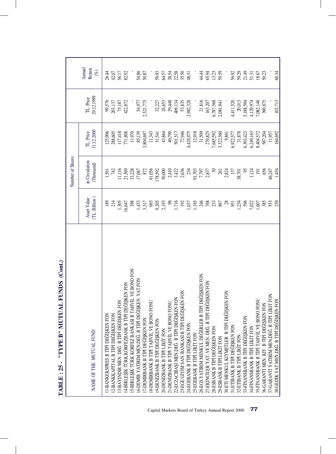|                                                                                      |                              | Number of Shares             |                         |                         |                            |
|--------------------------------------------------------------------------------------|------------------------------|------------------------------|-------------------------|-------------------------|----------------------------|
| NAME OF THE MUTUAL FUND                                                              | (TL. Billion)<br>Asset Value | in Circulation<br>(Thousand) | 31.12.2000<br>TL. Price | 29.12.1999<br>TL. Price | Annual<br>Return<br>$(\%)$ |
| 11-BANKEKSPRES B TİPİ DEĞİŞKEN FON                                                   | 189                          | 1,501                        | 125,906                 | 99,576                  | 26.44                      |
| 2-BANKKAPİTAL B TİPİ DEĞİSKEN FON                                                    | 214                          | 742                          | 288,605                 | 203,137                 |                            |
| 3-BAYINDIR MEN. DEĞ. B TİPİ DEĞIŞKEN FON                                             | 1,305                        | 11,116                       | 117,418                 |                         | 42.07<br>56.17<br>82.52    |
| 14-BİRLEŞİK TÜRK.KÖRFEZBANK B TİPİ DEĞİŞKEN FON                                      | 16,647                       | 21,569                       | 771,808                 | 75,187<br>422,872       |                            |
| 5-BİRLEŞİK TÜRK KÖRFEZ BANKASI B TAHVİL VE BONO FON                                  | 398                          | 33,228                       | 11,970                  |                         |                            |
| 16-DEMİR YATIRIM MEN DEĞ. B TİPİ DEĞIŞKEN YAT FON                                    | 1,453                        | 17,067                       | 85,139                  | 54,977                  | 54.86                      |
| 17-DEMİRBANK B TİPİ DEĞİŞKEN FON                                                     | 3,317                        | 872                          | 3,804,697               | 2,521,775               | 50.87                      |
| I8-DEMİRBANK B TİPİ TAHVİL VE BONO FONU                                              | 693                          | 61,056                       | 11,343                  |                         |                            |
| 9-DENIZBANK B TİPİ DEĞİSKEN FON                                                      | 9,205                        | 178,592                      | 51,541                  | 32,227                  | 59.93                      |
| 20-DENİZBANK B TİPİ LİKİT FON                                                        | 2,193                        | 50,000                       | 43,864                  | 26,653                  | 64.57                      |
| 21-DENİZBANK B TİPİ TAHVİL VE BONO FONU                                              | $\frac{8}{3}$                | 2,410                        | 40,799                  | 29,448                  | 38.54                      |
| 22-ECZACIBAŞI MEN.DEĞ. B TİPİ DEĞİŞKEN FON                                           | 1,716                        |                              | 501,517                 | 409,134                 | 22.58                      |
| EN FON<br>23-EGE GİYİM SAN. BANKASI B TİPİ DEĞIŞK                                    | $\overline{5}$               | 3,422<br>2,636               | 72,946                  | 53,835                  | 35.50                      |
| 24-EGEBANK B TİPİ DEĞİŞKEN FON                                                       | 1,037                        | 234                          | 4,428,975               | 2,982,328               | 48.51                      |
| 25-EGEBANK B TİPİ LİKİT FON                                                          | 381                          |                              | 12,918                  |                         |                            |
| DEĞİSKEN FON<br>26-EGS YATIRIM MENKUL DEĞERLER B TİPİ                                | 246                          | 91,703<br>7,797<br>2,837     | 31,509                  | 21,816                  | 44.44                      |
| <b>GISKEN FON</b><br>27-EKİNCİLER YAT. VE MEN. DEĞ. B TİPİ DE                        | 768                          |                              | 270,825                 | 163,207                 | 65.94<br>13.23<br>59.59    |
| 28-ESBANK B TİPİ DEĞİŞKEN FON                                                        |                              | $\approx$                    | 7,685,592               | 6,787,568               |                            |
| 29-ESBANK B TİPİ LİKİT FON                                                           | 23<br>867                    | 261                          | 3,322,560               | 2,081,941               |                            |
| 30-ETİ MENKUL KIYMETLER B TİPİ DEĞIŞKEN FON                                          | $\infty$                     | 2,824                        | 9,861                   |                         |                            |
| 31-ETİBANK B TİPİ DEĞİŞKEN FON                                                       | 951                          | 137                          | 6,922,577               | 4,411,520               |                            |
| 32-ETIBANK B TIPI LIKIT FON                                                          | 234                          | 38,701                       | 31,878                  | 20,013                  |                            |
| 33-FİNANSBANK B TİPİ DEĞİŞKEN FON                                                    | 596                          | $\mathfrak{S}$               | 6,303,423               | 5,188,594               | 56.92<br>59.29<br>21.49    |
| 34-FİNANSBANK B TİPİ LİKİT FON                                                       | 7,022                        | 1,124                        | 6,249,163               | 4,129,974               | 51.31                      |
| 35-FİNANSBANK B TİPİ TAHVİL VE BONO FONU<br>36-GARANTİ MEN. KIY. B TİPİ DEĞİŞKEN FON | 1,607                        | $\overline{191}$             | 8,404,572               | 7,082,146               | 18.67<br>50.23             |
|                                                                                      |                              | 656                          | 587,204                 | 390,875                 |                            |
| 37-GARANTI YATIRIM MEN.DEĞ. B TİPİ LİKİT FON                                         | 86 58                        | 46,247                       | 11,957                  |                         |                            |
| FON<br>38-GEDİK YAT.MEN.DEĞ. B TİPİ DEĞİŞKEN I                                       |                              | 1,454                        | 164,692                 | 102,713                 | 60.34                      |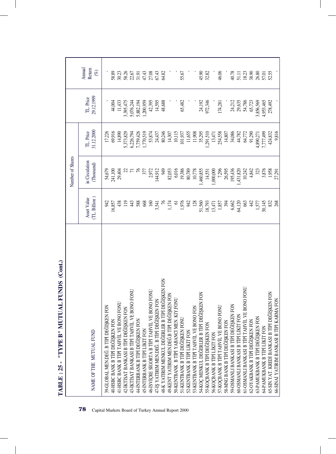| <b>INO FONU</b><br>60-OSMANLI BANKASI B TİPİ LİKİT FON |
|--------------------------------------------------------|
| 61-OSMANLI BANKASI B TİPİ TAHVİL VE BO                 |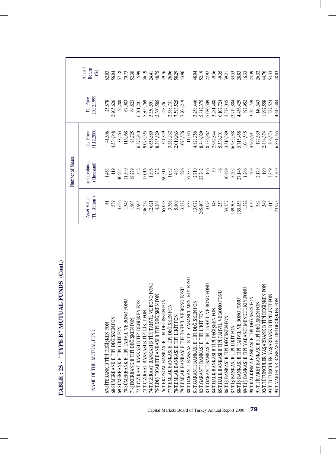|                                                                                                                                                                                                                              |                              | Number of Shares             |                         |                         |                                  |
|------------------------------------------------------------------------------------------------------------------------------------------------------------------------------------------------------------------------------|------------------------------|------------------------------|-------------------------|-------------------------|----------------------------------|
| NAME OF THE MUTUAL FUND                                                                                                                                                                                                      | Asset Value<br>(TL. Billion) | in Circulation<br>(Thousand) | 31.12.2000<br>IL. Price | 29.12.1999<br>TL. Price | Annual<br>Return<br>$(\%)$       |
| 67-SİTEBANK B TİPİ DEĞİŞKEN FON                                                                                                                                                                                              |                              | 1,463                        | 41,606                  | 25,678                  | 62.03                            |
| 68-SÜMERBANK B TİPİ DEĞİŞKEN FON                                                                                                                                                                                             | 539                          | 119                          | 4,534,048               | 2,905,626               | 56.04                            |
| 69-SÜMERBANK B TİPİ LİKİT FON                                                                                                                                                                                                | 3,626                        | 40,994                       | 88,463                  |                         |                                  |
| 70-SÜMERBANK B TİPİ TAHVİL VE BONO FONU                                                                                                                                                                                      | 1,345                        | 11,590                       | 116,068                 | 56,280<br>67,983        | 57.18<br>70.73<br>52.30<br>56.19 |
| 71-ŞEKERBANK B TİPİ DEĞİŞKEN FON                                                                                                                                                                                             | 1,903                        | 19,279                       | 98,725                  | 64,823                  |                                  |
| 72-T.C.ZİRAAT BANKASI B TİPİ DEĞİŞKEN FON                                                                                                                                                                                    | 2,905                        | $\frac{4}{3}$                | 6,572,910               | 6,201,201               |                                  |
| 73-T.C.ZİRAAT BANKASI B TİPİ LİKİT FON                                                                                                                                                                                       | 136,257                      | 15,016                       | 9,073,995               | 5,809,769               |                                  |
| 74-T.C.ZİRAAT BANKASI B TİPİ TAHVİL VE BONO FONU                                                                                                                                                                             | 12,621                       | 1,896                        | 6,656,889               | 5,350,591               |                                  |
| 15-T DIŞ TİCARET BANKASI B TİPİ DEĞİŞKEN FON                                                                                                                                                                                 | 4,268                        | 232                          | 8,385,829               | 12,360,585              | 24.41<br>48.75<br>49.76<br>26.06 |
|                                                                                                                                                                                                                              | 65,058                       | 190,311                      | 341,849                 | 228,261                 |                                  |
| יסיי, באראשיער ואראפאנגן איז אייער אייבער אייבער אייבער אייבער אייבער אייבער אייבער אייבער אייבער אייבער אייבער אייבער אייבער אייבער אייבער אייבער אייבער אייבער אייבער אייבער אייבער אייבער אייבער אייבער אייבער אייבער איי | 3,368                        | 1,032                        | 3,263,232               | 2,588,731               |                                  |
| 78-T.EMLAK BANKASI B TİPİ LİKİT FON                                                                                                                                                                                          | 5,809                        | 483                          | 12,019,963              | 7,593,525               | 58.29                            |
| 79-T.EMLAK BANKASI B TİPİ TAHVİL VE BONO FONU                                                                                                                                                                                | 3,287                        | 296                          | 11,093,576              | 7,706,219               | 43.96                            |
| 80-T.GARANTİ BANKASI B TİPİ YABANCI MEN. KIY.FONU                                                                                                                                                                            | 633                          | 57,335                       | 11,035                  |                         |                                  |
| 81-T.GARANTİ BANKASI B TİPİ DEĞİŞKEN FON                                                                                                                                                                                     | 13,072                       | 2,710                        | 4,823,756               | 3,258,446               | 48.04                            |
| 82-T GARANTI BANKASI B TİPİ LİKİT FON                                                                                                                                                                                        | 245,403                      | 27,742                       | 8,846,029               | 5,812,375               |                                  |
| <b>BONO FONU</b><br>83-T.GARANTI BANKASI B TİPİ TAHVİL VE                                                                                                                                                                    | 3,073                        | 166                          | 18,536,962              | 15,080,509              | 52.19<br>22.92                   |
| 84-T.HALK BANKASI B TİPİ DEĞİŞKEN FON                                                                                                                                                                                        | $\frac{148}{5}$              | $\mathcal{S}$                | 2,967,844               | 3,281,488               | $-9.56$                          |
| <b>VO FONU</b><br>85-T.HALK BANKASI B TİPİ TAHVİL VE BON                                                                                                                                                                     | 253                          | $\frac{4}{5}$                | 5,536,701               | 6,107,724               |                                  |
| 86-T.İŞ BANKASI B TİPİ DEĞİŞKEN FON                                                                                                                                                                                          | 34,757                       | 10,499                       | 3,310,389               | 2,378,045               |                                  |
| 87-T.İŞ BANKASI B TİPİ LİKİT FON                                                                                                                                                                                             | 139,303                      | 8,202                        | 6,985,038               | 12,719,884              |                                  |
| 88-T.İŞ BANKASI B TİPİ TAHVİL VE BONO FONU                                                                                                                                                                                   | 155,153                      | 27,146                       | 5,715,458               | 4,436,429               | 9.35<br>39.21<br>33.53<br>28.83  |
| 89-T.İŞ BANKASI B TİPİ YABANCI MENKUL KIY.FONU                                                                                                                                                                               | 1,322                        | 1,266                        | 1,044,545               | 897,952                 | 16.33                            |
| 90-T.KALKINMA BANKASI B TİPİ DEĞİŞKEN FON                                                                                                                                                                                    | 1,039                        | 209                          | 4,966,691               | 3,992,749               | 24.39                            |
| 91-T.TİCARET BANKASI B TİPİ DEĞİSKEN FON                                                                                                                                                                                     | 387                          | 2,179                        | 177,539                 | 140,543                 |                                  |
| 92-T.TÜTÜNCÜLER YAŞARBANK B TİPİ DEĞIŞKEN FON                                                                                                                                                                                | 549                          | $\overline{5}$               | 2,884,374               | 1,992,558               |                                  |
| 93-T.TÜTÜNCÜLER YAŞARBANK B TİPİ LİKİT FON                                                                                                                                                                                   | 1,415                        | 3,859                        | 366,573                 | 237,524                 | 26.32<br>44.76<br>48.03          |
| <b>FON</b><br>94-T.VAKIFLAR BANKASI B TİPİ DEĞİŞKEN                                                                                                                                                                          | 23,973                       | 3,509                        | 6,831,955               | 4,615,384               |                                  |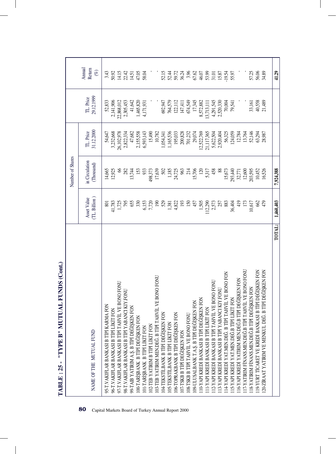|                                                                                     |        |                              | Number of Shares             |                         |                            |                            |
|-------------------------------------------------------------------------------------|--------|------------------------------|------------------------------|-------------------------|----------------------------|----------------------------|
| NAME OF THE MUTUAL FUND<br>80<br>Capital Markets Board of Turkey Annual Report 2000 |        | (TL. Billion)<br>Asset Value | in Circulation<br>(Thousand) | 31.12.2000<br>TL. Price | 29.12.1999<br>TL. Price    | Annual<br>Return<br>$(\%)$ |
| 95-T.VAKIFLAR BANKASI B TİPİ KARMA FOI                                              |        | $\overline{80}$              | 14,665                       | 54,647                  | 52,833                     | 3.43                       |
| 96-T.VAKIFLAR BANKASI B TIPI LIKIT FON                                              |        | 41,783                       | 12,925                       | 3,232,668               | 2,141,906                  | 50.92                      |
| 97-T.VAKIFLAR BANKASI B TİPİ TAHVİL VE BONO FONU                                    |        |                              | $\infty$                     | 26,102,978              | 22,868,012                 |                            |
| 98-T.VAKIFLAR BANKASI B TİPİ YABANCI KIY.FONU                                       |        | 1,725                        | 282                          | 2,822,334               | 2,305,453                  | 14.15<br>22.42             |
| 99-TAIB YATIRIM A.Ş. B TİPİ DEĞİŞKEN FON                                            |        | 65                           | 13,744                       | 47,682                  | 41,642                     |                            |
| 100-TARİŞBANK B TİPİ DEĞİŞKEN FON                                                   |        | 330                          | 153                          | 2,155,558               | 1,465,820                  | $14.51$<br>$47.05$         |
| 101-TARİŞBANK B TİPİ LİKİT FON                                                      |        | 6,153                        | 933                          | 6,593,143               | 4,171,931                  | 58.04                      |
| 102-TEB YATIRIM B TİPİ LİKİT FON                                                    |        | 7,720                        | 498,373                      | 15,490                  |                            |                            |
| VE BONO FONU<br>103-TEB YATIRIM MEN DEĞ. B TİPİ TAHVİL                              |        | $\Xi$                        | 17,639                       | 10,782                  |                            |                            |
| 04-TEKSTİLBANK B TİPİ DEĞİSKEN FON                                                  |        | 529                          | 502                          | 1,054,341               | 692,947                    | 52.15                      |
| 105-TEKSTİLBANK B TİPİ LİKİT FON                                                    |        | 381                          | 1,185                        | 1,165,536               | 764,579                    | 52.44                      |
| 106-TOPRAKBANK B TİPİ DEĞIŞKEN FON                                                  |        | 4,822                        | 24,725                       | 195,033                 | 122,112                    | 59.72                      |
| 107-TSKB B TİPİ DEĞİŞKEN FON                                                        |        | 193                          | 963                          | 200,828                 | 147,411                    | 36.24                      |
| 108-TSKB B TİPİ TAHVİL VE BONO FONU                                                 |        | $\overline{50}$              | 214                          | 701,232                 | 674,549                    | $3.96$<br>67.62            |
| 109-ULUSALBANK T.A.Ş. B TİPİ DEĞİŞKEN FON                                           |        | 457                          | 15,706                       | 29,074                  | 17,345                     |                            |
| FON<br>110-YAPI KREDİ BANKASI B TİPİ DEĞİSKEN                                       |        | 1,505                        | $\overline{20}$              | 12,522,769              | 8,572,882                  | 46.07                      |
| 111-YAPI KREDİ BANKASI B TİPİ LİKİT FON                                             |        | 112,290                      | 5,317                        | 21,117,365              | 13,713,11                  | 53.99                      |
| 112-YAPI KREDİ BANKASI B TİPİ TAHVİL VE BONO FONU                                   |        | 2,573                        | 458                          | 5,622,504               | 4,291,545                  | 31.01                      |
| 113-YAPI KREDİ BANKASI B TİPİ YABANCI KIY.FONU                                      |        | 257                          | 88                           | 2,920,404               | 2,520,330                  | 15.87                      |
| 14-YAPI KREDİ YAT.MEN.DEĞ. B TİPİ TAHVİL VE BONO FON                                |        | 883                          | 15,673                       | 56,325                  | 70,004                     | $-19.54$                   |
| FON<br>115-YAPI KREDİ YAT.MEN.DEĞ.B TİPİ LİKİT                                      |        | 36,404                       | 293,440                      | 124,059                 | 79,541                     | 55.97                      |
| 116-YAPI KREDİ YATIRIM MEN DEĞLB TİPİ DEĞİŞKEN FON                                  |        | 419                          | 32,771                       | 12,784                  |                            |                            |
| 17-YATIRIM FİNANS MEN DEĞB TİPİ TAHVİL VE BONO FONU                                 |        | 173                          | $12,600$                     | 13,764                  |                            |                            |
| 18-YATIRIM FİNANS MEN DEĞB TİPİ DEĞİŞKEN FON                                        |        | 10,617                       | 203,595                      | 52,146                  |                            | 57.25                      |
| IPI DEĞIŞKEN FON<br>19-YURT TİCARET VE KREDİ BANKASI B Tİ                           |        | 662                          | 10,452                       | 63,294                  | 33,161<br>40,558<br>21,489 | 56.06                      |
| PI DEĞİŞKEN FON<br>20-ZİRAAT YATIRIM VE MENKUL DEĞ. B Tİ                            |        | 479                          | 16,526                       | 28,987                  |                            | 34.89                      |
|                                                                                     | TOTAL: | 1,460,403                    | 7,924,388                    |                         |                            | 41.29                      |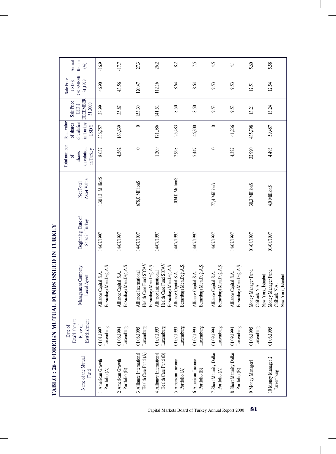| Annual<br>Return<br>$(\%)$<br><b>DECEMBER</b><br>Sale Price<br>31,1999<br>USD \$                                                                                                                                                                                                                                                                                                          |
|-------------------------------------------------------------------------------------------------------------------------------------------------------------------------------------------------------------------------------------------------------------------------------------------------------------------------------------------------------------------------------------------|
| <b>DECEMBER</b><br>Sale Price<br>31,2000<br>USD \$                                                                                                                                                                                                                                                                                                                                        |
| Total value<br>circulation<br>in Turkey<br>of shares<br>USD \$                                                                                                                                                                                                                                                                                                                            |
| Total number<br>circulation<br>in Turkey<br>shares<br>ð                                                                                                                                                                                                                                                                                                                                   |
| Asset Value<br>Net Total                                                                                                                                                                                                                                                                                                                                                                  |
| Beginning Date of<br>Sales in Turkey                                                                                                                                                                                                                                                                                                                                                      |
| Managament Company<br>Local Agent                                                                                                                                                                                                                                                                                                                                                         |
| Establishment<br>Establishment<br>Place of<br>Date of                                                                                                                                                                                                                                                                                                                                     |
| Name of the Mutual<br>Fund                                                                                                                                                                                                                                                                                                                                                                |
| $-16.9$<br>$-17.7$<br>43.56<br>46.90<br>38.99<br>35.87<br>163,639<br>336,757<br>4,562<br>8,637<br>1.301,2 Million\$<br>14/07/1997<br>14/07/1997<br>Eczacıbaşı Men Değ.A.Ş.<br>Eczacıbaşı Men Değ.A.Ş.<br>Alliance Capital S.A.<br>Alliance Capital S.A.<br>Luxemburg<br>Luxemburg<br>01.01.1997<br>01.06.1994<br>2 American Growth<br>1 American Growth<br>Portfolio (A)<br>Portfolio (B) |

TABLO: 26 - FOREIGN MUTUAL FUNDS ISSUED IN TURKEY **TABLO : 26 - FOREIGN MUTUAL FUNDS ISSUED IN TURKEY**

 $\mathbf{I}$ 

Capital Markets Board of Turkey Annual Report 2000 81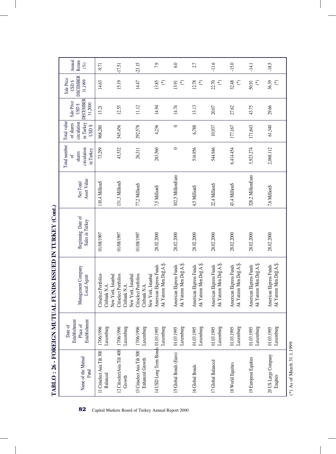|                                                          | Annual                   | Return<br>$(\%)$                       | $-9.71$                                 | $-17.51$                                                     | $-23.15$                                                     | 7.9                                                                    | 6.0                                               | 2.7                                               | $-11.6$                                           | $-15.0$                                           | $-14.1$                                           | $-18.5$                                           |
|----------------------------------------------------------|--------------------------|----------------------------------------|-----------------------------------------|--------------------------------------------------------------|--------------------------------------------------------------|------------------------------------------------------------------------|---------------------------------------------------|---------------------------------------------------|---------------------------------------------------|---------------------------------------------------|---------------------------------------------------|---------------------------------------------------|
|                                                          | Sale Price<br>USD\$      | <b>DECEMBER</b><br>31,1999             | 14.63                                   | 15.19                                                        | 14.47                                                        | 13.85<br>$\mathscr{E}$                                                 | 13.91<br>$\mathscr{E}$                            | 12.78<br>$\mathscr{E}$                            | 22.70<br>$\mathscr{E}$                            | 32.48<br>$\mathscr{E}$                            | 50.91<br>$\mathscr{E}$                            | 36.39<br>$\mathscr{E}$                            |
|                                                          | Sale Price               | <b>DECEMBER</b><br>31,2000<br>$USD$ \$ | 13.21                                   | 12.53                                                        | 11.12                                                        | 14.94                                                                  | 14.74                                             | 13.13                                             | 20.07                                             | 27.62                                             | 43.75                                             | 29.66                                             |
|                                                          | Total value<br>of shares | circulation<br>in Turkey<br>USD \$     | 968,280                                 | 545,456                                                      | 292,578                                                      | 4,236                                                                  | $\circ$                                           | 6,788                                             | 10,937                                            | 177,167                                           | 171,643                                           | 61,340                                            |
|                                                          | Total number<br>of       | circulation<br>in Turkey<br>shares     | 73,299                                  | 43,532                                                       | 26,311                                                       | 283.560                                                                | $\circ$                                           | 516.956                                           | 544.946                                           | 6,414.454                                         | 3,923.274                                         | 2,068.112                                         |
|                                                          |                          | Asset Value<br>Net Total               | 110,4 Million\$                         | 131,3 Million\$                                              | 77,2 Million\$                                               | 7,5 Million\$                                                          | 102,5 MillionEuro                                 | 4,5 Million\$                                     | 22,4 Million\$                                    | 43,4 Million\$                                    | 328,2 MillionEuro                                 | 7,6 Million\$                                     |
| <b>LOIMAL LOUIS</b><br>Ï                                 |                          | Beginning Date of<br>Sales in Turkey   | 01/08/1997                              | 01/08/1997                                                   | 01/08/1997                                                   | 28.02.2000                                                             | 28.02.2000                                        | 28.02.2000                                        | 28.02.2000                                        | 28.02.2000                                        | 28.02.2000                                        | 28.02.2000                                        |
| <b>CETA CON CALL TO</b>                                  |                          | Managament Company<br>Local Agent      | Citiselect Portfolios<br>Citibank N.A   | Citiselect Portfolios<br>New York, Istanbul<br>Citibank N.A. | Citiselect Portfolios<br>New York, Istanbul<br>Citibank N.A. | Ak Yatırım Men.Değ.A.Ş<br>American Ekpress Funds<br>New York, Istanbul | Ak Yatırım Men.Değ.A.Ş.<br>American Ekpress Funds | Ak Yatırım Men.Değ.A.Ş.<br>American Ekpress Funds | Ak Yatırım Men.Değ.A.Ş.<br>American Ekpress Funds | Ak Yatırım Men.Değ.A.Ş.<br>American Ekpress Funds | Ak Yatırım Men.Değ.A.Ş.<br>American Ekpress Funds | Ak Yatırım Men.Değ.A.Ş.<br>American Ekpress Funds |
| <b>CITY LINES AND LUXION</b>                             | Establishment<br>Date of | Establishment<br>Place of              | Luxemburg<br>17/06/1996                 | Luxemburg<br>17/06/1996                                      | Luxemburg<br>17/06/1996                                      | Luxemburg                                                              | Luxemburg<br>01.03.1995                           | Luxemburg<br>01.03.1995                           | Luxemburg<br>01.03.1995                           | Luxemburg<br>01.03.1995                           | Luxemburg<br>01.03.1995                           | Luxemburg<br>01.03.1995                           |
|                                                          |                          | Name of the Mutual<br>Fund             | 11 Citiselect Asia Tilt 300<br>Balanced | 12 CitiselectAsia Tilt 400<br>Growth                         | 13 Citiselect Asia Tilt 500<br><b>Enhanced Growth</b>        | 14 USD Long Term Bonds 01.03.1995                                      | 15 Global Bonds (Euro)                            | 16 Global Bonds                                   | 17 Global Balanced                                | 18 World Equities                                 | 19 European Equities                              | 20 US Large Company<br>Euqities                   |
| 82<br>Capital Markets Board of Turkey Annual Report 2000 |                          |                                        |                                         |                                                              |                                                              |                                                                        |                                                   |                                                   |                                                   |                                                   |                                                   |                                                   |

(\*) As of March 31.1.1999

(\*) As of March 31.1.1999

TABLO: 26 - FOREIGN MUTUAL FUNDS ISSUED IN TURKEY (Cont.) **TABLO : 26 - FOREIGN MUTUAL FUNDS ISSUED IN TURKEY (Cont.)**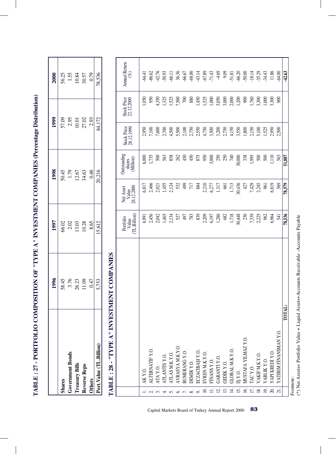|                                                          |                                            | 1996  | 1997                               |                                  | 1998                               |                           | 1999                      | 2000                    |
|----------------------------------------------------------|--------------------------------------------|-------|------------------------------------|----------------------------------|------------------------------------|---------------------------|---------------------------|-------------------------|
|                                                          | <b>Shares</b>                              | 58.45 | 66.02                              |                                  | 50.45                              | 57.09                     |                           | 56.25                   |
|                                                          | <b>Government Bonds</b>                    | 3.76  | 2.02                               |                                  | 1.79                               |                           | 2.95                      | 1.55                    |
|                                                          | Treasury Bills                             | 26.23 | 13.03                              |                                  | 12.67                              | $10.01\,$                 |                           | 10.84                   |
|                                                          | Reverse Repo                               | 11.09 | 10.28                              |                                  | 34.63                              | 27.02                     |                           | 30.57                   |
|                                                          | <b>Others</b>                              | 0.47  | 8.65                               |                                  | 0.46                               |                           | 2.93                      | 0.79                    |
|                                                          | Port.Value (TL.Billion)                    | 5,753 | 15,612                             |                                  | 20,216                             | 84,172                    |                           | 78,536                  |
|                                                          | TABLE : 28 - "TYPE A" INVESTMENT COMPANIES |       |                                    |                                  |                                    |                           |                           |                         |
|                                                          |                                            |       | (TL.Billion)<br>Portfolio<br>Value | 26.12.2000<br>Net Asset<br>Value | Outstanding<br>(Million)<br>shares | Stock Price<br>28.12.1999 | Stock Price<br>22.12.2000 | Annual Return<br>$(\%)$ |
|                                                          | <b>AK Y.O.</b>                             |       | 6,991                              | 6,817                            | 6,000                              | 2,950                     | 0.050                     | -64.41                  |
|                                                          | ALTERNATIF Y.O.                            |       | 2,456                              | 2,466                            | 1,735                              | 7,100                     | 950                       | 86.62                   |
|                                                          | ATAY.O.                                    |       | 2,042                              | 2,021                            | 500                                | 7,600                     | 4,350                     | 42.76                   |
|                                                          | <b>ATLANTIS Y.O.</b>                       |       | 1,465                              | 1,455                            | 563                                | 2,700                     | 325                       | $-50.93$                |
|                                                          | ATLAS M.K.Y.O                              |       | 2,134                              | 2,124                            | 858                                | 4,500                     | 525                       | $-66.11$                |
| $\begin{array}{ccc} & \circ & \circ & \circ \end{array}$ | AVRASYA M.K.Y.O.                           |       | 527                                | 532                              | 262                                | 5,500                     | 7,500                     | 36.36                   |
|                                                          | <b>BUMERANGY.O.</b>                        |       | 497                                | 499                              | 450                                | 2,100                     | $\infty$                  | $-66.67$                |
| $\infty$                                                 | DEMIRY.O.                                  |       | 783                                | 717                              | 450                                | 2,750                     | 880                       | $-68.00$                |
|                                                          | ECZACIBAȘI Y.O.                            |       | 839                                | 884                              | 875                                | 2,550                     | 1,450                     | $-43.14$                |
| $\overline{\mathsf{I}}$                                  | EVREN M.K.Y.O.                             |       | 2,209                              | 2,210                            | 950                                | 4,750                     | 1,525                     | $-67.89$                |
| $\equiv$                                                 | FINANS Y.O                                 |       | 6,197                              | 6,277                            | 3,000                              | 3,500                     | 1,000                     | $-71.43$                |
| $\overline{2}$ .                                         | GARANTI Y.O                                |       | 1,286                              | 1,317                            | 250                                | 3,200                     | 3,050                     | $-4.69$                 |
| 13.                                                      | GEDIK Y.O                                  |       | 682                                | 661                              | 250                                | 2,750                     | 3,000                     | 9.09                    |
| 14.                                                      | GLOBAL M.K.Y.O.                            |       | $1,\!718$                          | 1,713                            | 740                                | 4,150                     | 2,000                     | 51.81                   |
| $\overline{15}$ .                                        | iş Y.O.                                    |       | 30,448                             | 30,436                           | 30,000                             | 3,550                     | 1,200                     | $-66.20$                |
| $\overline{16}$ .                                        | MUSTAFA YILMAZ Y.O.                        |       | 230                                | 427                              | 338                                | 1,800                     | 900                       | $-50.00$                |
| $\overline{17}$ .                                        | TACY <sub>0</sub>                          |       |                                    | 7,429                            | 1,995                              | 2,150                     | 1,760                     | $-18.14$                |
| $\overline{18}$ .                                        | VAKIF M.K.Y.O.                             |       | 7,339<br>2,225                     | 2,245                            | 500                                | 5,100                     | 3,300                     | $-35.29$                |
| $\overline{19}$ .                                        | VARLIK Y.O                                 |       | 962                                | 961                              | 500                                | 1,525                     | 1,000                     | $-34.43$                |
| $\overline{20}.$                                         | YAPI KREDI Y.O.                            |       | 6,964                              | 6,819                            | 110                                | 2,950                     | 3,300                     | 11.86                   |
| 21.                                                      | YATIRIM FINANSMAN Y.O.                     |       | 541                                | 569                              | 563                                | 2,500                     | 900                       | $-64.00$                |
|                                                          | TOTAL:                                     |       | 78,536                             | 78,579                           | 51,887                             |                           |                           | 42.63                   |

TABLE : 27 - PORTFOLIO COMPOSITION OF "TYPE A" INVESTMENT COMPANIES (Percentage Distribution) **TABLE : 27 - PORTFOLIO COMPOSITION OF "TYPE A" INVESTMENT COMPANIES (Percentage Distribution)**

Capital Markets Board of Turkey Annual Report 2000 83

<sup>(\*)</sup> Net Assets= Portfolio Value + Liquid Assets+Accounts Receivable - Accounts Payable (\*) Net Assets= Portfolio Value + Liquid Assets+Accounts Receivable -Accounts Payable